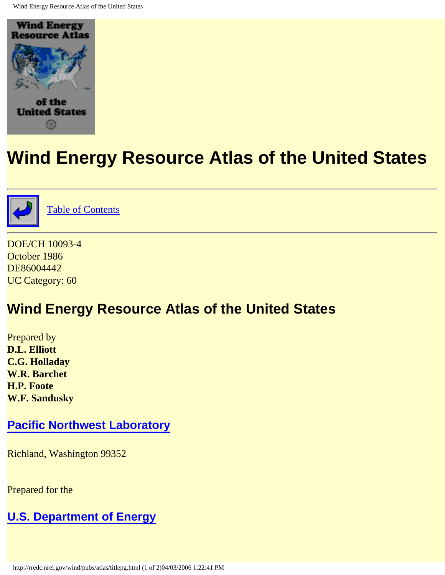<span id="page-0-1"></span><span id="page-0-0"></span>



[Table of Contents](#page-2-0)

DOE/CH 10093-4 October 1986 DE86004442 UC Category: 60

## **Wind Energy Resource Atlas of the United States**

Prepared by **D.L. Elliott C.G. Holladay W.R. Barchet H.P. Foote W.F. Sandusky**

### **[Pacific Northwest Laboratory](http://www.pnl.gov:2080/)**

Richland, Washington 99352

Prepared for the

### **[U.S. Department of Energy](http://www.doe.gov/)**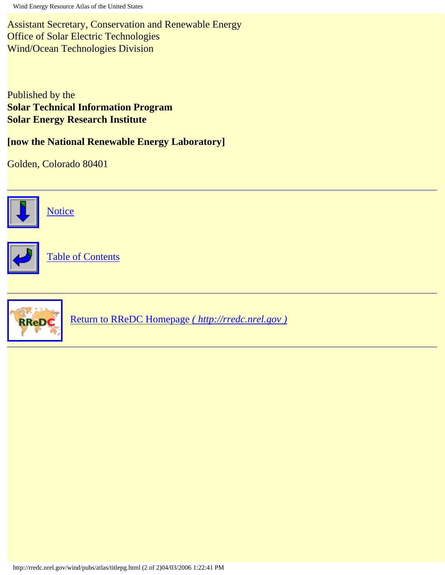Assistant Secretary, Conservation and Renewable Energy Office of Solar Electric Technologies Wind/Ocean Technologies Division

Published by the **Solar Technical Information Program Solar Energy Research Institute** 

**[now the National Renewable Energy Laboratory]** 

Golden, Colorado 80401



**[Notice](#page-13-0)** 



[Table of Contents](#page-2-0)



[Return to RReDC Homepage](http://rredc.nrel.gov/) *( http://rredc.nrel.gov )*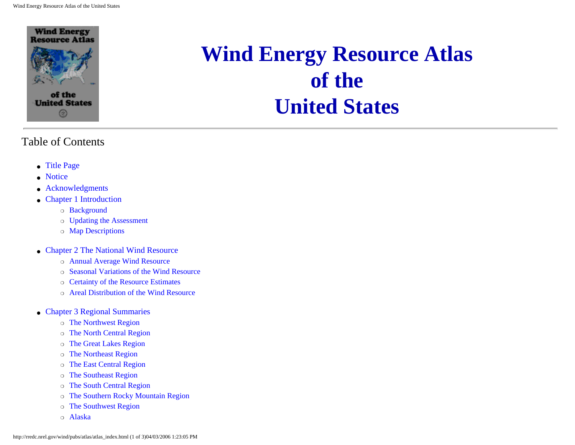

#### <span id="page-2-0"></span>Table of Contents

- [Title Page](#page-0-0)
- [Notice](#page-13-1)
- [Acknowledgments](#page-15-0)
- [Chapter 1 Introduction](#page-17-0)
	- ❍ Background
	- ❍ Updating the Assessment
	- ❍ Map Descriptions
- [Chapter 2 The National Wind Resource](#page-23-0)
	- ❍ Annual Average Wind Resource
	- ❍ Seasonal Variations of the Wind Resource
	- ❍ Certainty of the Resource Estimates
	- ❍ Areal Distribution of the Wind Resource
- [Chapter 3 Regional Summaries](#page-36-0)
	- ❍ [The Northwest Region](#page-37-0)
	- ❍ [The North Central Region](#page-41-0)
	- ❍ [The Great Lakes Region](#page-44-0)
	- ❍ [The Northeast Region](#page-46-0)
	- ❍ [The East Central Region](#page-49-0)
	- ❍ [The Southeast Region](#page-50-0)
	- ❍ [The South Central Region](#page-51-0)
	- ❍ [The Southern Rocky Mountain Region](#page-54-0)
	- ❍ [The Southwest Region](#page-57-0)
	- ❍ [Alaska](#page-61-0)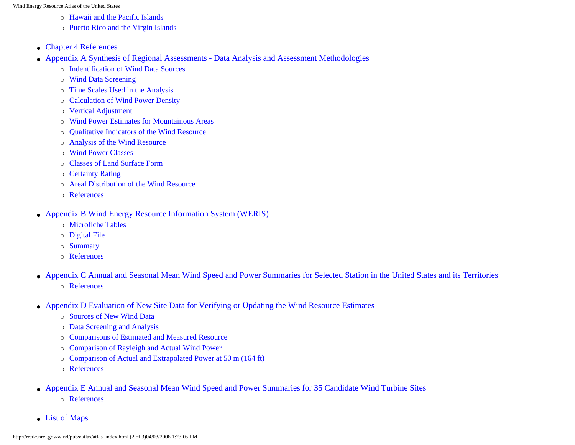- ❍ [Hawaii and the Pacific Islands](#page-63-0)
- ❍ [Puerto Rico and the Virgin Islands](#page-66-0)
- [Chapter 4 References](#page-69-0)
- [Appendix A Synthesis of Regional Assessments Data Analysis and Assessment Methodologies](#page-72-0)
	- ❍ [Indentification of Wind Data Sources](#page-74-0)
	- ❍ [Wind Data Screening](#page-74-1)
	- ❍ [Time Scales Used in the Analysis](#page-77-0)
	- ❍ [Calculation of Wind Power Density](#page-78-0)
	- ❍ [Vertical Adjustment](#page-81-0)
	- ❍ [Wind Power Estimates for Mountainous Areas](#page-82-0)
	- ❍ [Qualitative Indicators of the Wind Resource](#page-85-0)
	- ❍ [Analysis of the Wind Resource](#page-88-0)
	- ❍ [Wind Power Classes](#page-89-0)
	- ❍ [Classes of Land Surface Form](#page-89-1)
	- ❍ [Certainty Rating](#page-90-0)
	- ❍ [Areal Distribution of the Wind Resource](#page-91-0)
	- ❍ [References](#page-92-0)
- [Appendix B Wind Energy Resource Information System \(WERIS\)](#page-96-0)
	- ❍ [Microfiche Tables](#page-97-0)
	- ❍ [Digital File](#page-97-1)
	- ❍ [Summary](#page-97-2)
	- ❍ [References](#page-98-0)
- [Appendix C Annual and Seasonal Mean Wind Speed and Power Summaries for Selected Station in the United States and its Territories](#page-99-0) ❍ [References](#page-102-0)
- [Appendix D Evaluation of New Site Data for Verifying or Updating the Wind Resource Estimates](#page-103-0)
	- ❍ [Sources of New Wind Data](#page-105-0)
	- ❍ [Data Screening and Analysis](#page-106-0)
	- ❍ [Comparisons of Estimated and Measured Resource](#page-109-0)
	- ❍ [Comparison of Rayleigh and Actual Wind Power](#page-112-0)
	- ❍ [Comparison of Actual and Extrapolated Power at 50 m \(164 ft\)](#page-113-0)
	- ❍ [References](#page-113-1)
- [Appendix E Annual and Seasonal Mean Wind Speed and Power Summaries for 35 Candidate Wind Turbine Sites](#page-117-0)
	- ❍ References
- [List of Maps](#page-5-0)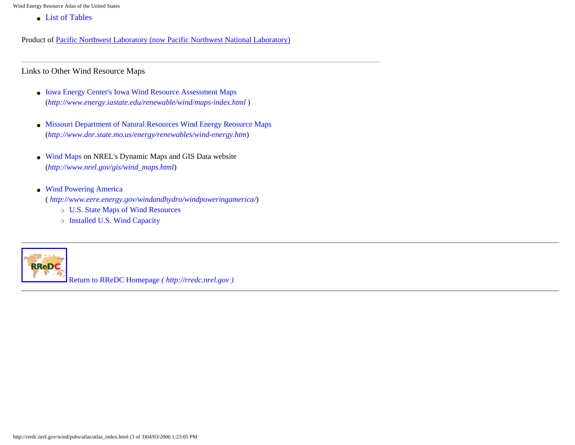● [List of Tables](#page-10-0)

Product of [Pacific Northwest Laboratory \(now Pacific Northwest National Laboratory\)](http://www.pnl.gov/)

Links to Other Wind Resource Maps

- [Iowa Energy Center's Iowa Wind Resource Assessment Maps](http://www.energy.iastate.edu/renewable/wind/maps-index.html)  (*<http://www.energy.iastate.edu/renewable/wind/maps-index.html>* )
- [Missouri Department of Natural Resources Wind Energy Reosurce Maps](http://www.dnr.state.mo.us/energy/renewables/wind-energy.htm) (*<http://www.dnr.state.mo.us/energy/renewables/wind-energy.htm>*)
- [Wind Maps](http://www.nrel.gov/gis/wind_maps.html) on NREL's Dynamic Maps and GIS Data website (*[http://www.nrel.gov/gis/wind\\_maps.html](http://www.nrel.gov/gis/wind_maps.html)*)
- [Wind Powering America](http://www.eere.energy.gov/windandhydro/windpoweringamerica/)

(*<http://www.eere.energy.gov/windandhydro/windpoweringamerica/>*)

- ❍ [U.S. State Maps of Wind Resources](http://www.eere.energy.gov/windandhydro/windpoweringamerica/wind_maps.asp)
- ❍ [Installed U.S. Wind Capacity](http://www.eere.energy.gov/windandhydro/windpoweringamerica/wind_installed_capacity.asp)



[Return to RReDC Homepage](http://rredc.nrel.gov/) *( http://rredc.nrel.gov )*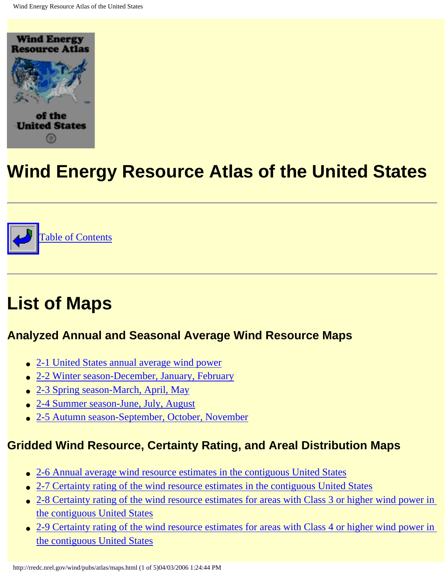<span id="page-5-1"></span><span id="page-5-0"></span>



# **List of Maps**

### **Analyzed Annual and Seasonal Average Wind Resource Maps**

- [2-1 United States annual average wind power](http://rredc.nrel.gov/wind/pubs/atlas/maps/chap2/2-01m.html)
- [2-2 Winter season-December, January, February](http://rredc.nrel.gov/wind/pubs/atlas/maps/chap2/2-02m.html)
- [2-3 Spring season-March, April, May](http://rredc.nrel.gov/wind/pubs/atlas/maps/chap2/2-03m.html)
- [2-4 Summer season-June, July, August](http://rredc.nrel.gov/wind/pubs/atlas/maps/chap2/2-04m.html)
- [2-5 Autumn season-September, October, November](http://rredc.nrel.gov/wind/pubs/atlas/maps/chap2/2-05m.html)

## **Gridded Wind Resource, Certainty Rating, and Areal Distribution Maps**

- [2-6 Annual average wind resource estimates in the contiguous United States](http://rredc.nrel.gov/wind/pubs/atlas/maps/chap2/2-06m.html)
- [2-7 Certainty rating of the wind resource estimates in the contiguous United States](http://rredc.nrel.gov/wind/pubs/atlas/maps/chap2/2-07m.html)
- 2-8 Certainty rating of the wind resource estimates for areas with Class 3 or higher wind power in [the contiguous United States](http://rredc.nrel.gov/wind/pubs/atlas/maps/chap2/2-08m.html)
- 2-9 Certainty rating of the wind resource estimates for areas with Class 4 or higher wind power in [the contiguous United States](http://rredc.nrel.gov/wind/pubs/atlas/maps/chap2/2-09m.html)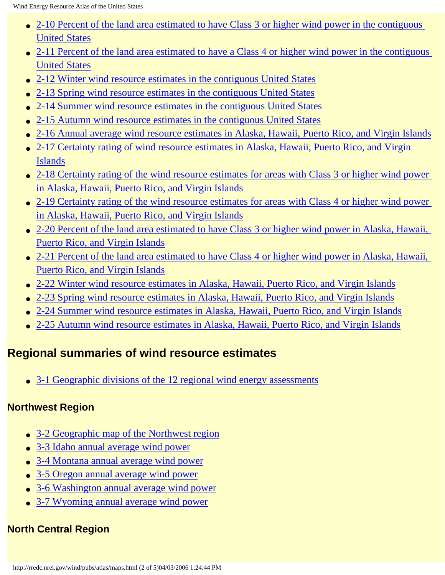- 2-10 Percent of the land area estimated to have Class 3 or higher wind power in the contiguous [United States](http://rredc.nrel.gov/wind/pubs/atlas/maps/chap2/2-10m.html)
- [2-11 Percent of the land area estimated to have a Class 4 or higher wind power in the contiguous](http://rredc.nrel.gov/wind/pubs/atlas/maps/chap2/2-11m.html) [United States](http://rredc.nrel.gov/wind/pubs/atlas/maps/chap2/2-11m.html)
- [2-12 Winter wind resource estimates in the contiguous United States](http://rredc.nrel.gov/wind/pubs/atlas/maps/chap2/2-12m.html)
- [2-13 Spring wind resource estimates in the contiguous United States](http://rredc.nrel.gov/wind/pubs/atlas/maps/chap2/2-13m.html)
- [2-14 Summer wind resource estimates in the contiguous United States](http://rredc.nrel.gov/wind/pubs/atlas/maps/chap2/2-14m.html)
- [2-15 Autumn wind resource estimates in the contiguous United States](http://rredc.nrel.gov/wind/pubs/atlas/maps/chap2/2-15m.html)
- [2-16 Annual average wind resource estimates in Alaska, Hawaii, Puerto Rico, and Virgin Islands](http://rredc.nrel.gov/wind/pubs/atlas/maps/chap2/2-16m.html)
- 2-17 Certainty rating of wind resource estimates in Alaska, Hawaii, Puerto Rico, and Virgin [Islands](http://rredc.nrel.gov/wind/pubs/atlas/maps/chap2/2-17m.html)
- [2-18 Certainty rating of the wind resource estimates for areas with Class 3 or higher wind power](http://rredc.nrel.gov/wind/pubs/atlas/maps/chap2/2-18m.html) [in Alaska, Hawaii, Puerto Rico, and Virgin Islands](http://rredc.nrel.gov/wind/pubs/atlas/maps/chap2/2-18m.html)
- [2-19 Certainty rating of the wind resource estimates for areas with Class 4 or higher wind power](http://rredc.nrel.gov/wind/pubs/atlas/maps/chap2/2-19m.html) [in Alaska, Hawaii, Puerto Rico, and Virgin Islands](http://rredc.nrel.gov/wind/pubs/atlas/maps/chap2/2-19m.html)
- [2-20 Percent of the land area estimated to have Class 3 or higher wind power in Alaska, Hawaii,](http://rredc.nrel.gov/wind/pubs/atlas/maps/chap2/2-20m.html) [Puerto Rico, and Virgin Islands](http://rredc.nrel.gov/wind/pubs/atlas/maps/chap2/2-20m.html)
- [2-21 Percent of the land area estimated to have Class 4 or higher wind power in Alaska, Hawaii,](http://rredc.nrel.gov/wind/pubs/atlas/maps/chap2/2-21m.html) [Puerto Rico, and Virgin Islands](http://rredc.nrel.gov/wind/pubs/atlas/maps/chap2/2-21m.html)
- [2-22 Winter wind resource estimates in Alaska, Hawaii, Puerto Rico, and Virgin Islands](http://rredc.nrel.gov/wind/pubs/atlas/maps/chap2/2-22m.html)
- [2-23 Spring wind resource estimates in Alaska, Hawaii, Puerto Rico, and Virgin Islands](http://rredc.nrel.gov/wind/pubs/atlas/maps/chap2/2-23m.html)
- [2-24 Summer wind resource estimates in Alaska, Hawaii, Puerto Rico, and Virgin Islands](http://rredc.nrel.gov/wind/pubs/atlas/maps/chap2/2-24m.html)
- [2-25 Autumn wind resource estimates in Alaska, Hawaii, Puerto Rico, and Virgin Islands](http://rredc.nrel.gov/wind/pubs/atlas/maps/chap2/2-25m.html)

### **Regional summaries of wind resource estimates**

• [3-1 Geographic divisions of the 12 regional wind energy assessments](http://rredc.nrel.gov/wind/pubs/atlas/maps/chap3/3-01m.html)

### **Northwest Region**

- [3-2 Geographic map of the Northwest region](http://rredc.nrel.gov/wind/pubs/atlas/maps/chap3/3-02m.html)
- [3-3 Idaho annual average wind power](http://rredc.nrel.gov/wind/pubs/atlas/maps/chap3/3-03m.html)
- [3-4 Montana annual average wind power](http://rredc.nrel.gov/wind/pubs/atlas/maps/chap3/3-04m.html)
- [3-5 Oregon annual average wind power](http://rredc.nrel.gov/wind/pubs/atlas/maps/chap3/3-05m.html)
- [3-6 Washington annual average wind power](http://rredc.nrel.gov/wind/pubs/atlas/maps/chap3/3-06m.html)
- [3-7 Wyoming annual average wind power](http://rredc.nrel.gov/wind/pubs/atlas/maps/chap3/3-07m.html)

## **North Central Region**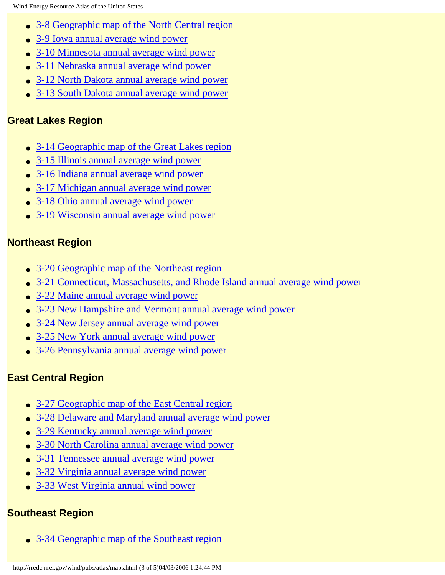- [3-8 Geographic map of the North Central region](http://rredc.nrel.gov/wind/pubs/atlas/maps/chap3/3-08m.html)
- [3-9 Iowa annual average wind power](http://rredc.nrel.gov/wind/pubs/atlas/maps/chap3/3-09m.html)
- [3-10 Minnesota annual average wind power](http://rredc.nrel.gov/wind/pubs/atlas/maps/chap3/3-10m.html)
- [3-11 Nebraska annual average wind power](http://rredc.nrel.gov/wind/pubs/atlas/maps/chap3/3-11m.html)
- [3-12 North Dakota annual average wind power](http://rredc.nrel.gov/wind/pubs/atlas/maps/chap3/3-12m.html)
- [3-13 South Dakota annual average wind power](http://rredc.nrel.gov/wind/pubs/atlas/maps/chap3/3-13m.html)

#### **Great Lakes Region**

- [3-14 Geographic map of the Great Lakes region](http://rredc.nrel.gov/wind/pubs/atlas/maps/chap3/3-14m.html)
- [3-15 Illinois annual average wind power](http://rredc.nrel.gov/wind/pubs/atlas/maps/chap3/3-15m.html)
- [3-16 Indiana annual average wind power](http://rredc.nrel.gov/wind/pubs/atlas/maps/chap3/3-16m.html)
- [3-17 Michigan annual average wind power](http://rredc.nrel.gov/wind/pubs/atlas/maps/chap3/3-17m.html)
- [3-18 Ohio annual average wind power](http://rredc.nrel.gov/wind/pubs/atlas/maps/chap3/3-18m.html)
- [3-19 Wisconsin annual average wind power](http://rredc.nrel.gov/wind/pubs/atlas/maps/chap3/3-19m.html)

#### **Northeast Region**

- [3-20 Geographic map of the Northeast region](http://rredc.nrel.gov/wind/pubs/atlas/maps/chap3/3-20m.html)
- [3-21 Connecticut, Massachusetts, and Rhode Island annual average wind power](http://rredc.nrel.gov/wind/pubs/atlas/maps/chap3/3-21m.html)
- [3-22 Maine annual average wind power](http://rredc.nrel.gov/wind/pubs/atlas/maps/chap3/3-22m.html)
- [3-23 New Hampshire and Vermont annual average wind power](http://rredc.nrel.gov/wind/pubs/atlas/maps/chap3/3-23m.html)
- [3-24 New Jersey annual average wind power](http://rredc.nrel.gov/wind/pubs/atlas/maps/chap3/3-24m.html)
- [3-25 New York annual average wind power](http://rredc.nrel.gov/wind/pubs/atlas/maps/chap3/3-25m.html)
- [3-26 Pennsylvania annual average wind power](http://rredc.nrel.gov/wind/pubs/atlas/maps/chap3/3-26m.html)

#### **East Central Region**

- [3-27 Geographic map of the East Central region](http://rredc.nrel.gov/wind/pubs/atlas/maps/chap3/3-27m.html)
- [3-28 Delaware and Maryland annual average wind power](http://rredc.nrel.gov/wind/pubs/atlas/maps/chap3/3-28m.html)
- [3-29 Kentucky annual average wind power](http://rredc.nrel.gov/wind/pubs/atlas/maps/chap3/3-29m.html)
- [3-30 North Carolina annual average wind power](http://rredc.nrel.gov/wind/pubs/atlas/maps/chap3/3-30m.html)
- [3-31 Tennessee annual average wind power](http://rredc.nrel.gov/wind/pubs/atlas/maps/chap3/3-31m.html)
- [3-32 Virginia annual average wind power](http://rredc.nrel.gov/wind/pubs/atlas/maps/chap3/3-32m.html)
- [3-33 West Virginia annual wind power](http://rredc.nrel.gov/wind/pubs/atlas/maps/chap3/3-33m.html)

#### **Southeast Region**

• [3-34 Geographic map of the Southeast region](http://rredc.nrel.gov/wind/pubs/atlas/maps/chap3/3-34m.html)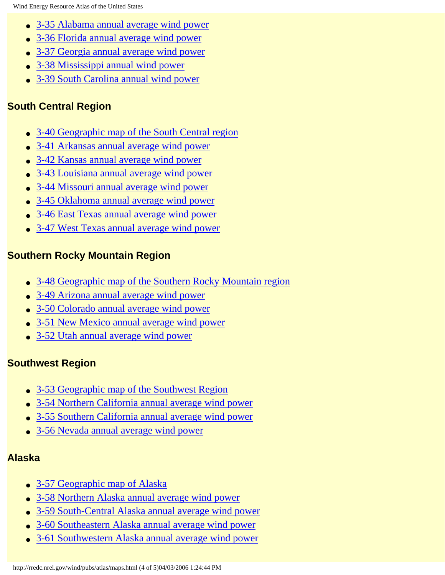- [3-35 Alabama annual average wind power](http://rredc.nrel.gov/wind/pubs/atlas/maps/chap3/3-35m.html)
- [3-36 Florida annual average wind power](http://rredc.nrel.gov/wind/pubs/atlas/maps/chap3/3-36m.html)
- [3-37 Georgia annual average wind power](http://rredc.nrel.gov/wind/pubs/atlas/maps/chap3/3-37m.html)
- [3-38 Mississippi annual wind power](http://rredc.nrel.gov/wind/pubs/atlas/maps/chap3/3-38m.html)
- [3-39 South Carolina annual wind power](http://rredc.nrel.gov/wind/pubs/atlas/maps/chap3/3-39m.html)

#### **South Central Region**

- [3-40 Geographic map of the South Central region](http://rredc.nrel.gov/wind/pubs/atlas/maps/chap3/3-40m.html)
- [3-41 Arkansas annual average wind power](http://rredc.nrel.gov/wind/pubs/atlas/maps/chap3/3-41m.html)
- [3-42 Kansas annual average wind power](http://rredc.nrel.gov/wind/pubs/atlas/maps/chap3/3-42m.html)
- [3-43 Louisiana annual average wind power](http://rredc.nrel.gov/wind/pubs/atlas/maps/chap3/3-43m.html)
- [3-44 Missouri annual average wind power](http://rredc.nrel.gov/wind/pubs/atlas/maps/chap3/3-44m.html)
- [3-45 Oklahoma annual average wind power](http://rredc.nrel.gov/wind/pubs/atlas/maps/chap3/3-45m.html)
- [3-46 East Texas annual average wind power](http://rredc.nrel.gov/wind/pubs/atlas/maps/chap3/3-46m.html)
- [3-47 West Texas annual average wind power](http://rredc.nrel.gov/wind/pubs/atlas/maps/chap3/3-47m.html)

#### **Southern Rocky Mountain Region**

- [3-48 Geographic map of the Southern Rocky Mountain region](http://rredc.nrel.gov/wind/pubs/atlas/maps/chap3/3-48m.html)
- [3-49 Arizona annual average wind power](http://rredc.nrel.gov/wind/pubs/atlas/maps/chap3/3-49m.html)
- [3-50 Colorado annual average wind power](http://rredc.nrel.gov/wind/pubs/atlas/maps/chap3/3-50m.html)
- [3-51 New Mexico annual average wind power](http://rredc.nrel.gov/wind/pubs/atlas/maps/chap3/3-51m.html)
- [3-52 Utah annual average wind power](http://rredc.nrel.gov/wind/pubs/atlas/maps/chap3/3-52m.html)

#### **Southwest Region**

- [3-53 Geographic map of the Southwest Region](http://rredc.nrel.gov/wind/pubs/atlas/maps/chap3/3-53m.html)
- [3-54 Northern California annual average wind power](http://rredc.nrel.gov/wind/pubs/atlas/maps/chap3/3-54m.html)
- [3-55 Southern California annual average wind power](http://rredc.nrel.gov/wind/pubs/atlas/maps/chap3/3-55m.html)
- [3-56 Nevada annual average wind power](http://rredc.nrel.gov/wind/pubs/atlas/maps/chap3/3-56m.html)

#### **Alaska**

- [3-57 Geographic map of Alaska](http://rredc.nrel.gov/wind/pubs/atlas/maps/chap3/3-57m.html)
- [3-58 Northern Alaska annual average wind power](http://rredc.nrel.gov/wind/pubs/atlas/maps/chap3/3-58m.html)
- [3-59 South-Central Alaska annual average wind power](http://rredc.nrel.gov/wind/pubs/atlas/maps/chap3/3-59m.html)
- [3-60 Southeastern Alaska annual average wind power](http://rredc.nrel.gov/wind/pubs/atlas/maps/chap3/3-60m.html)
- [3-61 Southwestern Alaska annual average wind power](http://rredc.nrel.gov/wind/pubs/atlas/maps/chap3/3-61m.html)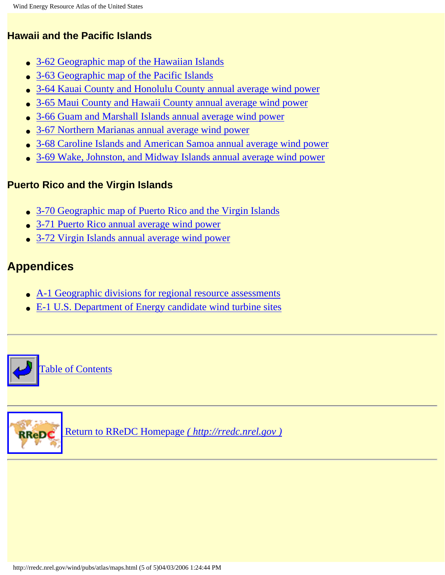#### **Hawaii and the Pacific Islands**

- [3-62 Geographic map of the Hawaiian Islands](http://rredc.nrel.gov/wind/pubs/atlas/maps/chap3/3-62m.html)
- [3-63 Geographic map of the Pacific Islands](http://rredc.nrel.gov/wind/pubs/atlas/maps/chap3/3-63m.html)
- [3-64 Kauai County and Honolulu County annual average wind power](http://rredc.nrel.gov/wind/pubs/atlas/maps/chap3/3-64m.html)
- [3-65 Maui County and Hawaii County annual average wind power](http://rredc.nrel.gov/wind/pubs/atlas/maps/chap3/3-65m.html)
- [3-66 Guam and Marshall Islands annual average wind power](http://rredc.nrel.gov/wind/pubs/atlas/maps/chap3/3-66m.html)
- [3-67 Northern Marianas annual average wind power](http://rredc.nrel.gov/wind/pubs/atlas/maps/chap3/3-67m.html)
- [3-68 Caroline Islands and American Samoa annual average wind power](http://rredc.nrel.gov/wind/pubs/atlas/maps/chap3/3-68m.html)
- [3-69 Wake, Johnston, and Midway Islands annual average wind power](http://rredc.nrel.gov/wind/pubs/atlas/maps/chap3/3-69m.html)

#### **Puerto Rico and the Virgin Islands**

- [3-70 Geographic map of Puerto Rico and the Virgin Islands](http://rredc.nrel.gov/wind/pubs/atlas/maps/chap3/3-70m.html)
- [3-71 Puerto Rico annual average wind power](http://rredc.nrel.gov/wind/pubs/atlas/maps/chap3/3-71m.html)
- [3-72 Virgin Islands annual average wind power](http://rredc.nrel.gov/wind/pubs/atlas/maps/chap3/3-72m.html)

### **Appendices**

- [A-1 Geographic divisions for regional resource assessments](http://rredc.nrel.gov/wind/pubs/atlas/maps/A-1M.html)
- [E-1 U.S. Department of Energy candidate wind turbine sites](http://rredc.nrel.gov/wind/pubs/atlas/maps/E-1M.html)





 [Return to RReDC Homepage](http://rredc.nrel.gov/) *( http://rredc.nrel.gov )*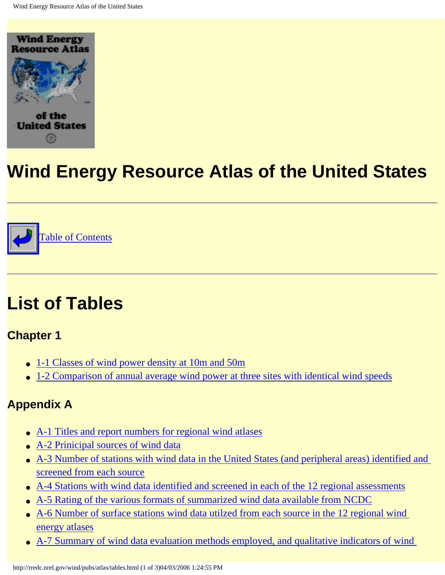<span id="page-10-0"></span>



# **List of Tables**

**Chapter 1** 

- [1-1 Classes of wind power density at 10m and 50m](http://rredc.nrel.gov/wind/pubs/atlas/tables/1-1T.html)
- [1-2 Comparison of annual average wind power at three sites with identical wind speeds](http://rredc.nrel.gov/wind/pubs/atlas/tables/1-2T.html)

## **Appendix A**

- [A-1 Titles and report numbers for regional wind atlases](http://rredc.nrel.gov/wind/pubs/atlas/tables/A-1T.html)
- [A-2 Prinicipal sources of wind data](http://rredc.nrel.gov/wind/pubs/atlas/tables/A-2T.html)
- [A-3 Number of stations with wind data in the United States \(and peripheral areas\) identified and](http://rredc.nrel.gov/wind/pubs/atlas/tables/A-3T.html) [screened from each source](http://rredc.nrel.gov/wind/pubs/atlas/tables/A-3T.html)
- [A-4 Stations with wind data identified and screened in each of the 12 regional assessments](http://rredc.nrel.gov/wind/pubs/atlas/tables/A-4T.html)
- [A-5 Rating of the various formats of summarized wind data available from NCDC](http://rredc.nrel.gov/wind/pubs/atlas/tables/A-5T.html)
- A-6 Number of surface stations wind data utilzed from each source in the 12 regional wind [energy atlases](http://rredc.nrel.gov/wind/pubs/atlas/tables/A-6T.html)
- [A-7 Summary of wind data evaluation methods employed, and qualitative indicators of wind](http://rredc.nrel.gov/wind/pubs/atlas/tables/A-7T.html)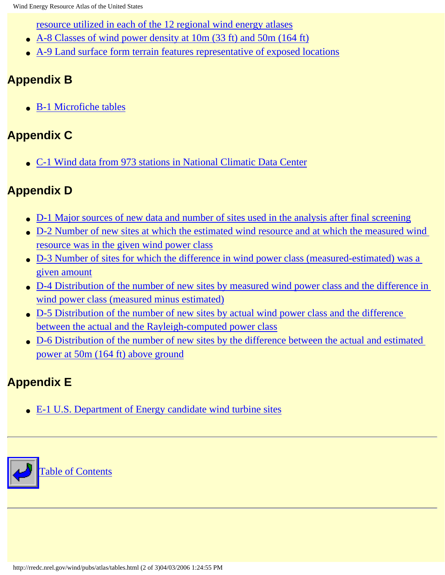[resource utilized in each of the 12 regional wind energy atlases](http://rredc.nrel.gov/wind/pubs/atlas/tables/A-7T.html)

- [A-8 Classes of wind power density at 10m \(33 ft\) and 50m \(164 ft\)](http://rredc.nrel.gov/wind/pubs/atlas/tables/A-8T.html)
- [A-9 Land surface form terrain features representative of exposed locations](http://rredc.nrel.gov/wind/pubs/atlas/tables/A-9T.html)

## **Appendix B**

● [B-1 Microfiche tables](http://rredc.nrel.gov/wind/pubs/atlas/tables/B-1T.html)

### **Appendix C**

● [C-1 Wind data from 973 stations in National Climatic Data Center](http://rredc.nrel.gov/wind/pubs/atlas/tables/C-1T.html)

## **Appendix D**

- [D-1 Major sources of new data and number of sites used in the analysis after final screening](http://rredc.nrel.gov/wind/pubs/atlas/tables/D-1T.html)
- [D-2 Number of new sites at which the estimated wind resource and at which the measured wind](http://rredc.nrel.gov/wind/pubs/atlas/tables/D-2T.html) [resource was in the given wind power class](http://rredc.nrel.gov/wind/pubs/atlas/tables/D-2T.html)
- D-3 Number of sites for which the difference in wind power class (measured-estimated) was a [given amount](http://rredc.nrel.gov/wind/pubs/atlas/tables/D-3T.html)
- D-4 Distribution of the number of new sites by measured wind power class and the difference in [wind power class \(measured minus estimated\)](http://rredc.nrel.gov/wind/pubs/atlas/tables/D-4T.html)
- [D-5 Distribution of the number of new sites by actual wind power class and the difference](http://rredc.nrel.gov/wind/pubs/atlas/tables/D-5T.html) [between the actual and the Rayleigh-computed power class](http://rredc.nrel.gov/wind/pubs/atlas/tables/D-5T.html)
- [D-6 Distribution of the number of new sites by the difference between the actual and estimated](http://rredc.nrel.gov/wind/pubs/atlas/tables/D-6T.html) [power at 50m \(164 ft\) above ground](http://rredc.nrel.gov/wind/pubs/atlas/tables/D-6T.html)

## **Appendix E**

• [E-1 U.S. Department of Energy candidate wind turbine sites](#page-121-0)

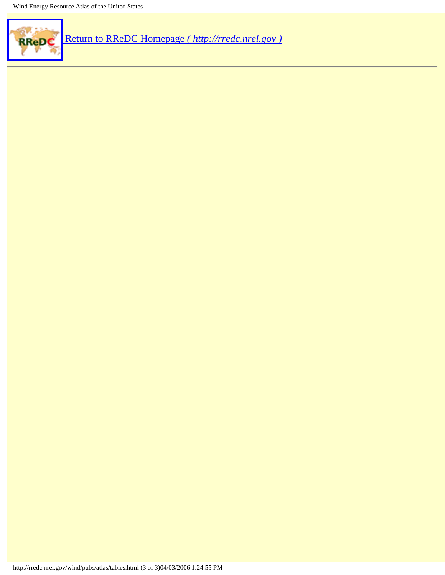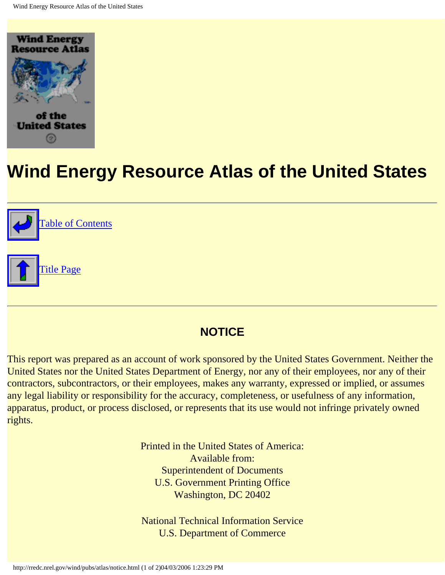<span id="page-13-1"></span><span id="page-13-0"></span>



### **NOTICE**

This report was prepared as an account of work sponsored by the United States Government. Neither the United States nor the United States Department of Energy, nor any of their employees, nor any of their contractors, subcontractors, or their employees, makes any warranty, expressed or implied, or assumes any legal liability or responsibility for the accuracy, completeness, or usefulness of any information, apparatus, product, or process disclosed, or represents that its use would not infringe privately owned rights.

> Printed in the United States of America: Available from: Superintendent of Documents U.S. Government Printing Office Washington, DC 20402

> National Technical Information Service U.S. Department of Commerce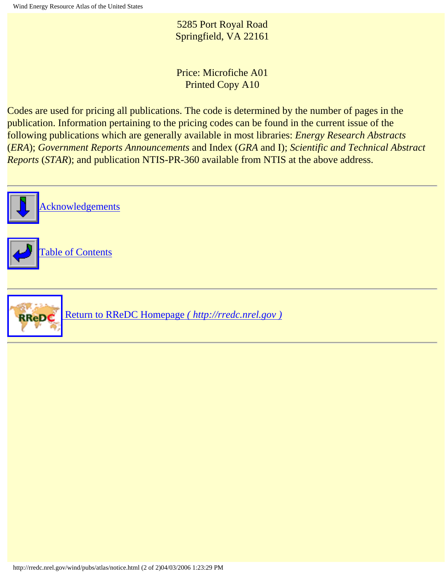5285 Port Royal Road Springfield, VA 22161

Price: Microfiche A01 Printed Copy A10

Codes are used for pricing all publications. The code is determined by the number of pages in the publication. Information pertaining to the pricing codes can be found in the current issue of the following publications which are generally available in most libraries: *Energy Research Abstracts* (*ERA*); *Government Reports Announcements* and Index (*GRA* and I); *Scientific and Technical Abstract Reports* (*STAR*); and publication NTIS-PR-360 available from NTIS at the above address.

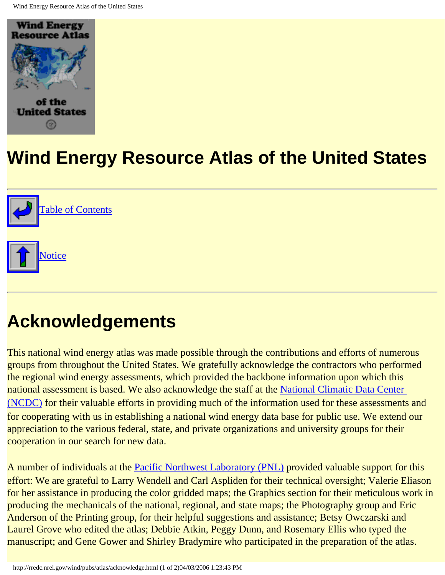<span id="page-15-1"></span><span id="page-15-0"></span>





# **Acknowledgements**

This national wind energy atlas was made possible through the contributions and efforts of numerous groups from throughout the United States. We gratefully acknowledge the contractors who performed the regional wind energy assessments, which provided the backbone information upon which this national assessment is based. We also acknowledge the staff at the [National Climatic Data Center](http://www.ncdc.noaa.gov/) [\(NCDC\)](http://www.ncdc.noaa.gov/) for their valuable efforts in providing much of the information used for these assessments and for cooperating with us in establishing a national wind energy data base for public use. We extend our appreciation to the various federal, state, and private organizations and university groups for their cooperation in our search for new data.

A number of individuals at the [Pacific Northwest Laboratory \(PNL\)](http://www.pnl.gov/) provided valuable support for this effort: We are grateful to Larry Wendell and Carl Aspliden for their technical oversight; Valerie Eliason for her assistance in producing the color gridded maps; the Graphics section for their meticulous work in producing the mechanicals of the national, regional, and state maps; the Photography group and Eric Anderson of the Printing group, for their helpful suggestions and assistance; Betsy Owczarski and Laurel Grove who edited the atlas; Debbie Atkin, Peggy Dunn, and Rosemary Ellis who typed the manuscript; and Gene Gower and Shirley Bradymire who participated in the preparation of the atlas.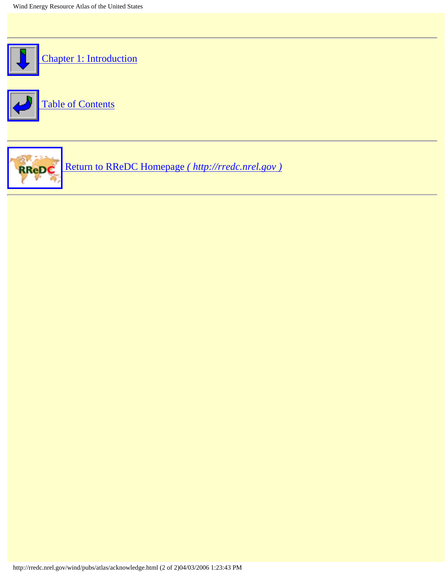



RReDC  [Return to RReDC Homepage](http://rredc.nrel.gov/) *( http://rredc.nrel.gov )*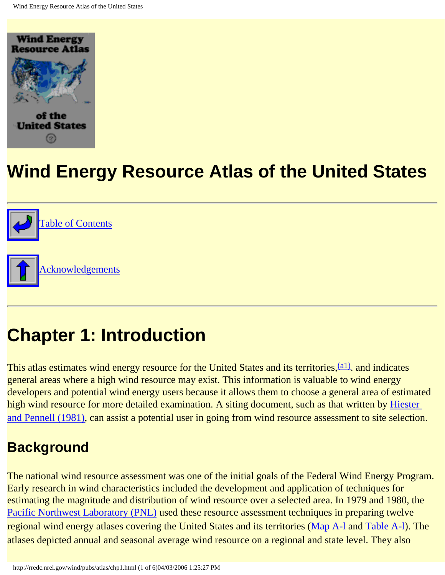<span id="page-17-1"></span><span id="page-17-0"></span>



# **Chapter 1: Introduction**

This atlas estimates wind energy resource for the United States and its territories, <sup>(a1)</sup>, and indicates general areas where a high wind resource may exist. This information is valuable to wind energy developers and potential wind energy users because it allows them to choose a general area of estimated high wind resource for more detailed examination. A siting document, such as that written by Hiester and Pennell (1981), can assist a potential user in going from wind resource assessment to site selection.

## **Background**

The national wind resource assessment was one of the initial goals of the Federal Wind Energy Program. Early research in wind characteristics included the development and application of techniques for estimating the magnitude and distribution of wind resource over a selected area. In 1979 and 1980, the [Pacific Northwest Laboratory \(PNL\)](http://www.pnl.gov/) used these resource assessment techniques in preparing twelve regional wind energy atlases covering the United States and its territories ([Map A-l](http://rredc.nrel.gov/wind/pubs/atlas/maps/A-1M.html) and [Table A-l](http://rredc.nrel.gov/wind/pubs/atlas/tables/A-1T.html)). The atlases depicted annual and seasonal average wind resource on a regional and state level. They also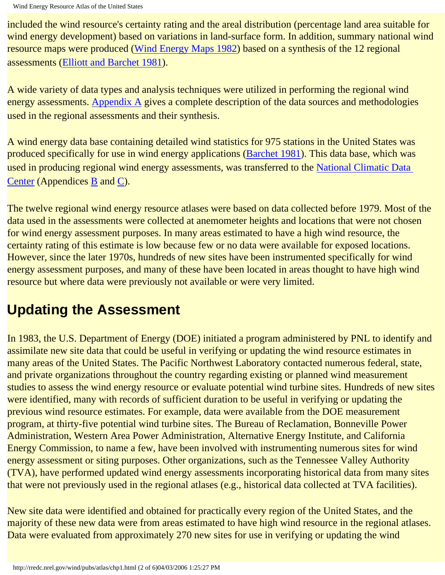included the wind resource's certainty rating and the areal distribution (percentage land area suitable for wind energy development) based on variations in land-surface form. In addition, summary national wind resource maps were produced (Wind Energy Maps 1982) based on a synthesis of the 12 regional assessments (Elliott and Barchet 1981).

A wide variety of data types and analysis techniques were utilized in performing the regional wind energy assessments. [Appendix A](#page-72-1) gives a complete description of the data sources and methodologies used in the regional assessments and their synthesis.

A wind energy data base containing detailed wind statistics for 975 stations in the United States was produced specifically for use in wind energy applications (Barchet 1981). This data base, which was used in producing regional wind energy assessments, was transferred to the [National Climatic Data](http://www.ncdc.noaa.gov/) [Center](http://www.ncdc.noaa.gov/) (Appendices [B](#page-96-1) and [C\)](#page-99-1).

The twelve regional wind energy resource atlases were based on data collected before 1979. Most of the data used in the assessments were collected at anemometer heights and locations that were not chosen for wind energy assessment purposes. In many areas estimated to have a high wind resource, the certainty rating of this estimate is low because few or no data were available for exposed locations. However, since the later 1970s, hundreds of new sites have been instrumented specifically for wind energy assessment purposes, and many of these have been located in areas thought to have high wind resource but where data were previously not available or were very limited.

# **Updating the Assessment**

In 1983, the U.S. Department of Energy (DOE) initiated a program administered by PNL to identify and assimilate new site data that could be useful in verifying or updating the wind resource estimates in many areas of the United States. The Pacific Northwest Laboratory contacted numerous federal, state, and private organizations throughout the country regarding existing or planned wind measurement studies to assess the wind energy resource or evaluate potential wind turbine sites. Hundreds of new sites were identified, many with records of sufficient duration to be useful in verifying or updating the previous wind resource estimates. For example, data were available from the DOE measurement program, at thirty-five potential wind turbine sites. The Bureau of Reclamation, Bonneville Power Administration, Western Area Power Administration, Alternative Energy Institute, and California Energy Commission, to name a few, have been involved with instrumenting numerous sites for wind energy assessment or siting purposes. Other organizations, such as the Tennessee Valley Authority (TVA), have performed updated wind energy assessments incorporating historical data from many sites that were not previously used in the regional atlases (e.g., historical data collected at TVA facilities).

New site data were identified and obtained for practically every region of the United States, and the majority of these new data were from areas estimated to have high wind resource in the regional atlases. Data were evaluated from approximately 270 new sites for use in verifying or updating the wind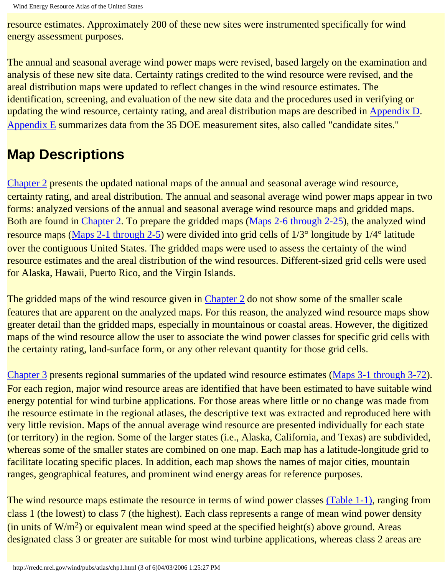resource estimates. Approximately 200 of these new sites were instrumented specifically for wind energy assessment purposes.

The annual and seasonal average wind power maps were revised, based largely on the examination and analysis of these new site data. Certainty ratings credited to the wind resource were revised, and the areal distribution maps were updated to reflect changes in the wind resource estimates. The identification, screening, and evaluation of the new site data and the procedures used in verifying or updating the wind resource, certainty rating, and areal distribution maps are described in [Appendix D.](#page-103-1) [Appendix E](#page-117-1) summarizes data from the 35 DOE measurement sites, also called "candidate sites."

## **Map Descriptions**

[Chapter 2](#page-23-1) presents the updated national maps of the annual and seasonal average wind resource, certainty rating, and areal distribution. The annual and seasonal average wind power maps appear in two forms: analyzed versions of the annual and seasonal average wind resource maps and gridded maps. Both are found in [Chapter 2.](#page-23-1) To prepare the gridded maps (Maps 2-6 through 2-25), the analyzed wind resource maps ([Maps 2-1 through 2-5](#page-5-1)) were divided into grid cells of 1/3° longitude by 1/4° latitude over the contiguous United States. The gridded maps were used to assess the certainty of the wind resource estimates and the areal distribution of the wind resources. Different-sized grid cells were used for Alaska, Hawaii, Puerto Rico, and the Virgin Islands.

The gridded maps of the wind resource given in [Chapter 2](#page-23-1) do not show some of the smaller scale features that are apparent on the analyzed maps. For this reason, the analyzed wind resource maps show greater detail than the gridded maps, especially in mountainous or coastal areas. However, the digitized maps of the wind resource allow the user to associate the wind power classes for specific grid cells with the certainty rating, land-surface form, or any other relevant quantity for those grid cells.

[Chapter 3](#page-36-1) presents regional summaries of the updated wind resource estimates (Maps 3-1 through 3-72). For each region, major wind resource areas are identified that have been estimated to have suitable wind energy potential for wind turbine applications. For those areas where little or no change was made from the resource estimate in the regional atlases, the descriptive text was extracted and reproduced here with very little revision. Maps of the annual average wind resource are presented individually for each state (or territory) in the region. Some of the larger states (i.e., Alaska, California, and Texas) are subdivided, whereas some of the smaller states are combined on one map. Each map has a latitude-longitude grid to facilitate locating specific places. In addition, each map shows the names of major cities, mountain ranges, geographical features, and prominent wind energy areas for reference purposes.

The wind resource maps estimate the resource in terms of wind power classes [\(Table 1-1\)](http://rredc.nrel.gov/wind/pubs/atlas/tables/1-1T.html), ranging from class 1 (the lowest) to class 7 (the highest). Each class represents a range of mean wind power density (in units of  $W/m^2$ ) or equivalent mean wind speed at the specified height(s) above ground. Areas designated class 3 or greater are suitable for most wind turbine applications, whereas class 2 areas are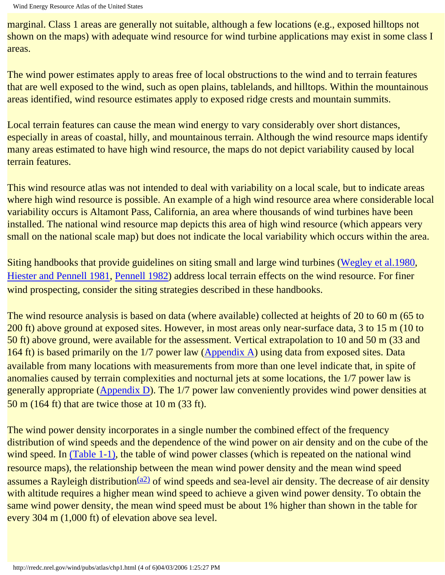marginal. Class 1 areas are generally not suitable, although a few locations (e.g., exposed hilltops not shown on the maps) with adequate wind resource for wind turbine applications may exist in some class I areas.

The wind power estimates apply to areas free of local obstructions to the wind and to terrain features that are well exposed to the wind, such as open plains, tablelands, and hilltops. Within the mountainous areas identified, wind resource estimates apply to exposed ridge crests and mountain summits.

Local terrain features can cause the mean wind energy to vary considerably over short distances, especially in areas of coastal, hilly, and mountainous terrain. Although the wind resource maps identify many areas estimated to have high wind resource, the maps do not depict variability caused by local terrain features.

This wind resource atlas was not intended to deal with variability on a local scale, but to indicate areas where high wind resource is possible. An example of a high wind resource area where considerable local variability occurs is Altamont Pass, California, an area where thousands of wind turbines have been installed. The national wind resource map depicts this area of high wind resource (which appears very small on the national scale map) but does not indicate the local variability which occurs within the area.

Siting handbooks that provide guidelines on siting small and large wind turbines (Wegley et al.1980, Hiester and Pennell 1981, Pennell 1982) address local terrain effects on the wind resource. For finer wind prospecting, consider the siting strategies described in these handbooks.

The wind resource analysis is based on data (where available) collected at heights of 20 to 60 m (65 to 200 ft) above ground at exposed sites. However, in most areas only near-surface data, 3 to 15 m (10 to 50 ft) above ground, were available for the assessment. Vertical extrapolation to 10 and 50 m (33 and 164 ft) is based primarily on the 1/7 power law [\(Appendix A](#page-72-1)) using data from exposed sites. Data available from many locations with measurements from more than one level indicate that, in spite of anomalies caused by terrain complexities and nocturnal jets at some locations, the 1/7 power law is generally appropriate ([Appendix D](#page-103-1)). The 1/7 power law conveniently provides wind power densities at 50 m (164 ft) that are twice those at 10 m (33 ft).

The wind power density incorporates in a single number the combined effect of the frequency distribution of wind speeds and the dependence of the wind power on air density and on the cube of the wind speed. In [\(Table 1-1\),](http://rredc.nrel.gov/wind/pubs/atlas/tables/1-1T.html) the table of wind power classes (which is repeated on the national wind resource maps), the relationship between the mean wind power density and the mean wind speed assumes a Rayleigh distribution<sup>(a2)</sup> of wind speeds and sea-level air density. The decrease of air density with altitude requires a higher mean wind speed to achieve a given wind power density. To obtain the same wind power density, the mean wind speed must be about 1% higher than shown in the table for every 304 m (1,000 ft) of elevation above sea level.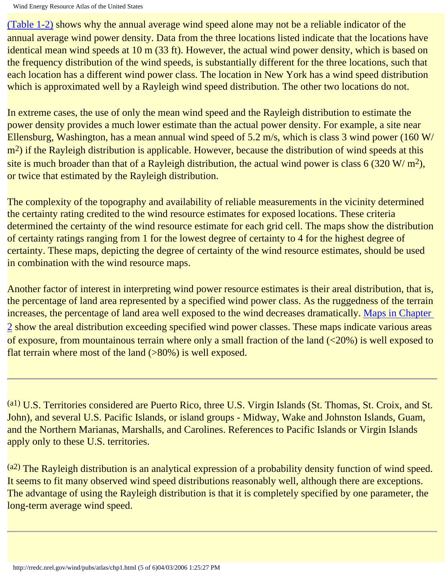[\(Table 1-2\)](http://rredc.nrel.gov/wind/pubs/atlas/tables/1-2T.html) shows why the annual average wind speed alone may not be a reliable indicator of the annual average wind power density. Data from the three locations listed indicate that the locations have identical mean wind speeds at 10 m (33 ft). However, the actual wind power density, which is based on the frequency distribution of the wind speeds, is substantially different for the three locations, such that each location has a different wind power class. The location in New York has a wind speed distribution which is approximated well by a Rayleigh wind speed distribution. The other two locations do not.

In extreme cases, the use of only the mean wind speed and the Rayleigh distribution to estimate the power density provides a much lower estimate than the actual power density. For example, a site near Ellensburg, Washington, has a mean annual wind speed of 5.2 m/s, which is class 3 wind power (160 W/ m<sup>2</sup>) if the Rayleigh distribution is applicable. However, because the distribution of wind speeds at this site is much broader than that of a Rayleigh distribution, the actual wind power is class 6 (320 W/  $m^2$ ), or twice that estimated by the Rayleigh distribution.

The complexity of the topography and availability of reliable measurements in the vicinity determined the certainty rating credited to the wind resource estimates for exposed locations. These criteria determined the certainty of the wind resource estimate for each grid cell. The maps show the distribution of certainty ratings ranging from 1 for the lowest degree of certainty to 4 for the highest degree of certainty. These maps, depicting the degree of certainty of the wind resource estimates, should be used in combination with the wind resource maps.

Another factor of interest in interpreting wind power resource estimates is their areal distribution, that is, the percentage of land area represented by a specified wind power class. As the ruggedness of the terrain increases, the percentage of land area well exposed to the wind decreases dramatically. [Maps in Chapter](#page-5-1)  [2](#page-5-1) show the areal distribution exceeding specified wind power classes. These maps indicate various areas of exposure, from mountainous terrain where only a small fraction of the land (<20%) is well exposed to flat terrain where most of the land (>80%) is well exposed.

<span id="page-21-0"></span>(a1) U.S. Territories considered are Puerto Rico, three U.S. Virgin Islands (St. Thomas, St. Croix, and St. John), and several U.S. Pacific Islands, or island groups - Midway, Wake and Johnston Islands, Guam, and the Northern Marianas, Marshalls, and Carolines. References to Pacific Islands or Virgin Islands apply only to these U.S. territories.

 $(a<sup>2</sup>)$  The Rayleigh distribution is an analytical expression of a probability density function of wind speed. It seems to fit many observed wind speed distributions reasonably well, although there are exceptions. The advantage of using the Rayleigh distribution is that it is completely specified by one parameter, the long-term average wind speed.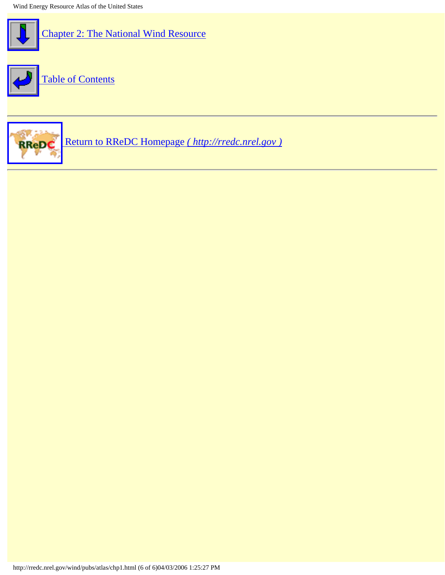

 [Chapter 2: The National Wind Resource](#page-23-1)



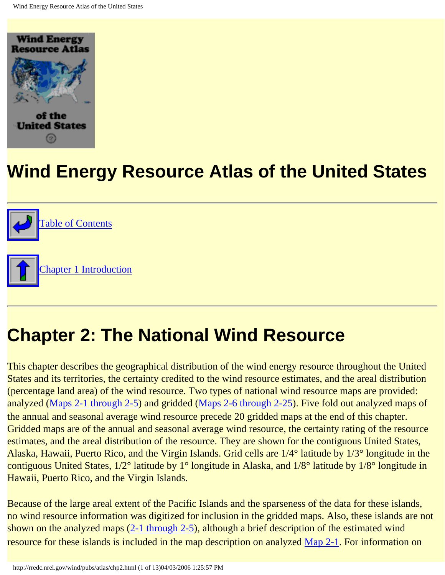<span id="page-23-1"></span><span id="page-23-0"></span>



# **Chapter 2: The National Wind Resource**

This chapter describes the geographical distribution of the wind energy resource throughout the United States and its territories, the certainty credited to the wind resource estimates, and the areal distribution (percentage land area) of the wind resource. Two types of national wind resource maps are provided: analyzed ([Maps 2-1 through 2-5](#page-5-1)) and gridded (Maps 2-6 through 2-25). Five fold out analyzed maps of the annual and seasonal average wind resource precede 20 gridded maps at the end of this chapter. Gridded maps are of the annual and seasonal average wind resource, the certainty rating of the resource estimates, and the areal distribution of the resource. They are shown for the contiguous United States, Alaska, Hawaii, Puerto Rico, and the Virgin Islands. Grid cells are 1/4° latitude by 1/3° longitude in the contiguous United States, 1/2° latitude by 1° longitude in Alaska, and 1/8° latitude by 1/8° longitude in Hawaii, Puerto Rico, and the Virgin Islands.

Because of the large areal extent of the Pacific Islands and the sparseness of the data for these islands, no wind resource information was digitized for inclusion in the gridded maps. Also, these islands are not shown on the analyzed maps [\(2-1 through 2-5](#page-5-1)), although a brief description of the estimated wind resource for these islands is included in the map description on analyzed [Map 2-1.](http://rredc.nrel.gov/wind/pubs/atlas/maps/chap2/2-01m.html) For information on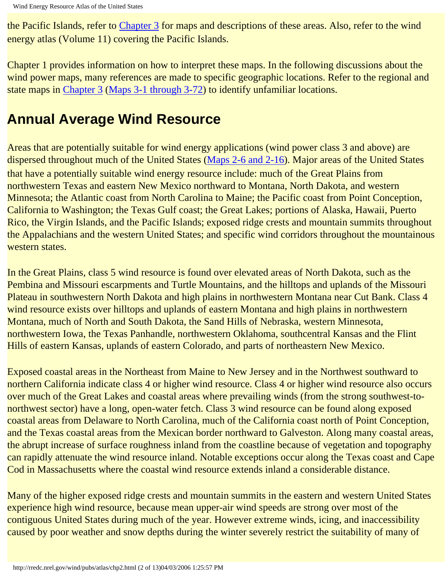the Pacific Islands, refer to [Chapter 3](#page-36-1) for maps and descriptions of these areas. Also, refer to the wind energy atlas (Volume 11) covering the Pacific Islands.

Chapter 1 provides information on how to interpret these maps. In the following discussions about the wind power maps, many references are made to specific geographic locations. Refer to the regional and state maps in [Chapter 3](#page-36-1) (Maps 3-1 through 3-72) to identify unfamiliar locations.

## **Annual Average Wind Resource**

Areas that are potentially suitable for wind energy applications (wind power class 3 and above) are dispersed throughout much of the United States (Maps 2-6 and 2-16). Major areas of the United States that have a potentially suitable wind energy resource include: much of the Great Plains from northwestern Texas and eastern New Mexico northward to Montana, North Dakota, and western Minnesota; the Atlantic coast from North Carolina to Maine; the Pacific coast from Point Conception, California to Washington; the Texas Gulf coast; the Great Lakes; portions of Alaska, Hawaii, Puerto Rico, the Virgin Islands, and the Pacific Islands; exposed ridge crests and mountain summits throughout the Appalachians and the western United States; and specific wind corridors throughout the mountainous western states.

In the Great Plains, class 5 wind resource is found over elevated areas of North Dakota, such as the Pembina and Missouri escarpments and Turtle Mountains, and the hilltops and uplands of the Missouri Plateau in southwestern North Dakota and high plains in northwestern Montana near Cut Bank. Class 4 wind resource exists over hilltops and uplands of eastern Montana and high plains in northwestern Montana, much of North and South Dakota, the Sand Hills of Nebraska, western Minnesota, northwestern Iowa, the Texas Panhandle, northwestern Oklahoma, southcentral Kansas and the Flint Hills of eastern Kansas, uplands of eastern Colorado, and parts of northeastern New Mexico.

Exposed coastal areas in the Northeast from Maine to New Jersey and in the Northwest southward to northern California indicate class 4 or higher wind resource. Class 4 or higher wind resource also occurs over much of the Great Lakes and coastal areas where prevailing winds (from the strong southwest-tonorthwest sector) have a long, open-water fetch. Class 3 wind resource can be found along exposed coastal areas from Delaware to North Carolina, much of the California coast north of Point Conception, and the Texas coastal areas from the Mexican border northward to Galveston. Along many coastal areas, the abrupt increase of surface roughness inland from the coastline because of vegetation and topography can rapidly attenuate the wind resource inland. Notable exceptions occur along the Texas coast and Cape Cod in Massachusetts where the coastal wind resource extends inland a considerable distance.

Many of the higher exposed ridge crests and mountain summits in the eastern and western United States experience high wind resource, because mean upper-air wind speeds are strong over most of the contiguous United States during much of the year. However extreme winds, icing, and inaccessibility caused by poor weather and snow depths during the winter severely restrict the suitability of many of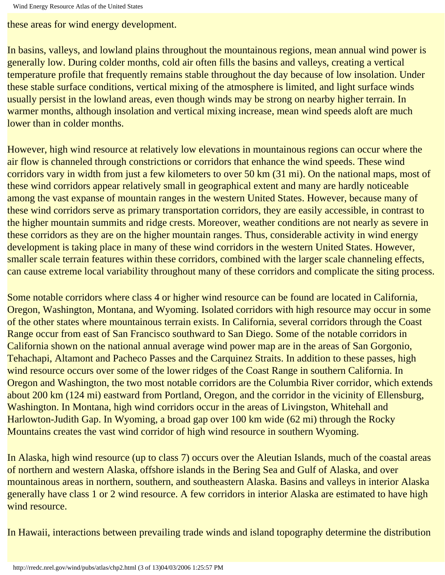these areas for wind energy development.

In basins, valleys, and lowland plains throughout the mountainous regions, mean annual wind power is generally low. During colder months, cold air often fills the basins and valleys, creating a vertical temperature profile that frequently remains stable throughout the day because of low insolation. Under these stable surface conditions, vertical mixing of the atmosphere is limited, and light surface winds usually persist in the lowland areas, even though winds may be strong on nearby higher terrain. In warmer months, although insolation and vertical mixing increase, mean wind speeds aloft are much lower than in colder months.

However, high wind resource at relatively low elevations in mountainous regions can occur where the air flow is channeled through constrictions or corridors that enhance the wind speeds. These wind corridors vary in width from just a few kilometers to over 50 km (31 mi). On the national maps, most of these wind corridors appear relatively small in geographical extent and many are hardly noticeable among the vast expanse of mountain ranges in the western United States. However, because many of these wind corridors serve as primary transportation corridors, they are easily accessible, in contrast to the higher mountain summits and ridge crests. Moreover, weather conditions are not nearly as severe in these corridors as they are on the higher mountain ranges. Thus, considerable activity in wind energy development is taking place in many of these wind corridors in the western United States. However, smaller scale terrain features within these corridors, combined with the larger scale channeling effects, can cause extreme local variability throughout many of these corridors and complicate the siting process.

Some notable corridors where class 4 or higher wind resource can be found are located in California, Oregon, Washington, Montana, and Wyoming. Isolated corridors with high resource may occur in some of the other states where mountainous terrain exists. In California, several corridors through the Coast Range occur from east of San Francisco southward to San Diego. Some of the notable corridors in California shown on the national annual average wind power map are in the areas of San Gorgonio, Tehachapi, Altamont and Pacheco Passes and the Carquinez Straits. In addition to these passes, high wind resource occurs over some of the lower ridges of the Coast Range in southern California. In Oregon and Washington, the two most notable corridors are the Columbia River corridor, which extends about 200 km (124 mi) eastward from Portland, Oregon, and the corridor in the vicinity of Ellensburg, Washington. In Montana, high wind corridors occur in the areas of Livingston, Whitehall and Harlowton-Judith Gap. In Wyoming, a broad gap over 100 km wide (62 mi) through the Rocky Mountains creates the vast wind corridor of high wind resource in southern Wyoming.

In Alaska, high wind resource (up to class 7) occurs over the Aleutian Islands, much of the coastal areas of northern and western Alaska, offshore islands in the Bering Sea and Gulf of Alaska, and over mountainous areas in northern, southern, and southeastern Alaska. Basins and valleys in interior Alaska generally have class 1 or 2 wind resource. A few corridors in interior Alaska are estimated to have high wind resource.

In Hawaii, interactions between prevailing trade winds and island topography determine the distribution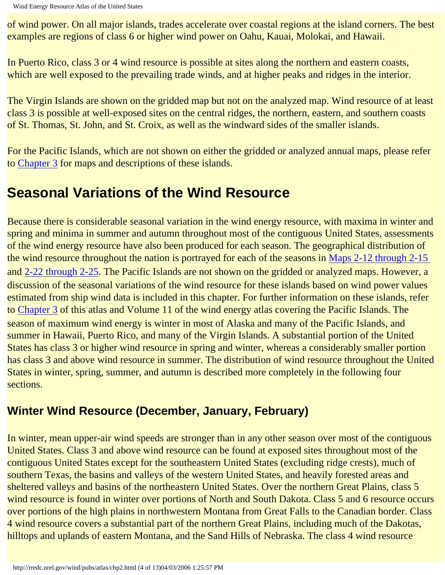of wind power. On all major islands, trades accelerate over coastal regions at the island corners. The best examples are regions of class 6 or higher wind power on Oahu, Kauai, Molokai, and Hawaii.

In Puerto Rico, class 3 or 4 wind resource is possible at sites along the northern and eastern coasts, which are well exposed to the prevailing trade winds, and at higher peaks and ridges in the interior.

The Virgin Islands are shown on the gridded map but not on the analyzed map. Wind resource of at least class 3 is possible at well-exposed sites on the central ridges, the northern, eastern, and southern coasts of St. Thomas, St. John, and St. Croix, as well as the windward sides of the smaller islands.

For the Pacific Islands, which are not shown on either the gridded or analyzed annual maps, please refer to [Chapter 3](#page-36-1) for maps and descriptions of these islands.

## **Seasonal Variations of the Wind Resource**

Because there is considerable seasonal variation in the wind energy resource, with maxima in winter and spring and minima in summer and autumn throughout most of the contiguous United States, assessments of the wind energy resource have also been produced for each season. The geographical distribution of the wind resource throughout the nation is portrayed for each of the seasons in Maps 2-12 through 2-15 and 2-22 through 2-25. The Pacific Islands are not shown on the gridded or analyzed maps. However, a discussion of the seasonal variations of the wind resource for these islands based on wind power values estimated from ship wind data is included in this chapter. For further information on these islands, refer to [Chapter 3](#page-36-1) of this atlas and Volume 11 of the wind energy atlas covering the Pacific Islands. The season of maximum wind energy is winter in most of Alaska and many of the Pacific Islands, and summer in Hawaii, Puerto Rico, and many of the Virgin Islands. A substantial portion of the United States has class 3 or higher wind resource in spring and winter, whereas a considerably smaller portion has class 3 and above wind resource in summer. The distribution of wind resource throughout the United States in winter, spring, summer, and autumn is described more completely in the following four sections.

### **Winter Wind Resource (December, January, February)**

In winter, mean upper-air wind speeds are stronger than in any other season over most of the contiguous United States. Class 3 and above wind resource can be found at exposed sites throughout most of the contiguous United States except for the southeastern United States (excluding ridge crests), much of southern Texas, the basins and valleys of the western United States, and heavily forested areas and sheltered valleys and basins of the northeastern United States. Over the northern Great Plains, class 5 wind resource is found in winter over portions of North and South Dakota. Class 5 and 6 resource occurs over portions of the high plains in northwestern Montana from Great Falls to the Canadian border. Class 4 wind resource covers a substantial part of the northern Great Plains, including much of the Dakotas, hilltops and uplands of eastern Montana, and the Sand Hills of Nebraska. The class 4 wind resource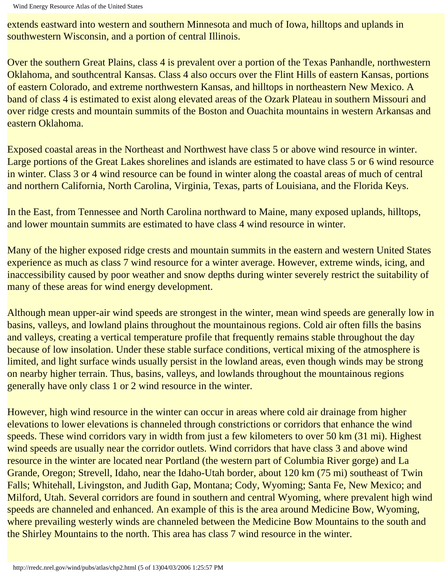extends eastward into western and southern Minnesota and much of Iowa, hilltops and uplands in southwestern Wisconsin, and a portion of central Illinois.

Over the southern Great Plains, class 4 is prevalent over a portion of the Texas Panhandle, northwestern Oklahoma, and southcentral Kansas. Class 4 also occurs over the Flint Hills of eastern Kansas, portions of eastern Colorado, and extreme northwestern Kansas, and hilltops in northeastern New Mexico. A band of class 4 is estimated to exist along elevated areas of the Ozark Plateau in southern Missouri and over ridge crests and mountain summits of the Boston and Ouachita mountains in western Arkansas and eastern Oklahoma.

Exposed coastal areas in the Northeast and Northwest have class 5 or above wind resource in winter. Large portions of the Great Lakes shorelines and islands are estimated to have class 5 or 6 wind resource in winter. Class 3 or 4 wind resource can be found in winter along the coastal areas of much of central and northern California, North Carolina, Virginia, Texas, parts of Louisiana, and the Florida Keys.

In the East, from Tennessee and North Carolina northward to Maine, many exposed uplands, hilltops, and lower mountain summits are estimated to have class 4 wind resource in winter.

Many of the higher exposed ridge crests and mountain summits in the eastern and western United States experience as much as class 7 wind resource for a winter average. However, extreme winds, icing, and inaccessibility caused by poor weather and snow depths during winter severely restrict the suitability of many of these areas for wind energy development.

Although mean upper-air wind speeds are strongest in the winter, mean wind speeds are generally low in basins, valleys, and lowland plains throughout the mountainous regions. Cold air often fills the basins and valleys, creating a vertical temperature profile that frequently remains stable throughout the day because of low insolation. Under these stable surface conditions, vertical mixing of the atmosphere is limited, and light surface winds usually persist in the lowland areas, even though winds may be strong on nearby higher terrain. Thus, basins, valleys, and lowlands throughout the mountainous regions generally have only class 1 or 2 wind resource in the winter.

However, high wind resource in the winter can occur in areas where cold air drainage from higher elevations to lower elevations is channeled through constrictions or corridors that enhance the wind speeds. These wind corridors vary in width from just a few kilometers to over 50 km (31 mi). Highest wind speeds are usually near the corridor outlets. Wind corridors that have class 3 and above wind resource in the winter are located near Portland (the western part of Columbia River gorge) and La Grande, Oregon; Strevell, Idaho, near the Idaho-Utah border, about 120 km (75 mi) southeast of Twin Falls; Whitehall, Livingston, and Judith Gap, Montana; Cody, Wyoming; Santa Fe, New Mexico; and Milford, Utah. Several corridors are found in southern and central Wyoming, where prevalent high wind speeds are channeled and enhanced. An example of this is the area around Medicine Bow, Wyoming, where prevailing westerly winds are channeled between the Medicine Bow Mountains to the south and the Shirley Mountains to the north. This area has class 7 wind resource in the winter.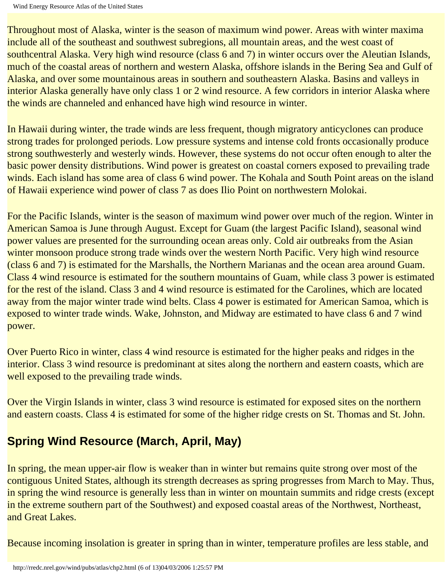Throughout most of Alaska, winter is the season of maximum wind power. Areas with winter maxima include all of the southeast and southwest subregions, all mountain areas, and the west coast of southcentral Alaska. Very high wind resource (class 6 and 7) in winter occurs over the Aleutian Islands, much of the coastal areas of northern and western Alaska, offshore islands in the Bering Sea and Gulf of Alaska, and over some mountainous areas in southern and southeastern Alaska. Basins and valleys in interior Alaska generally have only class 1 or 2 wind resource. A few corridors in interior Alaska where the winds are channeled and enhanced have high wind resource in winter.

In Hawaii during winter, the trade winds are less frequent, though migratory anticyclones can produce strong trades for prolonged periods. Low pressure systems and intense cold fronts occasionally produce strong southwesterly and westerly winds. However, these systems do not occur often enough to alter the basic power density distributions. Wind power is greatest on coastal corners exposed to prevailing trade winds. Each island has some area of class 6 wind power. The Kohala and South Point areas on the island of Hawaii experience wind power of class 7 as does Ilio Point on northwestern Molokai.

For the Pacific Islands, winter is the season of maximum wind power over much of the region. Winter in American Samoa is June through August. Except for Guam (the largest Pacific Island), seasonal wind power values are presented for the surrounding ocean areas only. Cold air outbreaks from the Asian winter monsoon produce strong trade winds over the western North Pacific. Very high wind resource (class 6 and 7) is estimated for the Marshalls, the Northern Marianas and the ocean area around Guam. Class 4 wind resource is estimated for the southern mountains of Guam, while class 3 power is estimated for the rest of the island. Class 3 and 4 wind resource is estimated for the Carolines, which are located away from the major winter trade wind belts. Class 4 power is estimated for American Samoa, which is exposed to winter trade winds. Wake, Johnston, and Midway are estimated to have class 6 and 7 wind power.

Over Puerto Rico in winter, class 4 wind resource is estimated for the higher peaks and ridges in the interior. Class 3 wind resource is predominant at sites along the northern and eastern coasts, which are well exposed to the prevailing trade winds.

Over the Virgin Islands in winter, class 3 wind resource is estimated for exposed sites on the northern and eastern coasts. Class 4 is estimated for some of the higher ridge crests on St. Thomas and St. John.

## **Spring Wind Resource (March, April, May)**

In spring, the mean upper-air flow is weaker than in winter but remains quite strong over most of the contiguous United States, although its strength decreases as spring progresses from March to May. Thus, in spring the wind resource is generally less than in winter on mountain summits and ridge crests (except in the extreme southern part of the Southwest) and exposed coastal areas of the Northwest, Northeast, and Great Lakes.

Because incoming insolation is greater in spring than in winter, temperature profiles are less stable, and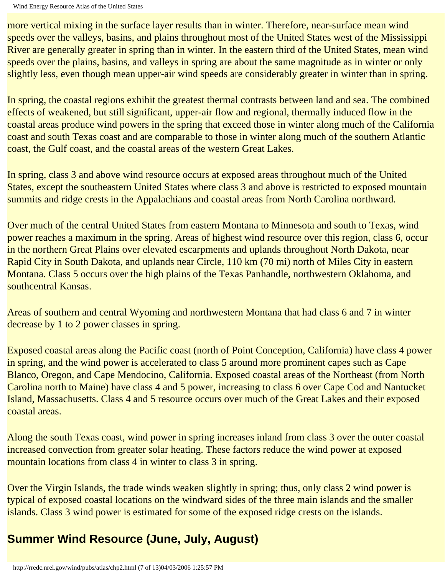more vertical mixing in the surface layer results than in winter. Therefore, near-surface mean wind speeds over the valleys, basins, and plains throughout most of the United States west of the Mississippi River are generally greater in spring than in winter. In the eastern third of the United States, mean wind speeds over the plains, basins, and valleys in spring are about the same magnitude as in winter or only slightly less, even though mean upper-air wind speeds are considerably greater in winter than in spring.

In spring, the coastal regions exhibit the greatest thermal contrasts between land and sea. The combined effects of weakened, but still significant, upper-air flow and regional, thermally induced flow in the coastal areas produce wind powers in the spring that exceed those in winter along much of the California coast and south Texas coast and are comparable to those in winter along much of the southern Atlantic coast, the Gulf coast, and the coastal areas of the western Great Lakes.

In spring, class 3 and above wind resource occurs at exposed areas throughout much of the United States, except the southeastern United States where class 3 and above is restricted to exposed mountain summits and ridge crests in the Appalachians and coastal areas from North Carolina northward.

Over much of the central United States from eastern Montana to Minnesota and south to Texas, wind power reaches a maximum in the spring. Areas of highest wind resource over this region, class 6, occur in the northern Great Plains over elevated escarpments and uplands throughout North Dakota, near Rapid City in South Dakota, and uplands near Circle, 110 km (70 mi) north of Miles City in eastern Montana. Class 5 occurs over the high plains of the Texas Panhandle, northwestern Oklahoma, and southcentral Kansas.

Areas of southern and central Wyoming and northwestern Montana that had class 6 and 7 in winter decrease by 1 to 2 power classes in spring.

Exposed coastal areas along the Pacific coast (north of Point Conception, California) have class 4 power in spring, and the wind power is accelerated to class 5 around more prominent capes such as Cape Blanco, Oregon, and Cape Mendocino, California. Exposed coastal areas of the Northeast (from North Carolina north to Maine) have class 4 and 5 power, increasing to class 6 over Cape Cod and Nantucket Island, Massachusetts. Class 4 and 5 resource occurs over much of the Great Lakes and their exposed coastal areas.

Along the south Texas coast, wind power in spring increases inland from class 3 over the outer coastal increased convection from greater solar heating. These factors reduce the wind power at exposed mountain locations from class 4 in winter to class 3 in spring.

Over the Virgin Islands, the trade winds weaken slightly in spring; thus, only class 2 wind power is typical of exposed coastal locations on the windward sides of the three main islands and the smaller islands. Class 3 wind power is estimated for some of the exposed ridge crests on the islands.

## **Summer Wind Resource (June, July, August)**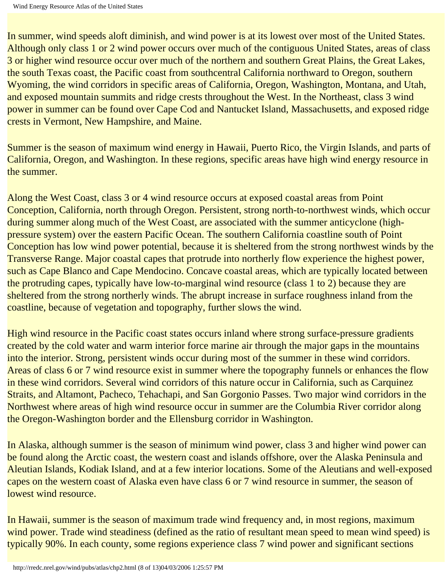In summer, wind speeds aloft diminish, and wind power is at its lowest over most of the United States. Although only class 1 or 2 wind power occurs over much of the contiguous United States, areas of class 3 or higher wind resource occur over much of the northern and southern Great Plains, the Great Lakes, the south Texas coast, the Pacific coast from southcentral California northward to Oregon, southern Wyoming, the wind corridors in specific areas of California, Oregon, Washington, Montana, and Utah, and exposed mountain summits and ridge crests throughout the West. In the Northeast, class 3 wind power in summer can be found over Cape Cod and Nantucket Island, Massachusetts, and exposed ridge crests in Vermont, New Hampshire, and Maine.

Summer is the season of maximum wind energy in Hawaii, Puerto Rico, the Virgin Islands, and parts of California, Oregon, and Washington. In these regions, specific areas have high wind energy resource in the summer.

Along the West Coast, class 3 or 4 wind resource occurs at exposed coastal areas from Point Conception, California, north through Oregon. Persistent, strong north-to-northwest winds, which occur during summer along much of the West Coast, are associated with the summer anticyclone (highpressure system) over the eastern Pacific Ocean. The southern California coastline south of Point Conception has low wind power potential, because it is sheltered from the strong northwest winds by the Transverse Range. Major coastal capes that protrude into northerly flow experience the highest power, such as Cape Blanco and Cape Mendocino. Concave coastal areas, which are typically located between the protruding capes, typically have low-to-marginal wind resource (class 1 to 2) because they are sheltered from the strong northerly winds. The abrupt increase in surface roughness inland from the coastline, because of vegetation and topography, further slows the wind.

High wind resource in the Pacific coast states occurs inland where strong surface-pressure gradients created by the cold water and warm interior force marine air through the major gaps in the mountains into the interior. Strong, persistent winds occur during most of the summer in these wind corridors. Areas of class 6 or 7 wind resource exist in summer where the topography funnels or enhances the flow in these wind corridors. Several wind corridors of this nature occur in California, such as Carquinez Straits, and Altamont, Pacheco, Tehachapi, and San Gorgonio Passes. Two major wind corridors in the Northwest where areas of high wind resource occur in summer are the Columbia River corridor along the Oregon-Washington border and the Ellensburg corridor in Washington.

In Alaska, although summer is the season of minimum wind power, class 3 and higher wind power can be found along the Arctic coast, the western coast and islands offshore, over the Alaska Peninsula and Aleutian Islands, Kodiak Island, and at a few interior locations. Some of the Aleutians and well-exposed capes on the western coast of Alaska even have class 6 or 7 wind resource in summer, the season of lowest wind resource.

In Hawaii, summer is the season of maximum trade wind frequency and, in most regions, maximum wind power. Trade wind steadiness (defined as the ratio of resultant mean speed to mean wind speed) is typically 90%. In each county, some regions experience class 7 wind power and significant sections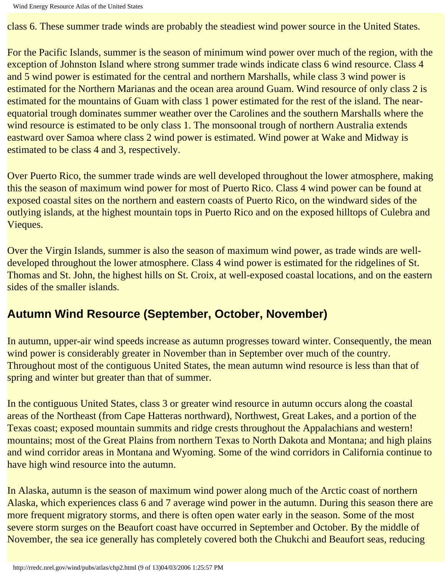class 6. These summer trade winds are probably the steadiest wind power source in the United States.

For the Pacific Islands, summer is the season of minimum wind power over much of the region, with the exception of Johnston Island where strong summer trade winds indicate class 6 wind resource. Class 4 and 5 wind power is estimated for the central and northern Marshalls, while class 3 wind power is estimated for the Northern Marianas and the ocean area around Guam. Wind resource of only class 2 is estimated for the mountains of Guam with class 1 power estimated for the rest of the island. The nearequatorial trough dominates summer weather over the Carolines and the southern Marshalls where the wind resource is estimated to be only class 1. The monsoonal trough of northern Australia extends eastward over Samoa where class 2 wind power is estimated. Wind power at Wake and Midway is estimated to be class 4 and 3, respectively.

Over Puerto Rico, the summer trade winds are well developed throughout the lower atmosphere, making this the season of maximum wind power for most of Puerto Rico. Class 4 wind power can be found at exposed coastal sites on the northern and eastern coasts of Puerto Rico, on the windward sides of the outlying islands, at the highest mountain tops in Puerto Rico and on the exposed hilltops of Culebra and Vieques.

Over the Virgin Islands, summer is also the season of maximum wind power, as trade winds are welldeveloped throughout the lower atmosphere. Class 4 wind power is estimated for the ridgelines of St. Thomas and St. John, the highest hills on St. Croix, at well-exposed coastal locations, and on the eastern sides of the smaller islands.

### **Autumn Wind Resource (September, October, November)**

In autumn, upper-air wind speeds increase as autumn progresses toward winter. Consequently, the mean wind power is considerably greater in November than in September over much of the country. Throughout most of the contiguous United States, the mean autumn wind resource is less than that of spring and winter but greater than that of summer.

In the contiguous United States, class 3 or greater wind resource in autumn occurs along the coastal areas of the Northeast (from Cape Hatteras northward), Northwest, Great Lakes, and a portion of the Texas coast; exposed mountain summits and ridge crests throughout the Appalachians and western! mountains; most of the Great Plains from northern Texas to North Dakota and Montana; and high plains and wind corridor areas in Montana and Wyoming. Some of the wind corridors in California continue to have high wind resource into the autumn.

In Alaska, autumn is the season of maximum wind power along much of the Arctic coast of northern Alaska, which experiences class 6 and 7 average wind power in the autumn. During this season there are more frequent migratory storms, and there is often open water early in the season. Some of the most severe storm surges on the Beaufort coast have occurred in September and October. By the middle of November, the sea ice generally has completely covered both the Chukchi and Beaufort seas, reducing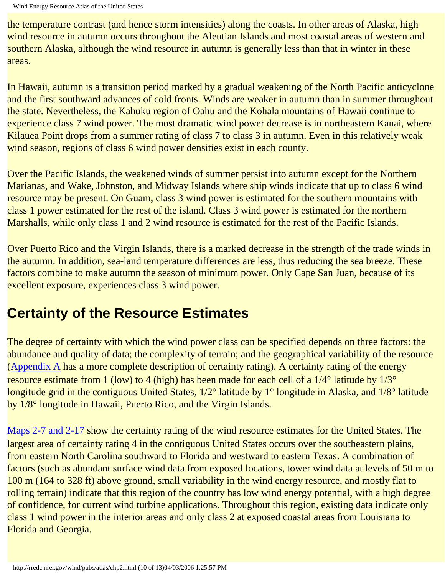the temperature contrast (and hence storm intensities) along the coasts. In other areas of Alaska, high wind resource in autumn occurs throughout the Aleutian Islands and most coastal areas of western and southern Alaska, although the wind resource in autumn is generally less than that in winter in these areas.

In Hawaii, autumn is a transition period marked by a gradual weakening of the North Pacific anticyclone and the first southward advances of cold fronts. Winds are weaker in autumn than in summer throughout the state. Nevertheless, the Kahuku region of Oahu and the Kohala mountains of Hawaii continue to experience class 7 wind power. The most dramatic wind power decrease is in northeastern Kanai, where Kilauea Point drops from a summer rating of class 7 to class 3 in autumn. Even in this relatively weak wind season, regions of class 6 wind power densities exist in each county.

Over the Pacific Islands, the weakened winds of summer persist into autumn except for the Northern Marianas, and Wake, Johnston, and Midway Islands where ship winds indicate that up to class 6 wind resource may be present. On Guam, class 3 wind power is estimated for the southern mountains with class 1 power estimated for the rest of the island. Class 3 wind power is estimated for the northern Marshalls, while only class 1 and 2 wind resource is estimated for the rest of the Pacific Islands.

Over Puerto Rico and the Virgin Islands, there is a marked decrease in the strength of the trade winds in the autumn. In addition, sea-land temperature differences are less, thus reducing the sea breeze. These factors combine to make autumn the season of minimum power. Only Cape San Juan, because of its excellent exposure, experiences class 3 wind power.

## **Certainty of the Resource Estimates**

The degree of certainty with which the wind power class can be specified depends on three factors: the abundance and quality of data; the complexity of terrain; and the geographical variability of the resource ([Appendix A](#page-90-1) has a more complete description of certainty rating). A certainty rating of the energy resource estimate from 1 (low) to 4 (high) has been made for each cell of a 1/4° latitude by 1/3° longitude grid in the contiguous United States, 1/2° latitude by 1° longitude in Alaska, and 1/8° latitude by 1/8° longitude in Hawaii, Puerto Rico, and the Virgin Islands.

[Maps 2-7 and 2-17](#page-5-1) show the certainty rating of the wind resource estimates for the United States. The largest area of certainty rating 4 in the contiguous United States occurs over the southeastern plains, from eastern North Carolina southward to Florida and westward to eastern Texas. A combination of factors (such as abundant surface wind data from exposed locations, tower wind data at levels of 50 m to 100 m (164 to 328 ft) above ground, small variability in the wind energy resource, and mostly flat to rolling terrain) indicate that this region of the country has low wind energy potential, with a high degree of confidence, for current wind turbine applications. Throughout this region, existing data indicate only class 1 wind power in the interior areas and only class 2 at exposed coastal areas from Louisiana to Florida and Georgia.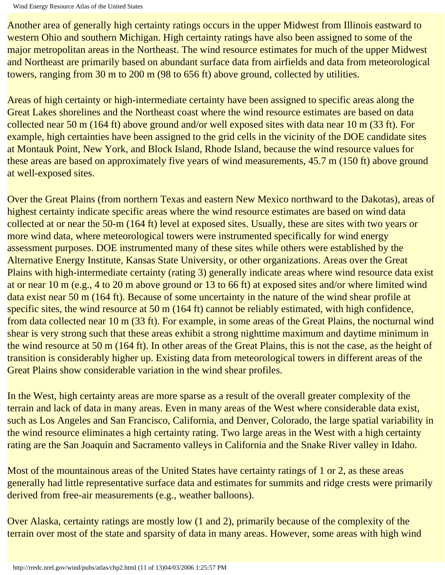Another area of generally high certainty ratings occurs in the upper Midwest from Illinois eastward to western Ohio and southern Michigan. High certainty ratings have also been assigned to some of the major metropolitan areas in the Northeast. The wind resource estimates for much of the upper Midwest and Northeast are primarily based on abundant surface data from airfields and data from meteorological towers, ranging from 30 m to 200 m (98 to 656 ft) above ground, collected by utilities.

Areas of high certainty or high-intermediate certainty have been assigned to specific areas along the Great Lakes shorelines and the Northeast coast where the wind resource estimates are based on data collected near 50 m (164 ft) above ground and/or well exposed sites with data near 10 m (33 ft). For example, high certainties have been assigned to the grid cells in the vicinity of the DOE candidate sites at Montauk Point, New York, and Block Island, Rhode Island, because the wind resource values for these areas are based on approximately five years of wind measurements, 45.7 m (150 ft) above ground at well-exposed sites.

Over the Great Plains (from northern Texas and eastern New Mexico northward to the Dakotas), areas of highest certainty indicate specific areas where the wind resource estimates are based on wind data collected at or near the 50-m (164 ft) level at exposed sites. Usually, these are sites with two years or more wind data, where meteorological towers were instrumented specifically for wind energy assessment purposes. DOE instrumented many of these sites while others were established by the Alternative Energy Institute, Kansas State University, or other organizations. Areas over the Great Plains with high-intermediate certainty (rating 3) generally indicate areas where wind resource data exist at or near 10 m (e.g., 4 to 20 m above ground or 13 to 66 ft) at exposed sites and/or where limited wind data exist near 50 m (164 ft). Because of some uncertainty in the nature of the wind shear profile at specific sites, the wind resource at 50 m (164 ft) cannot be reliably estimated, with high confidence, from data collected near 10 m (33 ft). For example, in some areas of the Great Plains, the nocturnal wind shear is very strong such that these areas exhibit a strong nighttime maximum and daytime minimum in the wind resource at 50 m (164 ft). In other areas of the Great Plains, this is not the case, as the height of transition is considerably higher up. Existing data from meteorological towers in different areas of the Great Plains show considerable variation in the wind shear profiles.

In the West, high certainty areas are more sparse as a result of the overall greater complexity of the terrain and lack of data in many areas. Even in many areas of the West where considerable data exist, such as Los Angeles and San Francisco, California, and Denver, Colorado, the large spatial variability in the wind resource eliminates a high certainty rating. Two large areas in the West with a high certainty rating are the San Joaquin and Sacramento valleys in California and the Snake River valley in Idaho.

Most of the mountainous areas of the United States have certainty ratings of 1 or 2, as these areas generally had little representative surface data and estimates for summits and ridge crests were primarily derived from free-air measurements (e.g., weather balloons).

Over Alaska, certainty ratings are mostly low (1 and 2), primarily because of the complexity of the terrain over most of the state and sparsity of data in many areas. However, some areas with high wind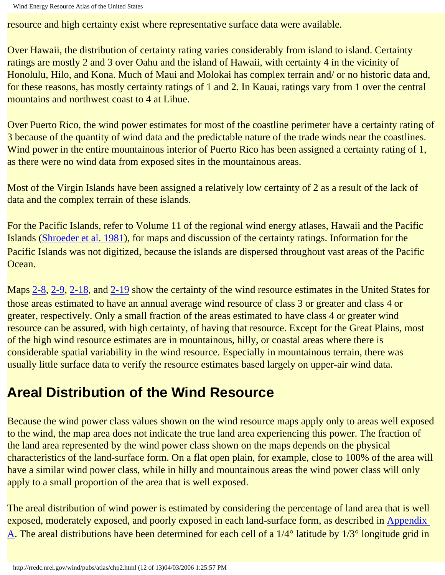resource and high certainty exist where representative surface data were available.

Over Hawaii, the distribution of certainty rating varies considerably from island to island. Certainty ratings are mostly 2 and 3 over Oahu and the island of Hawaii, with certainty 4 in the vicinity of Honolulu, Hilo, and Kona. Much of Maui and Molokai has complex terrain and/ or no historic data and, for these reasons, has mostly certainty ratings of 1 and 2. In Kauai, ratings vary from 1 over the central mountains and northwest coast to 4 at Lihue.

Over Puerto Rico, the wind power estimates for most of the coastline perimeter have a certainty rating of 3 because of the quantity of wind data and the predictable nature of the trade winds near the coastlines. Wind power in the entire mountainous interior of Puerto Rico has been assigned a certainty rating of 1, as there were no wind data from exposed sites in the mountainous areas.

Most of the Virgin Islands have been assigned a relatively low certainty of 2 as a result of the lack of data and the complex terrain of these islands.

For the Pacific Islands, refer to Volume 11 of the regional wind energy atlases, Hawaii and the Pacific Islands (Shroeder et al. 1981), for maps and discussion of the certainty ratings. Information for the Pacific Islands was not digitized, because the islands are dispersed throughout vast areas of the Pacific Ocean.

Maps [2-8](http://rredc.nrel.gov/wind/pubs/atlas/maps/chap2/2-08m.html), [2-9,](http://rredc.nrel.gov/wind/pubs/atlas/maps/chap2/2-09m.html) [2-18,](http://rredc.nrel.gov/wind/pubs/atlas/maps/chap2/2-18m.html) and [2-19](http://rredc.nrel.gov/wind/pubs/atlas/maps/chap2/2-19m.html) show the certainty of the wind resource estimates in the United States for those areas estimated to have an annual average wind resource of class 3 or greater and class 4 or greater, respectively. Only a small fraction of the areas estimated to have class 4 or greater wind resource can be assured, with high certainty, of having that resource. Except for the Great Plains, most of the high wind resource estimates are in mountainous, hilly, or coastal areas where there is considerable spatial variability in the wind resource. Especially in mountainous terrain, there was usually little surface data to verify the resource estimates based largely on upper-air wind data.

## **Areal Distribution of the Wind Resource**

Because the wind power class values shown on the wind resource maps apply only to areas well exposed to the wind, the map area does not indicate the true land area experiencing this power. The fraction of the land area represented by the wind power class shown on the maps depends on the physical characteristics of the land-surface form. On a flat open plain, for example, close to 100% of the area will have a similar wind power class, while in hilly and mountainous areas the wind power class will only apply to a small proportion of the area that is well exposed.

The areal distribution of wind power is estimated by considering the percentage of land area that is well exposed, moderately exposed, and poorly exposed in each land-surface form, as described in Appendix [A](#page-91-1). The areal distributions have been determined for each cell of a 1/4° latitude by 1/3° longitude grid in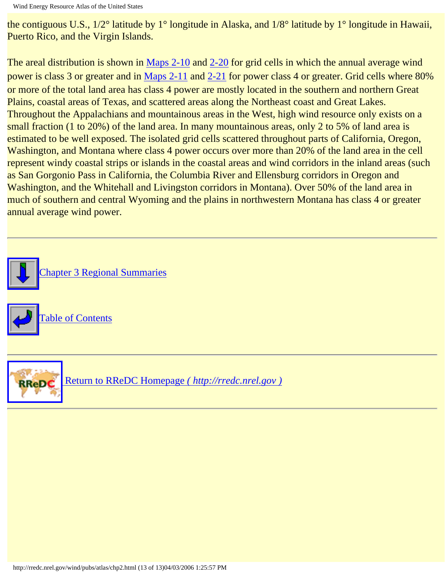the contiguous U.S., 1/2° latitude by 1° longitude in Alaska, and 1/8° latitude by 1° longitude in Hawaii, Puerto Rico, and the Virgin Islands.

The areal distribution is shown in [Maps 2-10](http://rredc.nrel.gov/wind/pubs/atlas/maps/chap2/2-10m.html) and [2-20](http://rredc.nrel.gov/wind/pubs/atlas/maps/chap2/2-20m.html) for grid cells in which the annual average wind power is class 3 or greater and in [Maps 2-11](http://rredc.nrel.gov/wind/pubs/atlas/maps/chap2/2-11m.html) and [2-21](http://rredc.nrel.gov/wind/pubs/atlas/maps/chap2/2-21m.html) for power class 4 or greater. Grid cells where 80% or more of the total land area has class 4 power are mostly located in the southern and northern Great Plains, coastal areas of Texas, and scattered areas along the Northeast coast and Great Lakes. Throughout the Appalachians and mountainous areas in the West, high wind resource only exists on a small fraction (1 to 20%) of the land area. In many mountainous areas, only 2 to 5% of land area is estimated to be well exposed. The isolated grid cells scattered throughout parts of California, Oregon, Washington, and Montana where class 4 power occurs over more than 20% of the land area in the cell represent windy coastal strips or islands in the coastal areas and wind corridors in the inland areas (such as San Gorgonio Pass in California, the Columbia River and Ellensburg corridors in Oregon and Washington, and the Whitehall and Livingston corridors in Montana). Over 50% of the land area in much of southern and central Wyoming and the plains in northwestern Montana has class 4 or greater annual average wind power.

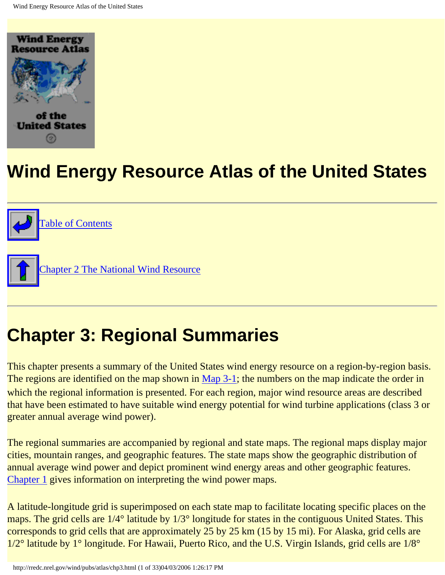<span id="page-36-0"></span>

# **Wind Energy Resource Atlas of the United States**



# **Chapter 3: Regional Summaries**

This chapter presents a summary of the United States wind energy resource on a region-by-region basis. The regions are identified on the map shown in [Map 3-1;](http://rredc.nrel.gov/wind/pubs/atlas/maps/chap3/3-01m.html) the numbers on the map indicate the order in which the regional information is presented. For each region, major wind resource areas are described that have been estimated to have suitable wind energy potential for wind turbine applications (class 3 or greater annual average wind power).

The regional summaries are accompanied by regional and state maps. The regional maps display major cities, mountain ranges, and geographic features. The state maps show the geographic distribution of annual average wind power and depict prominent wind energy areas and other geographic features. [Chapter 1](#page-17-0) gives information on interpreting the wind power maps.

A latitude-longitude grid is superimposed on each state map to facilitate locating specific places on the maps. The grid cells are  $1/4^{\circ}$  latitude by  $1/3^{\circ}$  longitude for states in the contiguous United States. This corresponds to grid cells that are approximately 25 by 25 km (15 by 15 mi). For Alaska, grid cells are 1/2° latitude by 1° longitude. For Hawaii, Puerto Rico, and the U.S. Virgin Islands, grid cells are 1/8°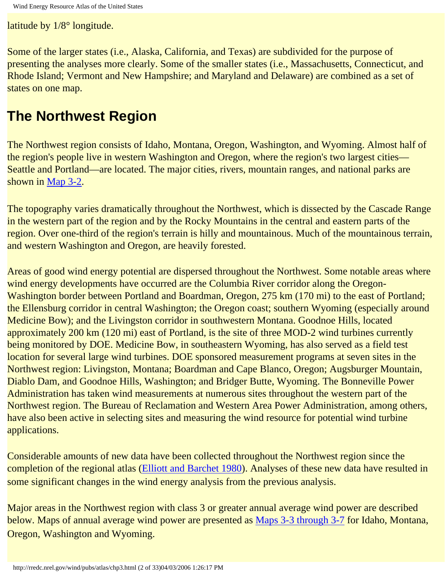latitude by 1/8° longitude.

Some of the larger states (i.e., Alaska, California, and Texas) are subdivided for the purpose of presenting the analyses more clearly. Some of the smaller states (i.e., Massachusetts, Connecticut, and Rhode Island; Vermont and New Hampshire; and Maryland and Delaware) are combined as a set of states on one map.

## **The Northwest Region**

The Northwest region consists of Idaho, Montana, Oregon, Washington, and Wyoming. Almost half of the region's people live in western Washington and Oregon, where the region's two largest cities— Seattle and Portland—are located. The major cities, rivers, mountain ranges, and national parks are shown in [Map 3-2](http://rredc.nrel.gov/wind/pubs/atlas/maps/chap3/3-02m.html).

The topography varies dramatically throughout the Northwest, which is dissected by the Cascade Range in the western part of the region and by the Rocky Mountains in the central and eastern parts of the region. Over one-third of the region's terrain is hilly and mountainous. Much of the mountainous terrain, and western Washington and Oregon, are heavily forested.

Areas of good wind energy potential are dispersed throughout the Northwest. Some notable areas where wind energy developments have occurred are the Columbia River corridor along the Oregon-Washington border between Portland and Boardman, Oregon, 275 km (170 mi) to the east of Portland; the Ellensburg corridor in central Washington; the Oregon coast; southern Wyoming (especially around Medicine Bow); and the Livingston corridor in southwestern Montana. Goodnoe Hills, located approximately 200 km (120 mi) east of Portland, is the site of three MOD-2 wind turbines currently being monitored by DOE. Medicine Bow, in southeastern Wyoming, has also served as a field test location for several large wind turbines. DOE sponsored measurement programs at seven sites in the Northwest region: Livingston, Montana; Boardman and Cape Blanco, Oregon; Augsburger Mountain, Diablo Dam, and Goodnoe Hills, Washington; and Bridger Butte, Wyoming. The Bonneville Power Administration has taken wind measurements at numerous sites throughout the western part of the Northwest region. The Bureau of Reclamation and Western Area Power Administration, among others, have also been active in selecting sites and measuring the wind resource for potential wind turbine applications.

Considerable amounts of new data have been collected throughout the Northwest region since the completion of the regional atlas (Elliott and Barchet 1980). Analyses of these new data have resulted in some significant changes in the wind energy analysis from the previous analysis.

Major areas in the Northwest region with class 3 or greater annual average wind power are described below. Maps of annual average wind power are presented as Maps 3-3 through 3-7 for Idaho, Montana, Oregon, Washington and Wyoming.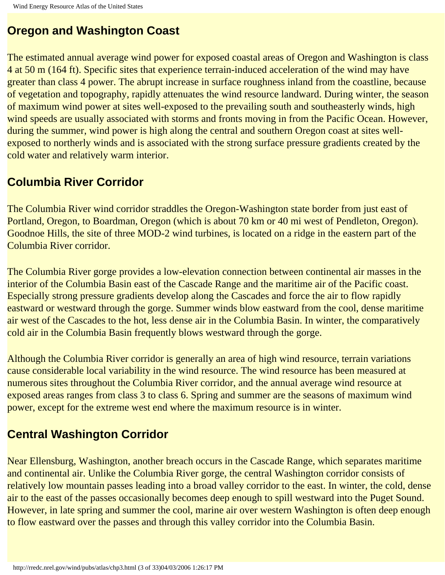### **Oregon and Washington Coast**

The estimated annual average wind power for exposed coastal areas of Oregon and Washington is class 4 at 50 m (164 ft). Specific sites that experience terrain-induced acceleration of the wind may have greater than class 4 power. The abrupt increase in surface roughness inland from the coastline, because of vegetation and topography, rapidly attenuates the wind resource landward. During winter, the season of maximum wind power at sites well-exposed to the prevailing south and southeasterly winds, high wind speeds are usually associated with storms and fronts moving in from the Pacific Ocean. However, during the summer, wind power is high along the central and southern Oregon coast at sites wellexposed to northerly winds and is associated with the strong surface pressure gradients created by the cold water and relatively warm interior.

### **Columbia River Corridor**

The Columbia River wind corridor straddles the Oregon-Washington state border from just east of Portland, Oregon, to Boardman, Oregon (which is about 70 km or 40 mi west of Pendleton, Oregon). Goodnoe Hills, the site of three MOD-2 wind turbines, is located on a ridge in the eastern part of the Columbia River corridor.

The Columbia River gorge provides a low-elevation connection between continental air masses in the interior of the Columbia Basin east of the Cascade Range and the maritime air of the Pacific coast. Especially strong pressure gradients develop along the Cascades and force the air to flow rapidly eastward or westward through the gorge. Summer winds blow eastward from the cool, dense maritime air west of the Cascades to the hot, less dense air in the Columbia Basin. In winter, the comparatively cold air in the Columbia Basin frequently blows westward through the gorge.

Although the Columbia River corridor is generally an area of high wind resource, terrain variations cause considerable local variability in the wind resource. The wind resource has been measured at numerous sites throughout the Columbia River corridor, and the annual average wind resource at exposed areas ranges from class 3 to class 6. Spring and summer are the seasons of maximum wind power, except for the extreme west end where the maximum resource is in winter.

### **Central Washington Corridor**

Near Ellensburg, Washington, another breach occurs in the Cascade Range, which separates maritime and continental air. Unlike the Columbia River gorge, the central Washington corridor consists of relatively low mountain passes leading into a broad valley corridor to the east. In winter, the cold, dense air to the east of the passes occasionally becomes deep enough to spill westward into the Puget Sound. However, in late spring and summer the cool, marine air over western Washington is often deep enough to flow eastward over the passes and through this valley corridor into the Columbia Basin.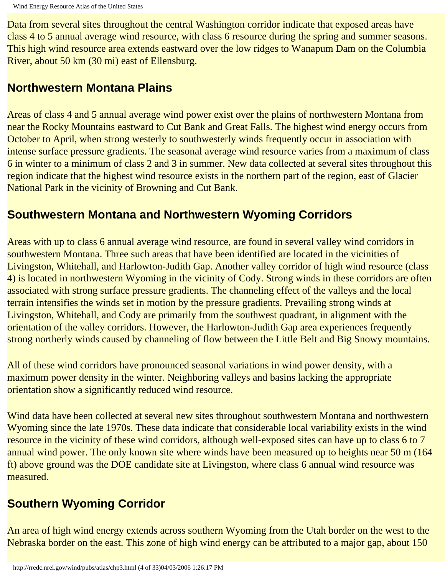Data from several sites throughout the central Washington corridor indicate that exposed areas have class 4 to 5 annual average wind resource, with class 6 resource during the spring and summer seasons. This high wind resource area extends eastward over the low ridges to Wanapum Dam on the Columbia River, about 50 km (30 mi) east of Ellensburg.

#### **Northwestern Montana Plains**

Areas of class 4 and 5 annual average wind power exist over the plains of northwestern Montana from near the Rocky Mountains eastward to Cut Bank and Great Falls. The highest wind energy occurs from October to April, when strong westerly to southwesterly winds frequently occur in association with intense surface pressure gradients. The seasonal average wind resource varies from a maximum of class 6 in winter to a minimum of class 2 and 3 in summer. New data collected at several sites throughout this region indicate that the highest wind resource exists in the northern part of the region, east of Glacier National Park in the vicinity of Browning and Cut Bank.

#### **Southwestern Montana and Northwestern Wyoming Corridors**

Areas with up to class 6 annual average wind resource, are found in several valley wind corridors in southwestern Montana. Three such areas that have been identified are located in the vicinities of Livingston, Whitehall, and Harlowton-Judith Gap. Another valley corridor of high wind resource (class 4) is located in northwestern Wyoming in the vicinity of Cody. Strong winds in these corridors are often associated with strong surface pressure gradients. The channeling effect of the valleys and the local terrain intensifies the winds set in motion by the pressure gradients. Prevailing strong winds at Livingston, Whitehall, and Cody are primarily from the southwest quadrant, in alignment with the orientation of the valley corridors. However, the Harlowton-Judith Gap area experiences frequently strong northerly winds caused by channeling of flow between the Little Belt and Big Snowy mountains.

All of these wind corridors have pronounced seasonal variations in wind power density, with a maximum power density in the winter. Neighboring valleys and basins lacking the appropriate orientation show a significantly reduced wind resource.

Wind data have been collected at several new sites throughout southwestern Montana and northwestern Wyoming since the late 1970s. These data indicate that considerable local variability exists in the wind resource in the vicinity of these wind corridors, although well-exposed sites can have up to class 6 to 7 annual wind power. The only known site where winds have been measured up to heights near 50 m (164 ft) above ground was the DOE candidate site at Livingston, where class 6 annual wind resource was measured.

### **Southern Wyoming Corridor**

An area of high wind energy extends across southern Wyoming from the Utah border on the west to the Nebraska border on the east. This zone of high wind energy can be attributed to a major gap, about 150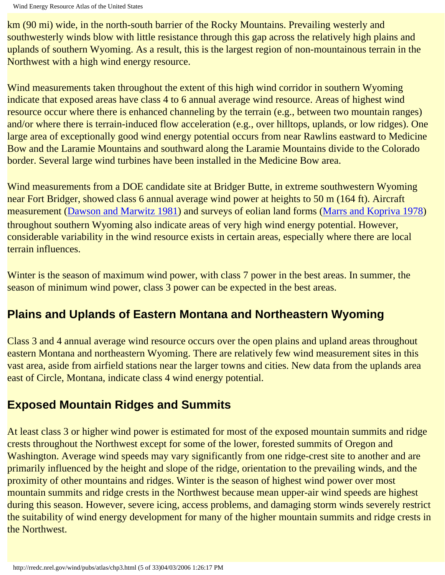km (90 mi) wide, in the north-south barrier of the Rocky Mountains. Prevailing westerly and southwesterly winds blow with little resistance through this gap across the relatively high plains and uplands of southern Wyoming. As a result, this is the largest region of non-mountainous terrain in the Northwest with a high wind energy resource.

Wind measurements taken throughout the extent of this high wind corridor in southern Wyoming indicate that exposed areas have class 4 to 6 annual average wind resource. Areas of highest wind resource occur where there is enhanced channeling by the terrain (e.g., between two mountain ranges) and/or where there is terrain-induced flow acceleration (e.g., over hilltops, uplands, or low ridges). One large area of exceptionally good wind energy potential occurs from near Rawlins eastward to Medicine Bow and the Laramie Mountains and southward along the Laramie Mountains divide to the Colorado border. Several large wind turbines have been installed in the Medicine Bow area.

Wind measurements from a DOE candidate site at Bridger Butte, in extreme southwestern Wyoming near Fort Bridger, showed class 6 annual average wind power at heights to 50 m (164 ft). Aircraft measurement (Dawson and Marwitz 1981) and surveys of eolian land forms (Marrs and Kopriva 1978) throughout southern Wyoming also indicate areas of very high wind energy potential. However, considerable variability in the wind resource exists in certain areas, especially where there are local terrain influences.

Winter is the season of maximum wind power, with class 7 power in the best areas. In summer, the season of minimum wind power, class 3 power can be expected in the best areas.

### **Plains and Uplands of Eastern Montana and Northeastern Wyoming**

Class 3 and 4 annual average wind resource occurs over the open plains and upland areas throughout eastern Montana and northeastern Wyoming. There are relatively few wind measurement sites in this vast area, aside from airfield stations near the larger towns and cities. New data from the uplands area east of Circle, Montana, indicate class 4 wind energy potential.

### **Exposed Mountain Ridges and Summits**

At least class 3 or higher wind power is estimated for most of the exposed mountain summits and ridge crests throughout the Northwest except for some of the lower, forested summits of Oregon and Washington. Average wind speeds may vary significantly from one ridge-crest site to another and are primarily influenced by the height and slope of the ridge, orientation to the prevailing winds, and the proximity of other mountains and ridges. Winter is the season of highest wind power over most mountain summits and ridge crests in the Northwest because mean upper-air wind speeds are highest during this season. However, severe icing, access problems, and damaging storm winds severely restrict the suitability of wind energy development for many of the higher mountain summits and ridge crests in the Northwest.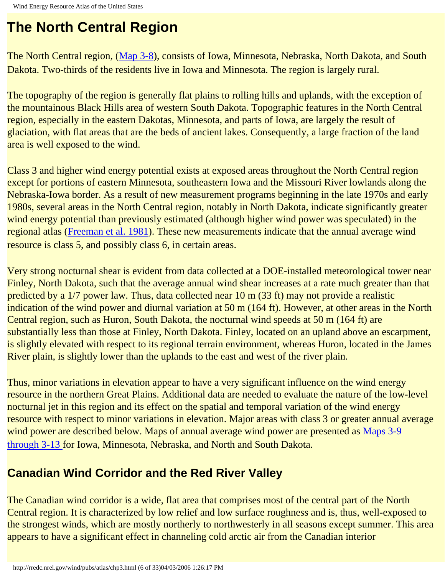# **The North Central Region**

The North Central region, ([Map 3-8](http://rredc.nrel.gov/wind/pubs/atlas/maps/chap3/3-08m.html)), consists of Iowa, Minnesota, Nebraska, North Dakota, and South Dakota. Two-thirds of the residents live in Iowa and Minnesota. The region is largely rural.

The topography of the region is generally flat plains to rolling hills and uplands, with the exception of the mountainous Black Hills area of western South Dakota. Topographic features in the North Central region, especially in the eastern Dakotas, Minnesota, and parts of Iowa, are largely the result of glaciation, with flat areas that are the beds of ancient lakes. Consequently, a large fraction of the land area is well exposed to the wind.

Class 3 and higher wind energy potential exists at exposed areas throughout the North Central region except for portions of eastern Minnesota, southeastern Iowa and the Missouri River lowlands along the Nebraska-Iowa border. As a result of new measurement programs beginning in the late 1970s and early 1980s, several areas in the North Central region, notably in North Dakota, indicate significantly greater wind energy potential than previously estimated (although higher wind power was speculated) in the regional atlas (Freeman et al. 1981). These new measurements indicate that the annual average wind resource is class 5, and possibly class 6, in certain areas.

Very strong nocturnal shear is evident from data collected at a DOE-installed meteorological tower near Finley, North Dakota, such that the average annual wind shear increases at a rate much greater than that predicted by a 1/7 power law. Thus, data collected near 10 m (33 ft) may not provide a realistic indication of the wind power and diurnal variation at 50 m (164 ft). However, at other areas in the North Central region, such as Huron, South Dakota, the nocturnal wind speeds at 50 m (164 ft) are substantially less than those at Finley, North Dakota. Finley, located on an upland above an escarpment, is slightly elevated with respect to its regional terrain environment, whereas Huron, located in the James River plain, is slightly lower than the uplands to the east and west of the river plain.

Thus, minor variations in elevation appear to have a very significant influence on the wind energy resource in the northern Great Plains. Additional data are needed to evaluate the nature of the low-level nocturnal jet in this region and its effect on the spatial and temporal variation of the wind energy resource with respect to minor variations in elevation. Major areas with class 3 or greater annual average wind power are described below. Maps of annual average wind power are presented as Maps 3-9 through 3-13 for Iowa, Minnesota, Nebraska, and North and South Dakota.

### **Canadian Wind Corridor and the Red River Valley**

The Canadian wind corridor is a wide, flat area that comprises most of the central part of the North Central region. It is characterized by low relief and low surface roughness and is, thus, well-exposed to the strongest winds, which are mostly northerly to northwesterly in all seasons except summer. This area appears to have a significant effect in channeling cold arctic air from the Canadian interior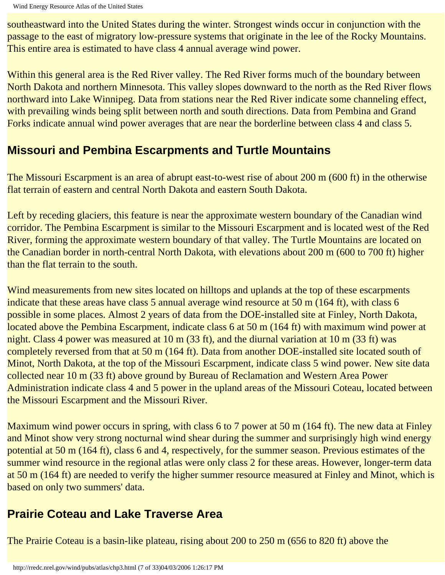southeastward into the United States during the winter. Strongest winds occur in conjunction with the passage to the east of migratory low-pressure systems that originate in the lee of the Rocky Mountains. This entire area is estimated to have class 4 annual average wind power.

Within this general area is the Red River valley. The Red River forms much of the boundary between North Dakota and northern Minnesota. This valley slopes downward to the north as the Red River flows northward into Lake Winnipeg. Data from stations near the Red River indicate some channeling effect, with prevailing winds being split between north and south directions. Data from Pembina and Grand Forks indicate annual wind power averages that are near the borderline between class 4 and class 5.

#### **Missouri and Pembina Escarpments and Turtle Mountains**

The Missouri Escarpment is an area of abrupt east-to-west rise of about 200 m (600 ft) in the otherwise flat terrain of eastern and central North Dakota and eastern South Dakota.

Left by receding glaciers, this feature is near the approximate western boundary of the Canadian wind corridor. The Pembina Escarpment is similar to the Missouri Escarpment and is located west of the Red River, forming the approximate western boundary of that valley. The Turtle Mountains are located on the Canadian border in north-central North Dakota, with elevations about 200 m (600 to 700 ft) higher than the flat terrain to the south.

Wind measurements from new sites located on hilltops and uplands at the top of these escarpments indicate that these areas have class 5 annual average wind resource at 50 m (164 ft), with class 6 possible in some places. Almost 2 years of data from the DOE-installed site at Finley, North Dakota, located above the Pembina Escarpment, indicate class 6 at 50 m (164 ft) with maximum wind power at night. Class 4 power was measured at 10 m (33 ft), and the diurnal variation at 10 m (33 ft) was completely reversed from that at 50 m (164 ft). Data from another DOE-installed site located south of Minot, North Dakota, at the top of the Missouri Escarpment, indicate class 5 wind power. New site data collected near 10 m (33 ft) above ground by Bureau of Reclamation and Western Area Power Administration indicate class 4 and 5 power in the upland areas of the Missouri Coteau, located between the Missouri Escarpment and the Missouri River.

Maximum wind power occurs in spring, with class 6 to 7 power at 50 m (164 ft). The new data at Finley and Minot show very strong nocturnal wind shear during the summer and surprisingly high wind energy potential at 50 m (164 ft), class 6 and 4, respectively, for the summer season. Previous estimates of the summer wind resource in the regional atlas were only class 2 for these areas. However, longer-term data at 50 m (164 ft) are needed to verify the higher summer resource measured at Finley and Minot, which is based on only two summers' data.

### **Prairie Coteau and Lake Traverse Area**

The Prairie Coteau is a basin-like plateau, rising about 200 to 250 m (656 to 820 ft) above the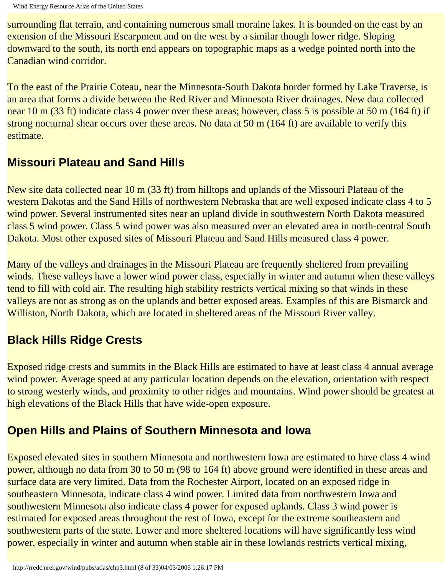surrounding flat terrain, and containing numerous small moraine lakes. It is bounded on the east by an extension of the Missouri Escarpment and on the west by a similar though lower ridge. Sloping downward to the south, its north end appears on topographic maps as a wedge pointed north into the Canadian wind corridor.

To the east of the Prairie Coteau, near the Minnesota-South Dakota border formed by Lake Traverse, is an area that forms a divide between the Red River and Minnesota River drainages. New data collected near 10 m (33 ft) indicate class 4 power over these areas; however, class 5 is possible at 50 m (164 ft) if strong nocturnal shear occurs over these areas. No data at 50 m (164 ft) are available to verify this estimate.

#### **Missouri Plateau and Sand Hills**

New site data collected near 10 m (33 ft) from hilltops and uplands of the Missouri Plateau of the western Dakotas and the Sand Hills of northwestern Nebraska that are well exposed indicate class 4 to 5 wind power. Several instrumented sites near an upland divide in southwestern North Dakota measured class 5 wind power. Class 5 wind power was also measured over an elevated area in north-central South Dakota. Most other exposed sites of Missouri Plateau and Sand Hills measured class 4 power.

Many of the valleys and drainages in the Missouri Plateau are frequently sheltered from prevailing winds. These valleys have a lower wind power class, especially in winter and autumn when these valleys tend to fill with cold air. The resulting high stability restricts vertical mixing so that winds in these valleys are not as strong as on the uplands and better exposed areas. Examples of this are Bismarck and Williston, North Dakota, which are located in sheltered areas of the Missouri River valley.

### **Black Hills Ridge Crests**

Exposed ridge crests and summits in the Black Hills are estimated to have at least class 4 annual average wind power. Average speed at any particular location depends on the elevation, orientation with respect to strong westerly winds, and proximity to other ridges and mountains. Wind power should be greatest at high elevations of the Black Hills that have wide-open exposure.

### **Open Hills and Plains of Southern Minnesota and Iowa**

Exposed elevated sites in southern Minnesota and northwestern Iowa are estimated to have class 4 wind power, although no data from 30 to 50 m (98 to 164 ft) above ground were identified in these areas and surface data are very limited. Data from the Rochester Airport, located on an exposed ridge in southeastern Minnesota, indicate class 4 wind power. Limited data from northwestern Iowa and southwestern Minnesota also indicate class 4 power for exposed uplands. Class 3 wind power is estimated for exposed areas throughout the rest of Iowa, except for the extreme southeastern and southwestern parts of the state. Lower and more sheltered locations will have significantly less wind power, especially in winter and autumn when stable air in these lowlands restricts vertical mixing,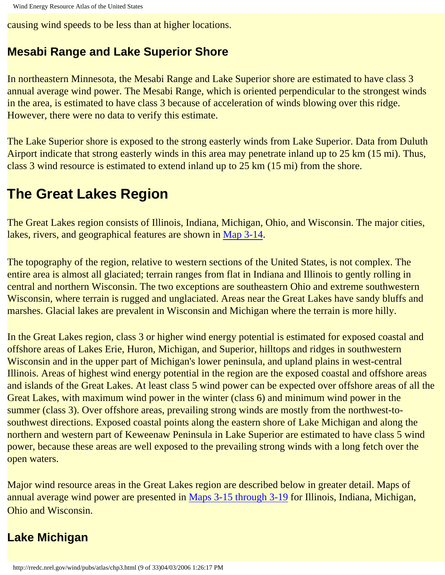causing wind speeds to be less than at higher locations.

#### **Mesabi Range and Lake Superior Shore**

In northeastern Minnesota, the Mesabi Range and Lake Superior shore are estimated to have class 3 annual average wind power. The Mesabi Range, which is oriented perpendicular to the strongest winds in the area, is estimated to have class 3 because of acceleration of winds blowing over this ridge. However, there were no data to verify this estimate.

The Lake Superior shore is exposed to the strong easterly winds from Lake Superior. Data from Duluth Airport indicate that strong easterly winds in this area may penetrate inland up to 25 km (15 mi). Thus, class 3 wind resource is estimated to extend inland up to 25 km (15 mi) from the shore.

# **The Great Lakes Region**

The Great Lakes region consists of Illinois, Indiana, Michigan, Ohio, and Wisconsin. The major cities, lakes, rivers, and geographical features are shown in [Map 3-14.](http://rredc.nrel.gov/wind/pubs/atlas/maps/chap3/3-14m.html)

The topography of the region, relative to western sections of the United States, is not complex. The entire area is almost all glaciated; terrain ranges from flat in Indiana and Illinois to gently rolling in central and northern Wisconsin. The two exceptions are southeastern Ohio and extreme southwestern Wisconsin, where terrain is rugged and unglaciated. Areas near the Great Lakes have sandy bluffs and marshes. Glacial lakes are prevalent in Wisconsin and Michigan where the terrain is more hilly.

In the Great Lakes region, class 3 or higher wind energy potential is estimated for exposed coastal and offshore areas of Lakes Erie, Huron, Michigan, and Superior, hilltops and ridges in southwestern Wisconsin and in the upper part of Michigan's lower peninsula, and upland plains in west-central Illinois. Areas of highest wind energy potential in the region are the exposed coastal and offshore areas and islands of the Great Lakes. At least class 5 wind power can be expected over offshore areas of all the Great Lakes, with maximum wind power in the winter (class 6) and minimum wind power in the summer (class 3). Over offshore areas, prevailing strong winds are mostly from the northwest-tosouthwest directions. Exposed coastal points along the eastern shore of Lake Michigan and along the northern and western part of Keweenaw Peninsula in Lake Superior are estimated to have class 5 wind power, because these areas are well exposed to the prevailing strong winds with a long fetch over the open waters.

Major wind resource areas in the Great Lakes region are described below in greater detail. Maps of annual average wind power are presented in Maps 3-15 through 3-19 for Illinois, Indiana, Michigan, Ohio and Wisconsin.

### **Lake Michigan**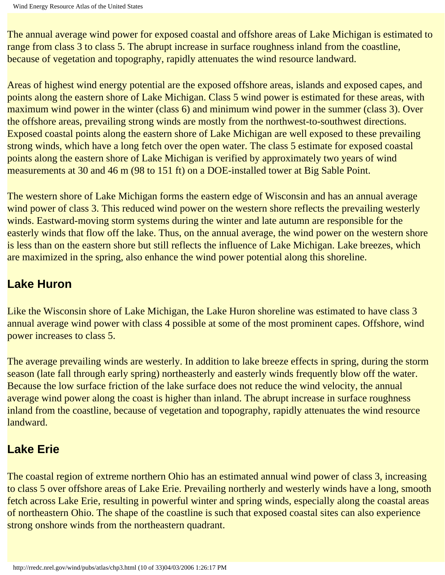The annual average wind power for exposed coastal and offshore areas of Lake Michigan is estimated to range from class 3 to class 5. The abrupt increase in surface roughness inland from the coastline, because of vegetation and topography, rapidly attenuates the wind resource landward.

Areas of highest wind energy potential are the exposed offshore areas, islands and exposed capes, and points along the eastern shore of Lake Michigan. Class 5 wind power is estimated for these areas, with maximum wind power in the winter (class 6) and minimum wind power in the summer (class 3). Over the offshore areas, prevailing strong winds are mostly from the northwest-to-southwest directions. Exposed coastal points along the eastern shore of Lake Michigan are well exposed to these prevailing strong winds, which have a long fetch over the open water. The class 5 estimate for exposed coastal points along the eastern shore of Lake Michigan is verified by approximately two years of wind measurements at 30 and 46 m (98 to 151 ft) on a DOE-installed tower at Big Sable Point.

The western shore of Lake Michigan forms the eastern edge of Wisconsin and has an annual average wind power of class 3. This reduced wind power on the western shore reflects the prevailing westerly winds. Eastward-moving storm systems during the winter and late autumn are responsible for the easterly winds that flow off the lake. Thus, on the annual average, the wind power on the western shore is less than on the eastern shore but still reflects the influence of Lake Michigan. Lake breezes, which are maximized in the spring, also enhance the wind power potential along this shoreline.

#### **Lake Huron**

Like the Wisconsin shore of Lake Michigan, the Lake Huron shoreline was estimated to have class 3 annual average wind power with class 4 possible at some of the most prominent capes. Offshore, wind power increases to class 5.

The average prevailing winds are westerly. In addition to lake breeze effects in spring, during the storm season (late fall through early spring) northeasterly and easterly winds frequently blow off the water. Because the low surface friction of the lake surface does not reduce the wind velocity, the annual average wind power along the coast is higher than inland. The abrupt increase in surface roughness inland from the coastline, because of vegetation and topography, rapidly attenuates the wind resource landward.

#### **Lake Erie**

The coastal region of extreme northern Ohio has an estimated annual wind power of class 3, increasing to class 5 over offshore areas of Lake Erie. Prevailing northerly and westerly winds have a long, smooth fetch across Lake Erie, resulting in powerful winter and spring winds, especially along the coastal areas of northeastern Ohio. The shape of the coastline is such that exposed coastal sites can also experience strong onshore winds from the northeastern quadrant.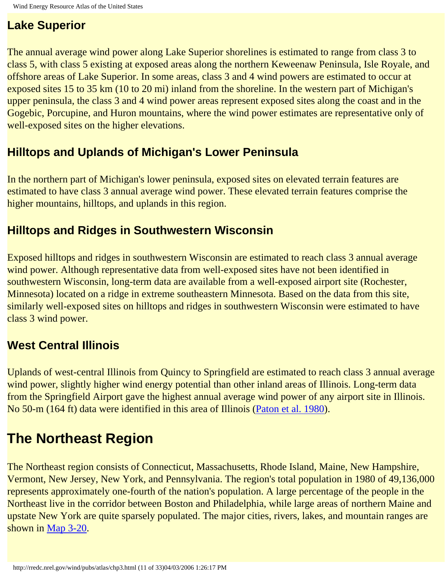#### **Lake Superior**

The annual average wind power along Lake Superior shorelines is estimated to range from class 3 to class 5, with class 5 existing at exposed areas along the northern Keweenaw Peninsula, Isle Royale, and offshore areas of Lake Superior. In some areas, class 3 and 4 wind powers are estimated to occur at exposed sites 15 to 35 km (10 to 20 mi) inland from the shoreline. In the western part of Michigan's upper peninsula, the class 3 and 4 wind power areas represent exposed sites along the coast and in the Gogebic, Porcupine, and Huron mountains, where the wind power estimates are representative only of well-exposed sites on the higher elevations.

#### **Hilltops and Uplands of Michigan's Lower Peninsula**

In the northern part of Michigan's lower peninsula, exposed sites on elevated terrain features are estimated to have class 3 annual average wind power. These elevated terrain features comprise the higher mountains, hilltops, and uplands in this region.

#### **Hilltops and Ridges in Southwestern Wisconsin**

Exposed hilltops and ridges in southwestern Wisconsin are estimated to reach class 3 annual average wind power. Although representative data from well-exposed sites have not been identified in southwestern Wisconsin, long-term data are available from a well-exposed airport site (Rochester, Minnesota) located on a ridge in extreme southeastern Minnesota. Based on the data from this site, similarly well-exposed sites on hilltops and ridges in southwestern Wisconsin were estimated to have class 3 wind power.

### **West Central Illinois**

Uplands of west-central Illinois from Quincy to Springfield are estimated to reach class 3 annual average wind power, slightly higher wind energy potential than other inland areas of Illinois. Long-term data from the Springfield Airport gave the highest annual average wind power of any airport site in Illinois. No 50-m (164 ft) data were identified in this area of Illinois (Paton et al. 1980).

# **The Northeast Region**

The Northeast region consists of Connecticut, Massachusetts, Rhode Island, Maine, New Hampshire, Vermont, New Jersey, New York, and Pennsylvania. The region's total population in 1980 of 49,136,000 represents approximately one-fourth of the nation's population. A large percentage of the people in the Northeast live in the corridor between Boston and Philadelphia, while large areas of northern Maine and upstate New York are quite sparsely populated. The major cities, rivers, lakes, and mountain ranges are shown in [Map 3-20](http://rredc.nrel.gov/wind/pubs/atlas/maps/chap3/3-20m.html).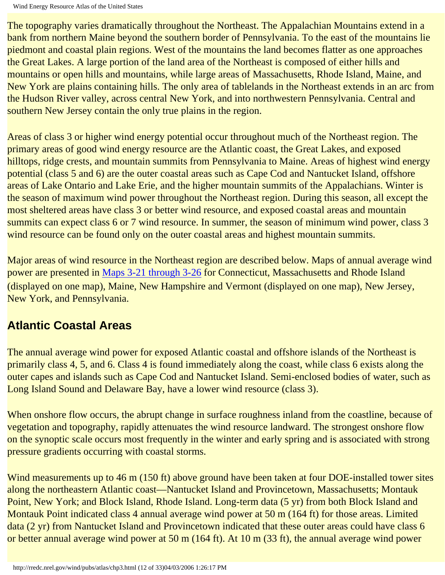Wind Energy Resource Atlas of the United States

The topography varies dramatically throughout the Northeast. The Appalachian Mountains extend in a bank from northern Maine beyond the southern border of Pennsylvania. To the east of the mountains lie piedmont and coastal plain regions. West of the mountains the land becomes flatter as one approaches the Great Lakes. A large portion of the land area of the Northeast is composed of either hills and mountains or open hills and mountains, while large areas of Massachusetts, Rhode Island, Maine, and New York are plains containing hills. The only area of tablelands in the Northeast extends in an arc from the Hudson River valley, across central New York, and into northwestern Pennsylvania. Central and southern New Jersey contain the only true plains in the region.

Areas of class 3 or higher wind energy potential occur throughout much of the Northeast region. The primary areas of good wind energy resource are the Atlantic coast, the Great Lakes, and exposed hilltops, ridge crests, and mountain summits from Pennsylvania to Maine. Areas of highest wind energy potential (class 5 and 6) are the outer coastal areas such as Cape Cod and Nantucket Island, offshore areas of Lake Ontario and Lake Erie, and the higher mountain summits of the Appalachians. Winter is the season of maximum wind power throughout the Northeast region. During this season, all except the most sheltered areas have class 3 or better wind resource, and exposed coastal areas and mountain summits can expect class 6 or 7 wind resource. In summer, the season of minimum wind power, class 3 wind resource can be found only on the outer coastal areas and highest mountain summits.

Major areas of wind resource in the Northeast region are described below. Maps of annual average wind power are presented in Maps 3-21 through 3-26 for Connecticut, Massachusetts and Rhode Island (displayed on one map), Maine, New Hampshire and Vermont (displayed on one map), New Jersey, New York, and Pennsylvania.

#### **Atlantic Coastal Areas**

The annual average wind power for exposed Atlantic coastal and offshore islands of the Northeast is primarily class 4, 5, and 6. Class 4 is found immediately along the coast, while class 6 exists along the outer capes and islands such as Cape Cod and Nantucket Island. Semi-enclosed bodies of water, such as Long Island Sound and Delaware Bay, have a lower wind resource (class 3).

When onshore flow occurs, the abrupt change in surface roughness inland from the coastline, because of vegetation and topography, rapidly attenuates the wind resource landward. The strongest onshore flow on the synoptic scale occurs most frequently in the winter and early spring and is associated with strong pressure gradients occurring with coastal storms.

Wind measurements up to 46 m (150 ft) above ground have been taken at four DOE-installed tower sites along the northeastern Atlantic coast—Nantucket Island and Provincetown, Massachusetts; Montauk Point, New York; and Block Island, Rhode Island. Long-term data (5 yr) from both Block Island and Montauk Point indicated class 4 annual average wind power at 50 m (164 ft) for those areas. Limited data (2 yr) from Nantucket Island and Provincetown indicated that these outer areas could have class 6 or better annual average wind power at 50 m (164 ft). At 10 m (33 ft), the annual average wind power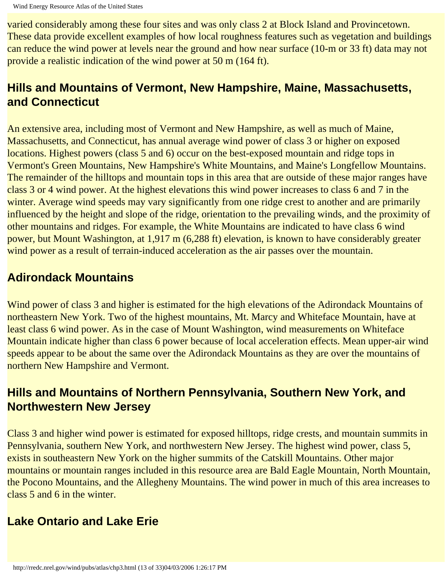varied considerably among these four sites and was only class 2 at Block Island and Provincetown. These data provide excellent examples of how local roughness features such as vegetation and buildings can reduce the wind power at levels near the ground and how near surface (10-m or 33 ft) data may not provide a realistic indication of the wind power at 50 m (164 ft).

#### **Hills and Mountains of Vermont, New Hampshire, Maine, Massachusetts, and Connecticut**

An extensive area, including most of Vermont and New Hampshire, as well as much of Maine, Massachusetts, and Connecticut, has annual average wind power of class 3 or higher on exposed locations. Highest powers (class 5 and 6) occur on the best-exposed mountain and ridge tops in Vermont's Green Mountains, New Hampshire's White Mountains, and Maine's Longfellow Mountains. The remainder of the hilltops and mountain tops in this area that are outside of these major ranges have class 3 or 4 wind power. At the highest elevations this wind power increases to class 6 and 7 in the winter. Average wind speeds may vary significantly from one ridge crest to another and are primarily influenced by the height and slope of the ridge, orientation to the prevailing winds, and the proximity of other mountains and ridges. For example, the White Mountains are indicated to have class 6 wind power, but Mount Washington, at 1,917 m (6,288 ft) elevation, is known to have considerably greater wind power as a result of terrain-induced acceleration as the air passes over the mountain.

#### **Adirondack Mountains**

Wind power of class 3 and higher is estimated for the high elevations of the Adirondack Mountains of northeastern New York. Two of the highest mountains, Mt. Marcy and Whiteface Mountain, have at least class 6 wind power. As in the case of Mount Washington, wind measurements on Whiteface Mountain indicate higher than class 6 power because of local acceleration effects. Mean upper-air wind speeds appear to be about the same over the Adirondack Mountains as they are over the mountains of northern New Hampshire and Vermont.

#### **Hills and Mountains of Northern Pennsylvania, Southern New York, and Northwestern New Jersey**

Class 3 and higher wind power is estimated for exposed hilltops, ridge crests, and mountain summits in Pennsylvania, southern New York, and northwestern New Jersey. The highest wind power, class 5, exists in southeastern New York on the higher summits of the Catskill Mountains. Other major mountains or mountain ranges included in this resource area are Bald Eagle Mountain, North Mountain, the Pocono Mountains, and the Allegheny Mountains. The wind power in much of this area increases to class 5 and 6 in the winter.

### **Lake Ontario and Lake Erie**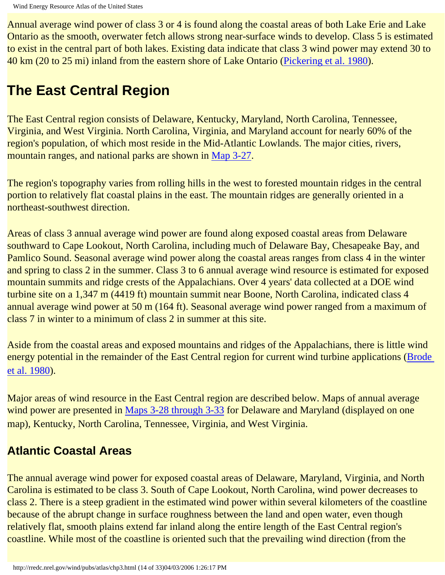Annual average wind power of class 3 or 4 is found along the coastal areas of both Lake Erie and Lake Ontario as the smooth, overwater fetch allows strong near-surface winds to develop. Class 5 is estimated to exist in the central part of both lakes. Existing data indicate that class 3 wind power may extend 30 to 40 km (20 to 25 mi) inland from the eastern shore of Lake Ontario (Pickering et al. 1980).

## **The East Central Region**

The East Central region consists of Delaware, Kentucky, Maryland, North Carolina, Tennessee, Virginia, and West Virginia. North Carolina, Virginia, and Maryland account for nearly 60% of the region's population, of which most reside in the Mid-Atlantic Lowlands. The major cities, rivers, mountain ranges, and national parks are shown in [Map 3-27.](http://rredc.nrel.gov/wind/pubs/atlas/maps/chap3/3-27m.html)

The region's topography varies from rolling hills in the west to forested mountain ridges in the central portion to relatively flat coastal plains in the east. The mountain ridges are generally oriented in a northeast-southwest direction.

Areas of class 3 annual average wind power are found along exposed coastal areas from Delaware southward to Cape Lookout, North Carolina, including much of Delaware Bay, Chesapeake Bay, and Pamlico Sound. Seasonal average wind power along the coastal areas ranges from class 4 in the winter and spring to class 2 in the summer. Class 3 to 6 annual average wind resource is estimated for exposed mountain summits and ridge crests of the Appalachians. Over 4 years' data collected at a DOE wind turbine site on a 1,347 m (4419 ft) mountain summit near Boone, North Carolina, indicated class 4 annual average wind power at 50 m (164 ft). Seasonal average wind power ranged from a maximum of class 7 in winter to a minimum of class 2 in summer at this site.

Aside from the coastal areas and exposed mountains and ridges of the Appalachians, there is little wind energy potential in the remainder of the East Central region for current wind turbine applications (Brode et al. 1980).

Major areas of wind resource in the East Central region are described below. Maps of annual average wind power are presented in Maps 3-28 through 3-33 for Delaware and Maryland (displayed on one map), Kentucky, North Carolina, Tennessee, Virginia, and West Virginia.

#### **Atlantic Coastal Areas**

The annual average wind power for exposed coastal areas of Delaware, Maryland, Virginia, and North Carolina is estimated to be class 3. South of Cape Lookout, North Carolina, wind power decreases to class 2. There is a steep gradient in the estimated wind power within several kilometers of the coastline because of the abrupt change in surface roughness between the land and open water, even though relatively flat, smooth plains extend far inland along the entire length of the East Central region's coastline. While most of the coastline is oriented such that the prevailing wind direction (from the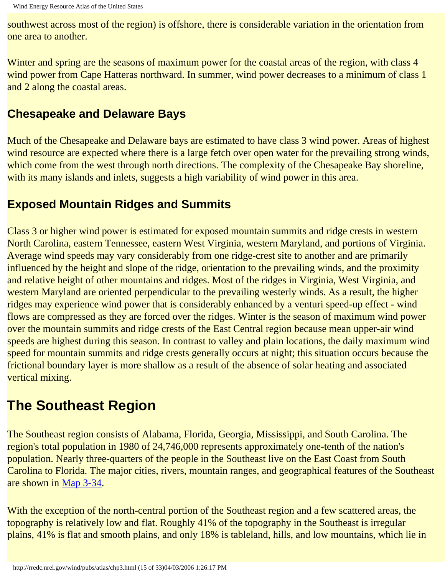southwest across most of the region) is offshore, there is considerable variation in the orientation from one area to another.

Winter and spring are the seasons of maximum power for the coastal areas of the region, with class 4 wind power from Cape Hatteras northward. In summer, wind power decreases to a minimum of class 1 and 2 along the coastal areas.

#### **Chesapeake and Delaware Bays**

Much of the Chesapeake and Delaware bays are estimated to have class 3 wind power. Areas of highest wind resource are expected where there is a large fetch over open water for the prevailing strong winds, which come from the west through north directions. The complexity of the Chesapeake Bay shoreline, with its many islands and inlets, suggests a high variability of wind power in this area.

#### **Exposed Mountain Ridges and Summits**

Class 3 or higher wind power is estimated for exposed mountain summits and ridge crests in western North Carolina, eastern Tennessee, eastern West Virginia, western Maryland, and portions of Virginia. Average wind speeds may vary considerably from one ridge-crest site to another and are primarily influenced by the height and slope of the ridge, orientation to the prevailing winds, and the proximity and relative height of other mountains and ridges. Most of the ridges in Virginia, West Virginia, and western Maryland are oriented perpendicular to the prevailing westerly winds. As a result, the higher ridges may experience wind power that is considerably enhanced by a venturi speed-up effect - wind flows are compressed as they are forced over the ridges. Winter is the season of maximum wind power over the mountain summits and ridge crests of the East Central region because mean upper-air wind speeds are highest during this season. In contrast to valley and plain locations, the daily maximum wind speed for mountain summits and ridge crests generally occurs at night; this situation occurs because the frictional boundary layer is more shallow as a result of the absence of solar heating and associated vertical mixing.

# **The Southeast Region**

The Southeast region consists of Alabama, Florida, Georgia, Mississippi, and South Carolina. The region's total population in 1980 of 24,746,000 represents approximately one-tenth of the nation's population. Nearly three-quarters of the people in the Southeast live on the East Coast from South Carolina to Florida. The major cities, rivers, mountain ranges, and geographical features of the Southeast are shown in [Map 3-34.](http://rredc.nrel.gov/wind/pubs/atlas/maps/chap3/3-34m.html)

With the exception of the north-central portion of the Southeast region and a few scattered areas, the topography is relatively low and flat. Roughly 41% of the topography in the Southeast is irregular plains, 41% is flat and smooth plains, and only 18% is tableland, hills, and low mountains, which lie in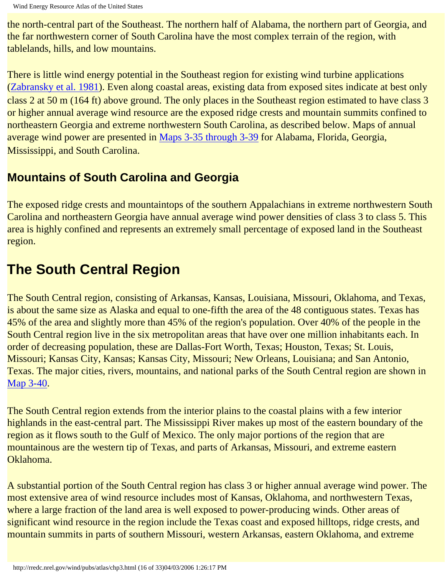the north-central part of the Southeast. The northern half of Alabama, the northern part of Georgia, and the far northwestern corner of South Carolina have the most complex terrain of the region, with tablelands, hills, and low mountains.

There is little wind energy potential in the Southeast region for existing wind turbine applications (Zabransky et al. 1981). Even along coastal areas, existing data from exposed sites indicate at best only class 2 at 50 m (164 ft) above ground. The only places in the Southeast region estimated to have class 3 or higher annual average wind resource are the exposed ridge crests and mountain summits confined to northeastern Georgia and extreme northwestern South Carolina, as described below. Maps of annual average wind power are presented in Maps 3-35 through 3-39 for Alabama, Florida, Georgia, Mississippi, and South Carolina.

### **Mountains of South Carolina and Georgia**

The exposed ridge crests and mountaintops of the southern Appalachians in extreme northwestern South Carolina and northeastern Georgia have annual average wind power densities of class 3 to class 5. This area is highly confined and represents an extremely small percentage of exposed land in the Southeast region.

# **The South Central Region**

The South Central region, consisting of Arkansas, Kansas, Louisiana, Missouri, Oklahoma, and Texas, is about the same size as Alaska and equal to one-fifth the area of the 48 contiguous states. Texas has 45% of the area and slightly more than 45% of the region's population. Over 40% of the people in the South Central region live in the six metropolitan areas that have over one million inhabitants each. In order of decreasing population, these are Dallas-Fort Worth, Texas; Houston, Texas; St. Louis, Missouri; Kansas City, Kansas; Kansas City, Missouri; New Orleans, Louisiana; and San Antonio, Texas. The major cities, rivers, mountains, and national parks of the South Central region are shown in [Map 3-40.](http://rredc.nrel.gov/wind/pubs/atlas/maps/chap3/3-40m.html)

The South Central region extends from the interior plains to the coastal plains with a few interior highlands in the east-central part. The Mississippi River makes up most of the eastern boundary of the region as it flows south to the Gulf of Mexico. The only major portions of the region that are mountainous are the western tip of Texas, and parts of Arkansas, Missouri, and extreme eastern Oklahoma.

A substantial portion of the South Central region has class 3 or higher annual average wind power. The most extensive area of wind resource includes most of Kansas, Oklahoma, and northwestern Texas, where a large fraction of the land area is well exposed to power-producing winds. Other areas of significant wind resource in the region include the Texas coast and exposed hilltops, ridge crests, and mountain summits in parts of southern Missouri, western Arkansas, eastern Oklahoma, and extreme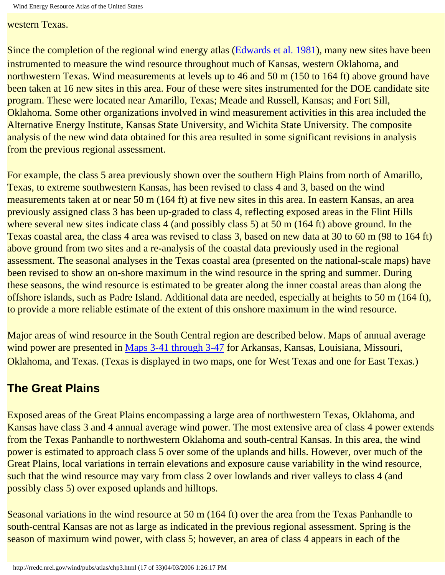Wind Energy Resource Atlas of the United States

western Texas.

Since the completion of the regional wind energy atlas (Edwards et al. 1981), many new sites have been instrumented to measure the wind resource throughout much of Kansas, western Oklahoma, and northwestern Texas. Wind measurements at levels up to 46 and 50 m (150 to 164 ft) above ground have been taken at 16 new sites in this area. Four of these were sites instrumented for the DOE candidate site program. These were located near Amarillo, Texas; Meade and Russell, Kansas; and Fort Sill, Oklahoma. Some other organizations involved in wind measurement activities in this area included the Alternative Energy Institute, Kansas State University, and Wichita State University. The composite analysis of the new wind data obtained for this area resulted in some significant revisions in analysis from the previous regional assessment.

For example, the class 5 area previously shown over the southern High Plains from north of Amarillo, Texas, to extreme southwestern Kansas, has been revised to class 4 and 3, based on the wind measurements taken at or near 50 m (164 ft) at five new sites in this area. In eastern Kansas, an area previously assigned class 3 has been up-graded to class 4, reflecting exposed areas in the Flint Hills where several new sites indicate class 4 (and possibly class 5) at 50 m (164 ft) above ground. In the Texas coastal area, the class 4 area was revised to class 3, based on new data at 30 to 60 m (98 to 164 ft) above ground from two sites and a re-analysis of the coastal data previously used in the regional assessment. The seasonal analyses in the Texas coastal area (presented on the national-scale maps) have been revised to show an on-shore maximum in the wind resource in the spring and summer. During these seasons, the wind resource is estimated to be greater along the inner coastal areas than along the offshore islands, such as Padre Island. Additional data are needed, especially at heights to 50 m (164 ft), to provide a more reliable estimate of the extent of this onshore maximum in the wind resource.

Major areas of wind resource in the South Central region are described below. Maps of annual average wind power are presented in Maps 3-41 through 3-47 for Arkansas, Kansas, Louisiana, Missouri, Oklahoma, and Texas. (Texas is displayed in two maps, one for West Texas and one for East Texas.)

### **The Great Plains**

Exposed areas of the Great Plains encompassing a large area of northwestern Texas, Oklahoma, and Kansas have class 3 and 4 annual average wind power. The most extensive area of class 4 power extends from the Texas Panhandle to northwestern Oklahoma and south-central Kansas. In this area, the wind power is estimated to approach class 5 over some of the uplands and hills. However, over much of the Great Plains, local variations in terrain elevations and exposure cause variability in the wind resource, such that the wind resource may vary from class 2 over lowlands and river valleys to class 4 (and possibly class 5) over exposed uplands and hilltops.

Seasonal variations in the wind resource at 50 m (164 ft) over the area from the Texas Panhandle to south-central Kansas are not as large as indicated in the previous regional assessment. Spring is the season of maximum wind power, with class 5; however, an area of class 4 appears in each of the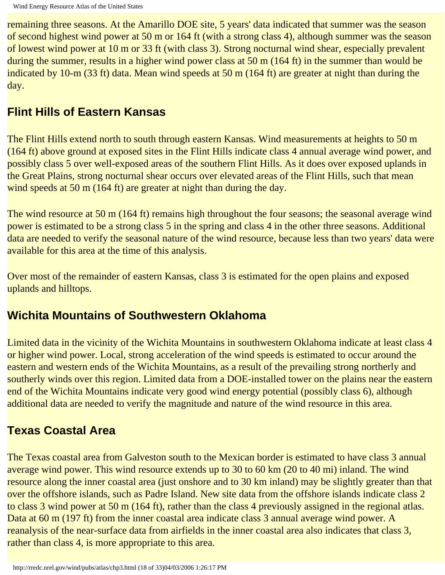remaining three seasons. At the Amarillo DOE site, 5 years' data indicated that summer was the season of second highest wind power at 50 m or 164 ft (with a strong class 4), although summer was the season of lowest wind power at 10 m or 33 ft (with class 3). Strong nocturnal wind shear, especially prevalent during the summer, results in a higher wind power class at 50 m (164 ft) in the summer than would be indicated by 10-m (33 ft) data. Mean wind speeds at 50 m (164 ft) are greater at night than during the day.

#### **Flint Hills of Eastern Kansas**

The Flint Hills extend north to south through eastern Kansas. Wind measurements at heights to 50 m (164 ft) above ground at exposed sites in the Flint Hills indicate class 4 annual average wind power, and possibly class 5 over well-exposed areas of the southern Flint Hills. As it does over exposed uplands in the Great Plains, strong nocturnal shear occurs over elevated areas of the Flint Hills, such that mean wind speeds at 50 m (164 ft) are greater at night than during the day.

The wind resource at 50 m (164 ft) remains high throughout the four seasons; the seasonal average wind power is estimated to be a strong class 5 in the spring and class 4 in the other three seasons. Additional data are needed to verify the seasonal nature of the wind resource, because less than two years' data were available for this area at the time of this analysis.

Over most of the remainder of eastern Kansas, class 3 is estimated for the open plains and exposed uplands and hilltops.

#### **Wichita Mountains of Southwestern Oklahoma**

Limited data in the vicinity of the Wichita Mountains in southwestern Oklahoma indicate at least class 4 or higher wind power. Local, strong acceleration of the wind speeds is estimated to occur around the eastern and western ends of the Wichita Mountains, as a result of the prevailing strong northerly and southerly winds over this region. Limited data from a DOE-installed tower on the plains near the eastern end of the Wichita Mountains indicate very good wind energy potential (possibly class 6), although additional data are needed to verify the magnitude and nature of the wind resource in this area.

### **Texas Coastal Area**

The Texas coastal area from Galveston south to the Mexican border is estimated to have class 3 annual average wind power. This wind resource extends up to 30 to 60 km (20 to 40 mi) inland. The wind resource along the inner coastal area (just onshore and to 30 km inland) may be slightly greater than that over the offshore islands, such as Padre Island. New site data from the offshore islands indicate class 2 to class 3 wind power at 50 m (164 ft), rather than the class 4 previously assigned in the regional atlas. Data at 60 m (197 ft) from the inner coastal area indicate class 3 annual average wind power. A reanalysis of the near-surface data from airfields in the inner coastal area also indicates that class 3, rather than class 4, is more appropriate to this area.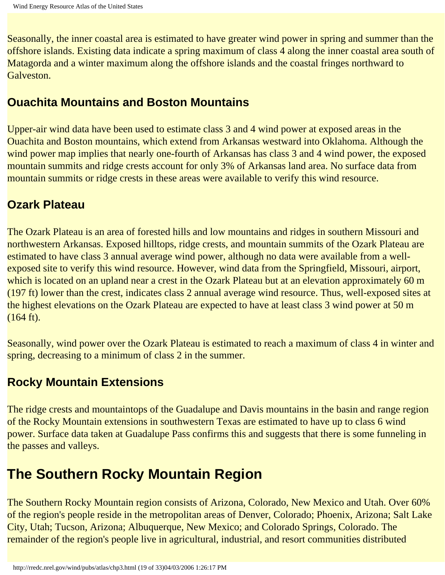Seasonally, the inner coastal area is estimated to have greater wind power in spring and summer than the offshore islands. Existing data indicate a spring maximum of class 4 along the inner coastal area south of Matagorda and a winter maximum along the offshore islands and the coastal fringes northward to Galveston.

#### **Ouachita Mountains and Boston Mountains**

Upper-air wind data have been used to estimate class 3 and 4 wind power at exposed areas in the Ouachita and Boston mountains, which extend from Arkansas westward into Oklahoma. Although the wind power map implies that nearly one-fourth of Arkansas has class 3 and 4 wind power, the exposed mountain summits and ridge crests account for only 3% of Arkansas land area. No surface data from mountain summits or ridge crests in these areas were available to verify this wind resource.

#### **Ozark Plateau**

The Ozark Plateau is an area of forested hills and low mountains and ridges in southern Missouri and northwestern Arkansas. Exposed hilltops, ridge crests, and mountain summits of the Ozark Plateau are estimated to have class 3 annual average wind power, although no data were available from a wellexposed site to verify this wind resource. However, wind data from the Springfield, Missouri, airport, which is located on an upland near a crest in the Ozark Plateau but at an elevation approximately 60 m (197 ft) lower than the crest, indicates class 2 annual average wind resource. Thus, well-exposed sites at the highest elevations on the Ozark Plateau are expected to have at least class 3 wind power at 50 m (164 ft).

Seasonally, wind power over the Ozark Plateau is estimated to reach a maximum of class 4 in winter and spring, decreasing to a minimum of class 2 in the summer.

#### **Rocky Mountain Extensions**

The ridge crests and mountaintops of the Guadalupe and Davis mountains in the basin and range region of the Rocky Mountain extensions in southwestern Texas are estimated to have up to class 6 wind power. Surface data taken at Guadalupe Pass confirms this and suggests that there is some funneling in the passes and valleys.

## **The Southern Rocky Mountain Region**

The Southern Rocky Mountain region consists of Arizona, Colorado, New Mexico and Utah. Over 60% of the region's people reside in the metropolitan areas of Denver, Colorado; Phoenix, Arizona; Salt Lake City, Utah; Tucson, Arizona; Albuquerque, New Mexico; and Colorado Springs, Colorado. The remainder of the region's people live in agricultural, industrial, and resort communities distributed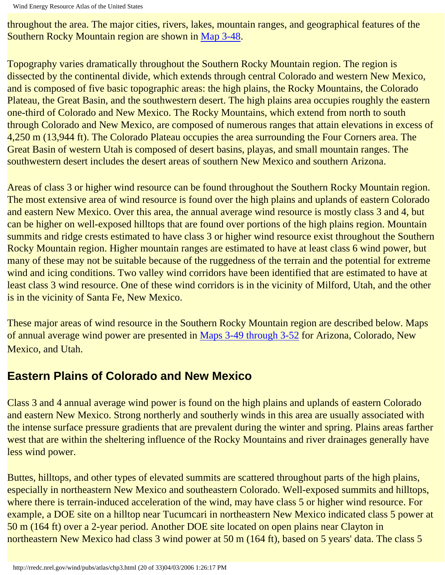Wind Energy Resource Atlas of the United States

throughout the area. The major cities, rivers, lakes, mountain ranges, and geographical features of the Southern Rocky Mountain region are shown in [Map 3-48](http://rredc.nrel.gov/wind/pubs/atlas/maps/chap3/3-48m.html).

Topography varies dramatically throughout the Southern Rocky Mountain region. The region is dissected by the continental divide, which extends through central Colorado and western New Mexico, and is composed of five basic topographic areas: the high plains, the Rocky Mountains, the Colorado Plateau, the Great Basin, and the southwestern desert. The high plains area occupies roughly the eastern one-third of Colorado and New Mexico. The Rocky Mountains, which extend from north to south through Colorado and New Mexico, are composed of numerous ranges that attain elevations in excess of 4,250 m (13,944 ft). The Colorado Plateau occupies the area surrounding the Four Corners area. The Great Basin of western Utah is composed of desert basins, playas, and small mountain ranges. The southwestern desert includes the desert areas of southern New Mexico and southern Arizona.

Areas of class 3 or higher wind resource can be found throughout the Southern Rocky Mountain region. The most extensive area of wind resource is found over the high plains and uplands of eastern Colorado and eastern New Mexico. Over this area, the annual average wind resource is mostly class 3 and 4, but can be higher on well-exposed hilltops that are found over portions of the high plains region. Mountain summits and ridge crests estimated to have class 3 or higher wind resource exist throughout the Southern Rocky Mountain region. Higher mountain ranges are estimated to have at least class 6 wind power, but many of these may not be suitable because of the ruggedness of the terrain and the potential for extreme wind and icing conditions. Two valley wind corridors have been identified that are estimated to have at least class 3 wind resource. One of these wind corridors is in the vicinity of Milford, Utah, and the other is in the vicinity of Santa Fe, New Mexico.

These major areas of wind resource in the Southern Rocky Mountain region are described below. Maps of annual average wind power are presented in Maps 3-49 through 3-52 for Arizona, Colorado, New Mexico, and Utah.

#### **Eastern Plains of Colorado and New Mexico**

Class 3 and 4 annual average wind power is found on the high plains and uplands of eastern Colorado and eastern New Mexico. Strong northerly and southerly winds in this area are usually associated with the intense surface pressure gradients that are prevalent during the winter and spring. Plains areas farther west that are within the sheltering influence of the Rocky Mountains and river drainages generally have less wind power.

Buttes, hilltops, and other types of elevated summits are scattered throughout parts of the high plains, especially in northeastern New Mexico and southeastern Colorado. Well-exposed summits and hilltops, where there is terrain-induced acceleration of the wind, may have class 5 or higher wind resource. For example, a DOE site on a hilltop near Tucumcari in northeastern New Mexico indicated class 5 power at 50 m (164 ft) over a 2-year period. Another DOE site located on open plains near Clayton in northeastern New Mexico had class 3 wind power at 50 m (164 ft), based on 5 years' data. The class 5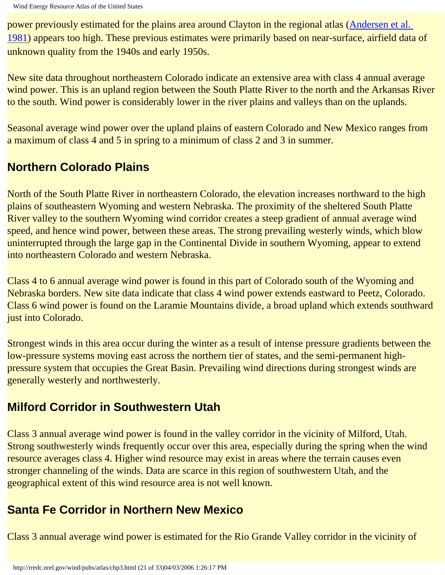power previously estimated for the plains area around Clayton in the regional atlas (Andersen et al. 1981) appears too high. These previous estimates were primarily based on near-surface, airfield data of unknown quality from the 1940s and early 1950s.

New site data throughout northeastern Colorado indicate an extensive area with class 4 annual average wind power. This is an upland region between the South Platte River to the north and the Arkansas River to the south. Wind power is considerably lower in the river plains and valleys than on the uplands.

Seasonal average wind power over the upland plains of eastern Colorado and New Mexico ranges from a maximum of class 4 and 5 in spring to a minimum of class 2 and 3 in summer.

### **Northern Colorado Plains**

North of the South Platte River in northeastern Colorado, the elevation increases northward to the high plains of southeastern Wyoming and western Nebraska. The proximity of the sheltered South Platte River valley to the southern Wyoming wind corridor creates a steep gradient of annual average wind speed, and hence wind power, between these areas. The strong prevailing westerly winds, which blow uninterrupted through the large gap in the Continental Divide in southern Wyoming, appear to extend into northeastern Colorado and western Nebraska.

Class 4 to 6 annual average wind power is found in this part of Colorado south of the Wyoming and Nebraska borders. New site data indicate that class 4 wind power extends eastward to Peetz, Colorado. Class 6 wind power is found on the Laramie Mountains divide, a broad upland which extends southward just into Colorado.

Strongest winds in this area occur during the winter as a result of intense pressure gradients between the low-pressure systems moving east across the northern tier of states, and the semi-permanent highpressure system that occupies the Great Basin. Prevailing wind directions during strongest winds are generally westerly and northwesterly.

#### **Milford Corridor in Southwestern Utah**

Class 3 annual average wind power is found in the valley corridor in the vicinity of Milford, Utah. Strong southwesterly winds frequently occur over this area, especially during the spring when the wind resource averages class 4. Higher wind resource may exist in areas where the terrain causes even stronger channeling of the winds. Data are scarce in this region of southwestern Utah, and the geographical extent of this wind resource area is not well known.

### **Santa Fe Corridor in Northern New Mexico**

Class 3 annual average wind power is estimated for the Rio Grande Valley corridor in the vicinity of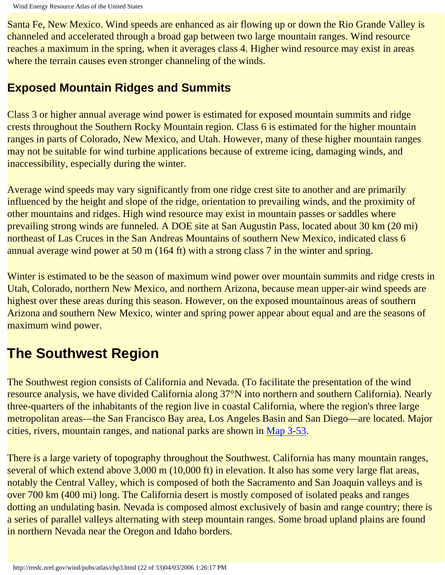Santa Fe, New Mexico. Wind speeds are enhanced as air flowing up or down the Rio Grande Valley is channeled and accelerated through a broad gap between two large mountain ranges. Wind resource reaches a maximum in the spring, when it averages class 4. Higher wind resource may exist in areas where the terrain causes even stronger channeling of the winds.

#### **Exposed Mountain Ridges and Summits**

Class 3 or higher annual average wind power is estimated for exposed mountain summits and ridge crests throughout the Southern Rocky Mountain region. Class 6 is estimated for the higher mountain ranges in parts of Colorado, New Mexico, and Utah. However, many of these higher mountain ranges may not be suitable for wind turbine applications because of extreme icing, damaging winds, and inaccessibility, especially during the winter.

Average wind speeds may vary significantly from one ridge crest site to another and are primarily influenced by the height and slope of the ridge, orientation to prevailing winds, and the proximity of other mountains and ridges. High wind resource may exist in mountain passes or saddles where prevailing strong winds are funneled. A DOE site at San Augustin Pass, located about 30 km (20 mi) northeast of Las Cruces in the San Andreas Mountains of southern New Mexico, indicated class 6 annual average wind power at 50 m (164 ft) with a strong class 7 in the winter and spring.

Winter is estimated to be the season of maximum wind power over mountain summits and ridge crests in Utah, Colorado, northern New Mexico, and northern Arizona, because mean upper-air wind speeds are highest over these areas during this season. However, on the exposed mountainous areas of southern Arizona and southern New Mexico, winter and spring power appear about equal and are the seasons of maximum wind power.

# **The Southwest Region**

The Southwest region consists of California and Nevada. (To facilitate the presentation of the wind resource analysis, we have divided California along 37°N into northern and southern California). Nearly three-quarters of the inhabitants of the region live in coastal California, where the region's three large metropolitan areas—the San Francisco Bay area, Los Angeles Basin and San Diego—are located. Major cities, rivers, mountain ranges, and national parks are shown in [Map 3-53](http://rredc.nrel.gov/wind/pubs/atlas/maps/chap3/3-53m.html).

There is a large variety of topography throughout the Southwest. California has many mountain ranges, several of which extend above 3,000 m (10,000 ft) in elevation. It also has some very large flat areas, notably the Central Valley, which is composed of both the Sacramento and San Joaquin valleys and is over 700 km (400 mi) long. The California desert is mostly composed of isolated peaks and ranges dotting an undulating basin. Nevada is composed almost exclusively of basin and range country; there is a series of parallel valleys alternating with steep mountain ranges. Some broad upland plains are found in northern Nevada near the Oregon and Idaho borders.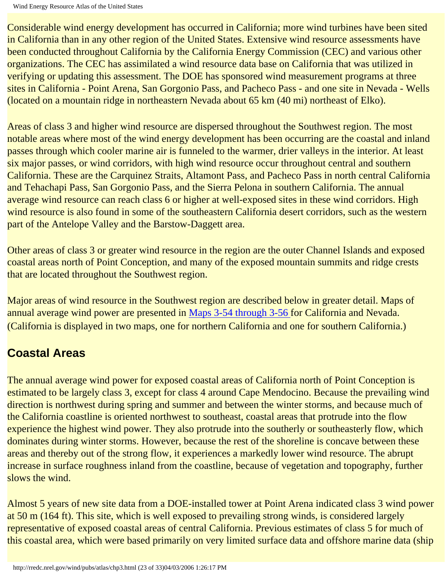Wind Energy Resource Atlas of the United States

Considerable wind energy development has occurred in California; more wind turbines have been sited in California than in any other region of the United States. Extensive wind resource assessments have been conducted throughout California by the California Energy Commission (CEC) and various other organizations. The CEC has assimilated a wind resource data base on California that was utilized in verifying or updating this assessment. The DOE has sponsored wind measurement programs at three sites in California - Point Arena, San Gorgonio Pass, and Pacheco Pass - and one site in Nevada - Wells (located on a mountain ridge in northeastern Nevada about 65 km (40 mi) northeast of Elko).

Areas of class 3 and higher wind resource are dispersed throughout the Southwest region. The most notable areas where most of the wind energy development has been occurring are the coastal and inland passes through which cooler marine air is funneled to the warmer, drier valleys in the interior. At least six major passes, or wind corridors, with high wind resource occur throughout central and southern California. These are the Carquinez Straits, Altamont Pass, and Pacheco Pass in north central California and Tehachapi Pass, San Gorgonio Pass, and the Sierra Pelona in southern California. The annual average wind resource can reach class 6 or higher at well-exposed sites in these wind corridors. High wind resource is also found in some of the southeastern California desert corridors, such as the western part of the Antelope Valley and the Barstow-Daggett area.

Other areas of class 3 or greater wind resource in the region are the outer Channel Islands and exposed coastal areas north of Point Conception, and many of the exposed mountain summits and ridge crests that are located throughout the Southwest region.

Major areas of wind resource in the Southwest region are described below in greater detail. Maps of annual average wind power are presented in Maps 3-54 through 3-56 for California and Nevada. (California is displayed in two maps, one for northern California and one for southern California.)

### **Coastal Areas**

The annual average wind power for exposed coastal areas of California north of Point Conception is estimated to be largely class 3, except for class 4 around Cape Mendocino. Because the prevailing wind direction is northwest during spring and summer and between the winter storms, and because much of the California coastline is oriented northwest to southeast, coastal areas that protrude into the flow experience the highest wind power. They also protrude into the southerly or southeasterly flow, which dominates during winter storms. However, because the rest of the shoreline is concave between these areas and thereby out of the strong flow, it experiences a markedly lower wind resource. The abrupt increase in surface roughness inland from the coastline, because of vegetation and topography, further slows the wind.

Almost 5 years of new site data from a DOE-installed tower at Point Arena indicated class 3 wind power at 50 m (164 ft). This site, which is well exposed to prevailing strong winds, is considered largely representative of exposed coastal areas of central California. Previous estimates of class 5 for much of this coastal area, which were based primarily on very limited surface data and offshore marine data (ship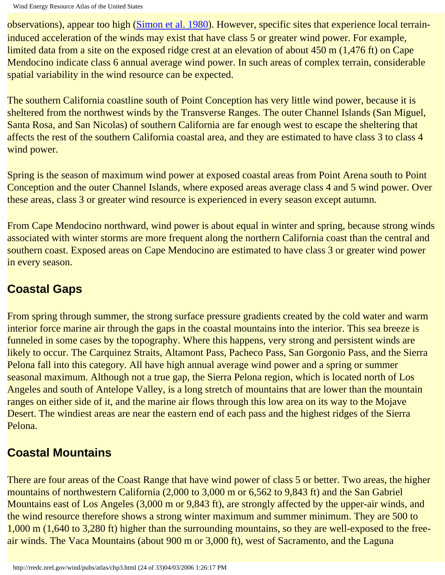observations), appear too high (Simon et al. 1980). However, specific sites that experience local terraininduced acceleration of the winds may exist that have class 5 or greater wind power. For example, limited data from a site on the exposed ridge crest at an elevation of about 450 m (1,476 ft) on Cape Mendocino indicate class 6 annual average wind power. In such areas of complex terrain, considerable spatial variability in the wind resource can be expected.

The southern California coastline south of Point Conception has very little wind power, because it is sheltered from the northwest winds by the Transverse Ranges. The outer Channel Islands (San Miguel, Santa Rosa, and San Nicolas) of southern California are far enough west to escape the sheltering that affects the rest of the southern California coastal area, and they are estimated to have class 3 to class 4 wind power.

Spring is the season of maximum wind power at exposed coastal areas from Point Arena south to Point Conception and the outer Channel Islands, where exposed areas average class 4 and 5 wind power. Over these areas, class 3 or greater wind resource is experienced in every season except autumn.

From Cape Mendocino northward, wind power is about equal in winter and spring, because strong winds associated with winter storms are more frequent along the northern California coast than the central and southern coast. Exposed areas on Cape Mendocino are estimated to have class 3 or greater wind power in every season.

### **Coastal Gaps**

From spring through summer, the strong surface pressure gradients created by the cold water and warm interior force marine air through the gaps in the coastal mountains into the interior. This sea breeze is funneled in some cases by the topography. Where this happens, very strong and persistent winds are likely to occur. The Carquinez Straits, Altamont Pass, Pacheco Pass, San Gorgonio Pass, and the Sierra Pelona fall into this category. All have high annual average wind power and a spring or summer seasonal maximum. Although not a true gap, the Sierra Pelona region, which is located north of Los Angeles and south of Antelope Valley, is a long stretch of mountains that are lower than the mountain ranges on either side of it, and the marine air flows through this low area on its way to the Mojave Desert. The windiest areas are near the eastern end of each pass and the highest ridges of the Sierra Pelona.

### **Coastal Mountains**

There are four areas of the Coast Range that have wind power of class 5 or better. Two areas, the higher mountains of northwestern California (2,000 to 3,000 m or 6,562 to 9,843 ft) and the San Gabriel Mountains east of Los Angeles (3,000 m or 9,843 ft), are strongly affected by the upper-air winds, and the wind resource therefore shows a strong winter maximum and summer minimum. They are 500 to 1,000 m (1,640 to 3,280 ft) higher than the surrounding mountains, so they are well-exposed to the freeair winds. The Vaca Mountains (about 900 m or 3,000 ft), west of Sacramento, and the Laguna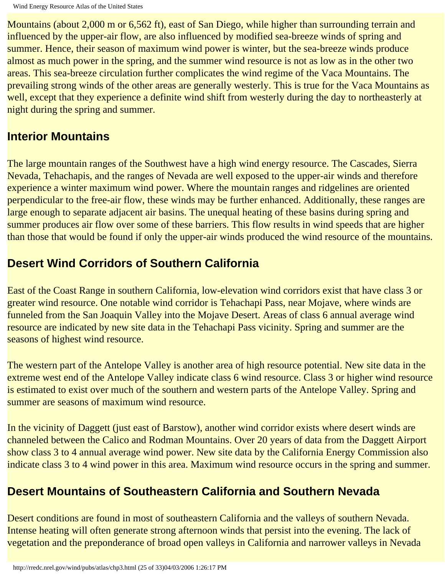Mountains (about 2,000 m or 6,562 ft), east of San Diego, while higher than surrounding terrain and influenced by the upper-air flow, are also influenced by modified sea-breeze winds of spring and summer. Hence, their season of maximum wind power is winter, but the sea-breeze winds produce almost as much power in the spring, and the summer wind resource is not as low as in the other two areas. This sea-breeze circulation further complicates the wind regime of the Vaca Mountains. The prevailing strong winds of the other areas are generally westerly. This is true for the Vaca Mountains as well, except that they experience a definite wind shift from westerly during the day to northeasterly at night during the spring and summer.

#### **Interior Mountains**

The large mountain ranges of the Southwest have a high wind energy resource. The Cascades, Sierra Nevada, Tehachapis, and the ranges of Nevada are well exposed to the upper-air winds and therefore experience a winter maximum wind power. Where the mountain ranges and ridgelines are oriented perpendicular to the free-air flow, these winds may be further enhanced. Additionally, these ranges are large enough to separate adjacent air basins. The unequal heating of these basins during spring and summer produces air flow over some of these barriers. This flow results in wind speeds that are higher than those that would be found if only the upper-air winds produced the wind resource of the mountains.

### **Desert Wind Corridors of Southern California**

East of the Coast Range in southern California, low-elevation wind corridors exist that have class 3 or greater wind resource. One notable wind corridor is Tehachapi Pass, near Mojave, where winds are funneled from the San Joaquin Valley into the Mojave Desert. Areas of class 6 annual average wind resource are indicated by new site data in the Tehachapi Pass vicinity. Spring and summer are the seasons of highest wind resource.

The western part of the Antelope Valley is another area of high resource potential. New site data in the extreme west end of the Antelope Valley indicate class 6 wind resource. Class 3 or higher wind resource is estimated to exist over much of the southern and western parts of the Antelope Valley. Spring and summer are seasons of maximum wind resource.

In the vicinity of Daggett (just east of Barstow), another wind corridor exists where desert winds are channeled between the Calico and Rodman Mountains. Over 20 years of data from the Daggett Airport show class 3 to 4 annual average wind power. New site data by the California Energy Commission also indicate class 3 to 4 wind power in this area. Maximum wind resource occurs in the spring and summer.

### **Desert Mountains of Southeastern California and Southern Nevada**

Desert conditions are found in most of southeastern California and the valleys of southern Nevada. Intense heating will often generate strong afternoon winds that persist into the evening. The lack of vegetation and the preponderance of broad open valleys in California and narrower valleys in Nevada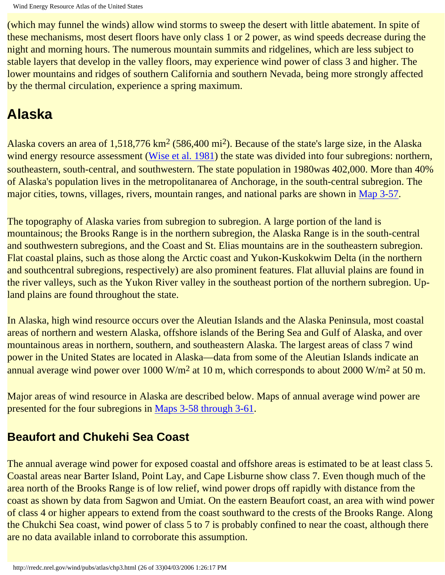(which may funnel the winds) allow wind storms to sweep the desert with little abatement. In spite of these mechanisms, most desert floors have only class 1 or 2 power, as wind speeds decrease during the night and morning hours. The numerous mountain summits and ridgelines, which are less subject to stable layers that develop in the valley floors, may experience wind power of class 3 and higher. The lower mountains and ridges of southern California and southern Nevada, being more strongly affected by the thermal circulation, experience a spring maximum.

# **Alaska**

Alaska covers an area of  $1,518,776 \text{ km}^2$  (586,400 mi<sup>2</sup>). Because of the state's large size, in the Alaska wind energy resource assessment (Wise et al. 1981) the state was divided into four subregions: northern, southeastern, south-central, and southwestern. The state population in 1980was 402,000. More than 40% of Alaska's population lives in the metropolitanarea of Anchorage, in the south-central subregion. The major cities, towns, villages, rivers, mountain ranges, and national parks are shown in [Map 3-57.](http://rredc.nrel.gov/wind/pubs/atlas/maps/chap3/3-57m.html)

The topography of Alaska varies from subregion to subregion. A large portion of the land is mountainous; the Brooks Range is in the northern subregion, the Alaska Range is in the south-central and southwestern subregions, and the Coast and St. Elias mountains are in the southeastern subregion. Flat coastal plains, such as those along the Arctic coast and Yukon-Kuskokwim Delta (in the northern and southcentral subregions, respectively) are also prominent features. Flat alluvial plains are found in the river valleys, such as the Yukon River valley in the southeast portion of the northern subregion. Upland plains are found throughout the state.

In Alaska, high wind resource occurs over the Aleutian Islands and the Alaska Peninsula, most coastal areas of northern and western Alaska, offshore islands of the Bering Sea and Gulf of Alaska, and over mountainous areas in northern, southern, and southeastern Alaska. The largest areas of class 7 wind power in the United States are located in Alaska—data from some of the Aleutian Islands indicate an annual average wind power over 1000 W/m<sup>2</sup> at 10 m, which corresponds to about 2000 W/m<sup>2</sup> at 50 m.

Major areas of wind resource in Alaska are described below. Maps of annual average wind power are presented for the four subregions in Maps 3-58 through 3-61.

### **Beaufort and Chukehi Sea Coast**

The annual average wind power for exposed coastal and offshore areas is estimated to be at least class 5. Coastal areas near Barter Island, Point Lay, and Cape Lisburne show class 7. Even though much of the area north of the Brooks Range is of low relief, wind power drops off rapidly with distance from the coast as shown by data from Sagwon and Umiat. On the eastern Beaufort coast, an area with wind power of class 4 or higher appears to extend from the coast southward to the crests of the Brooks Range. Along the Chukchi Sea coast, wind power of class 5 to 7 is probably confined to near the coast, although there are no data available inland to corroborate this assumption.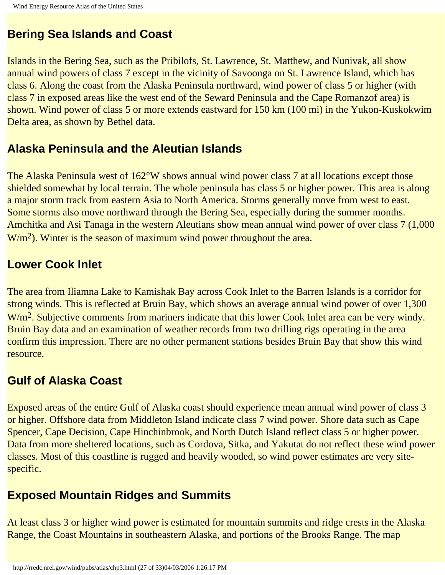### **Bering Sea Islands and Coast**

Islands in the Bering Sea, such as the Pribilofs, St. Lawrence, St. Matthew, and Nunivak, all show annual wind powers of class 7 except in the vicinity of Savoonga on St. Lawrence Island, which has class 6. Along the coast from the Alaska Peninsula northward, wind power of class 5 or higher (with class 7 in exposed areas like the west end of the Seward Peninsula and the Cape Romanzof area) is shown. Wind power of class 5 or more extends eastward for 150 km (100 mi) in the Yukon-Kuskokwim Delta area, as shown by Bethel data.

#### **Alaska Peninsula and the Aleutian Islands**

The Alaska Peninsula west of 162°W shows annual wind power class 7 at all locations except those shielded somewhat by local terrain. The whole peninsula has class 5 or higher power. This area is along a major storm track from eastern Asia to North America. Storms generally move from west to east. Some storms also move northward through the Bering Sea, especially during the summer months. Amchitka and Asi Tanaga in the western Aleutians show mean annual wind power of over class 7 (1,000 W/m<sup>2</sup>). Winter is the season of maximum wind power throughout the area.

#### **Lower Cook Inlet**

The area from Iliamna Lake to Kamishak Bay across Cook Inlet to the Barren Islands is a corridor for strong winds. This is reflected at Bruin Bay, which shows an average annual wind power of over 1,300 W/m<sup>2</sup>. Subjective comments from mariners indicate that this lower Cook Inlet area can be very windy. Bruin Bay data and an examination of weather records from two drilling rigs operating in the area confirm this impression. There are no other permanent stations besides Bruin Bay that show this wind resource.

#### **Gulf of Alaska Coast**

Exposed areas of the entire Gulf of Alaska coast should experience mean annual wind power of class 3 or higher. Offshore data from Middleton Island indicate class 7 wind power. Shore data such as Cape Spencer, Cape Decision, Cape Hinchinbrook, and North Dutch Island reflect class 5 or higher power. Data from more sheltered locations, such as Cordova, Sitka, and Yakutat do not reflect these wind power classes. Most of this coastline is rugged and heavily wooded, so wind power estimates are very sitespecific.

### **Exposed Mountain Ridges and Summits**

At least class 3 or higher wind power is estimated for mountain summits and ridge crests in the Alaska Range, the Coast Mountains in southeastern Alaska, and portions of the Brooks Range. The map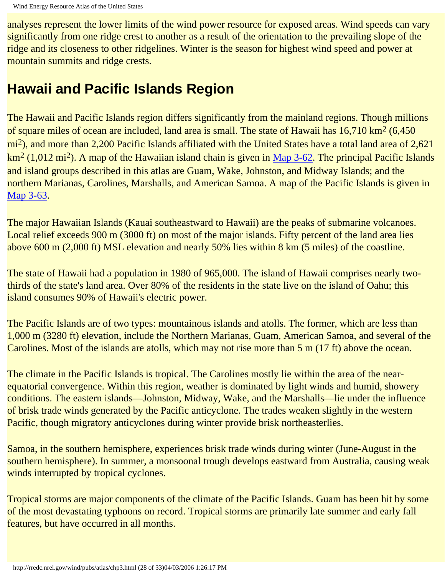analyses represent the lower limits of the wind power resource for exposed areas. Wind speeds can vary significantly from one ridge crest to another as a result of the orientation to the prevailing slope of the ridge and its closeness to other ridgelines. Winter is the season for highest wind speed and power at mountain summits and ridge crests.

## **Hawaii and Pacific Islands Region**

The Hawaii and Pacific Islands region differs significantly from the mainland regions. Though millions of square miles of ocean are included, land area is small. The state of Hawaii has 16,710 km<sup>2</sup> (6,450) mi<sup>2</sup>), and more than 2,200 Pacific Islands affiliated with the United States have a total land area of 2,621 km<sup>2</sup> (1,012 mi<sup>2</sup>). A map of the Hawaiian island chain is given in [Map 3-62](http://rredc.nrel.gov/wind/pubs/atlas/maps/chap3/3-62m.html). The principal Pacific Islands and island groups described in this atlas are Guam, Wake, Johnston, and Midway Islands; and the northern Marianas, Carolines, Marshalls, and American Samoa. A map of the Pacific Islands is given in [Map 3-63.](http://rredc.nrel.gov/wind/pubs/atlas/maps/chap3/3-63m.html)

The major Hawaiian Islands (Kauai southeastward to Hawaii) are the peaks of submarine volcanoes. Local relief exceeds 900 m (3000 ft) on most of the major islands. Fifty percent of the land area lies above 600 m (2,000 ft) MSL elevation and nearly 50% lies within 8 km (5 miles) of the coastline.

The state of Hawaii had a population in 1980 of 965,000. The island of Hawaii comprises nearly twothirds of the state's land area. Over 80% of the residents in the state live on the island of Oahu; this island consumes 90% of Hawaii's electric power.

The Pacific Islands are of two types: mountainous islands and atolls. The former, which are less than 1,000 m (3280 ft) elevation, include the Northern Marianas, Guam, American Samoa, and several of the Carolines. Most of the islands are atolls, which may not rise more than 5 m (17 ft) above the ocean.

The climate in the Pacific Islands is tropical. The Carolines mostly lie within the area of the nearequatorial convergence. Within this region, weather is dominated by light winds and humid, showery conditions. The eastern islands—Johnston, Midway, Wake, and the Marshalls—lie under the influence of brisk trade winds generated by the Pacific anticyclone. The trades weaken slightly in the western Pacific, though migratory anticyclones during winter provide brisk northeasterlies.

Samoa, in the southern hemisphere, experiences brisk trade winds during winter (June-August in the southern hemisphere). In summer, a monsoonal trough develops eastward from Australia, causing weak winds interrupted by tropical cyclones.

Tropical storms are major components of the climate of the Pacific Islands. Guam has been hit by some of the most devastating typhoons on record. Tropical storms are primarily late summer and early fall features, but have occurred in all months.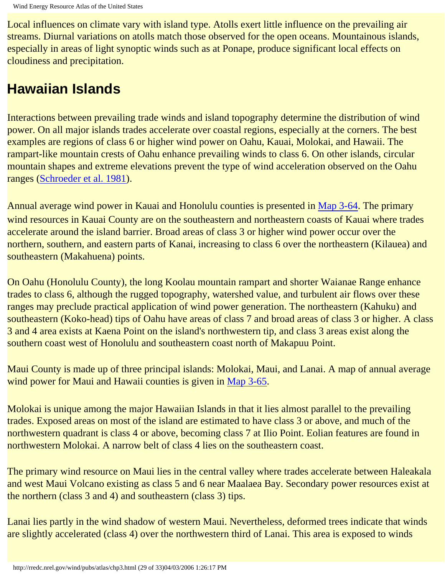Local influences on climate vary with island type. Atolls exert little influence on the prevailing air streams. Diurnal variations on atolls match those observed for the open oceans. Mountainous islands, especially in areas of light synoptic winds such as at Ponape, produce significant local effects on cloudiness and precipitation.

## **Hawaiian Islands**

Interactions between prevailing trade winds and island topography determine the distribution of wind power. On all major islands trades accelerate over coastal regions, especially at the corners. The best examples are regions of class 6 or higher wind power on Oahu, Kauai, Molokai, and Hawaii. The rampart-like mountain crests of Oahu enhance prevailing winds to class 6. On other islands, circular mountain shapes and extreme elevations prevent the type of wind acceleration observed on the Oahu ranges (Schroeder et al. 1981).

Annual average wind power in Kauai and Honolulu counties is presented in [Map 3-64.](http://rredc.nrel.gov/wind/pubs/atlas/maps/chap3/3-64m.html) The primary wind resources in Kauai County are on the southeastern and northeastern coasts of Kauai where trades accelerate around the island barrier. Broad areas of class 3 or higher wind power occur over the northern, southern, and eastern parts of Kanai, increasing to class 6 over the northeastern (Kilauea) and southeastern (Makahuena) points.

On Oahu (Honolulu County), the long Koolau mountain rampart and shorter Waianae Range enhance trades to class 6, although the rugged topography, watershed value, and turbulent air flows over these ranges may preclude practical application of wind power generation. The northeastern (Kahuku) and southeastern (Koko-head) tips of Oahu have areas of class 7 and broad areas of class 3 or higher. A class 3 and 4 area exists at Kaena Point on the island's northwestern tip, and class 3 areas exist along the southern coast west of Honolulu and southeastern coast north of Makapuu Point.

Maui County is made up of three principal islands: Molokai, Maui, and Lanai. A map of annual average wind power for Maui and Hawaii counties is given in [Map 3-65](http://rredc.nrel.gov/wind/pubs/atlas/maps/chap3/3-65m.html).

Molokai is unique among the major Hawaiian Islands in that it lies almost parallel to the prevailing trades. Exposed areas on most of the island are estimated to have class 3 or above, and much of the northwestern quadrant is class 4 or above, becoming class 7 at Ilio Point. Eolian features are found in northwestern Molokai. A narrow belt of class 4 lies on the southeastern coast.

The primary wind resource on Maui lies in the central valley where trades accelerate between Haleakala and west Maui Volcano existing as class 5 and 6 near Maalaea Bay. Secondary power resources exist at the northern (class 3 and 4) and southeastern (class 3) tips.

Lanai lies partly in the wind shadow of western Maui. Nevertheless, deformed trees indicate that winds are slightly accelerated (class 4) over the northwestern third of Lanai. This area is exposed to winds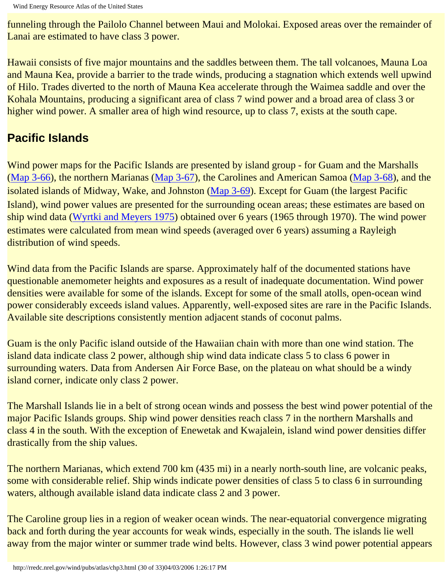funneling through the Pailolo Channel between Maui and Molokai. Exposed areas over the remainder of Lanai are estimated to have class 3 power.

Hawaii consists of five major mountains and the saddles between them. The tall volcanoes, Mauna Loa and Mauna Kea, provide a barrier to the trade winds, producing a stagnation which extends well upwind of Hilo. Trades diverted to the north of Mauna Kea accelerate through the Waimea saddle and over the Kohala Mountains, producing a significant area of class 7 wind power and a broad area of class 3 or higher wind power. A smaller area of high wind resource, up to class 7, exists at the south cape.

### **Pacific Islands**

Wind power maps for the Pacific Islands are presented by island group - for Guam and the Marshalls ([Map 3-66](http://rredc.nrel.gov/wind/pubs/atlas/maps/chap3/3-66m.html)), the northern Marianas ([Map 3-67\)](http://rredc.nrel.gov/wind/pubs/atlas/maps/chap3/3-67m.html), the Carolines and American Samoa ([Map 3-68\)](http://rredc.nrel.gov/wind/pubs/atlas/maps/chap3/3-68m.html), and the isolated islands of Midway, Wake, and Johnston ([Map 3-69](http://rredc.nrel.gov/wind/pubs/atlas/maps/chap3/3-69m.html)). Except for Guam (the largest Pacific Island), wind power values are presented for the surrounding ocean areas; these estimates are based on ship wind data (Wyrtki and Meyers 1975) obtained over 6 years (1965 through 1970). The wind power estimates were calculated from mean wind speeds (averaged over 6 years) assuming a Rayleigh distribution of wind speeds.

Wind data from the Pacific Islands are sparse. Approximately half of the documented stations have questionable anemometer heights and exposures as a result of inadequate documentation. Wind power densities were available for some of the islands. Except for some of the small atolls, open-ocean wind power considerably exceeds island values. Apparently, well-exposed sites are rare in the Pacific Islands. Available site descriptions consistently mention adjacent stands of coconut palms.

Guam is the only Pacific island outside of the Hawaiian chain with more than one wind station. The island data indicate class 2 power, although ship wind data indicate class 5 to class 6 power in surrounding waters. Data from Andersen Air Force Base, on the plateau on what should be a windy island corner, indicate only class 2 power.

The Marshall Islands lie in a belt of strong ocean winds and possess the best wind power potential of the major Pacific Islands groups. Ship wind power densities reach class 7 in the northern Marshalls and class 4 in the south. With the exception of Enewetak and Kwajalein, island wind power densities differ drastically from the ship values.

The northern Marianas, which extend 700 km (435 mi) in a nearly north-south line, are volcanic peaks, some with considerable relief. Ship winds indicate power densities of class 5 to class 6 in surrounding waters, although available island data indicate class 2 and 3 power.

The Caroline group lies in a region of weaker ocean winds. The near-equatorial convergence migrating back and forth during the year accounts for weak winds, especially in the south. The islands lie well away from the major winter or summer trade wind belts. However, class 3 wind power potential appears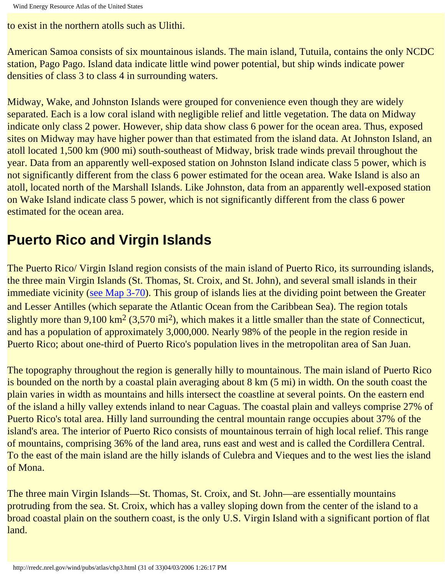Wind Energy Resource Atlas of the United States

to exist in the northern atolls such as Ulithi.

American Samoa consists of six mountainous islands. The main island, Tutuila, contains the only NCDC station, Pago Pago. Island data indicate little wind power potential, but ship winds indicate power densities of class 3 to class 4 in surrounding waters.

Midway, Wake, and Johnston Islands were grouped for convenience even though they are widely separated. Each is a low coral island with negligible relief and little vegetation. The data on Midway indicate only class 2 power. However, ship data show class 6 power for the ocean area. Thus, exposed sites on Midway may have higher power than that estimated from the island data. At Johnston Island, an atoll located 1,500 km (900 mi) south-southeast of Midway, brisk trade winds prevail throughout the year. Data from an apparently well-exposed station on Johnston Island indicate class 5 power, which is not significantly different from the class 6 power estimated for the ocean area. Wake Island is also an atoll, located north of the Marshall Islands. Like Johnston, data from an apparently well-exposed station on Wake Island indicate class 5 power, which is not significantly different from the class 6 power estimated for the ocean area.

# **Puerto Rico and Virgin Islands**

The Puerto Rico/ Virgin Island region consists of the main island of Puerto Rico, its surrounding islands, the three main Virgin Islands (St. Thomas, St. Croix, and St. John), and several small islands in their immediate vicinity ([see Map 3-70\)](http://rredc.nrel.gov/wind/pubs/atlas/maps/chap3/3-70m.html). This group of islands lies at the dividing point between the Greater and Lesser Antilles (which separate the Atlantic Ocean from the Caribbean Sea). The region totals slightly more than  $9,100 \text{ km}^2$  (3,570 mi<sup>2</sup>), which makes it a little smaller than the state of Connecticut, and has a population of approximately 3,000,000. Nearly 98% of the people in the region reside in Puerto Rico; about one-third of Puerto Rico's population lives in the metropolitan area of San Juan.

The topography throughout the region is generally hilly to mountainous. The main island of Puerto Rico is bounded on the north by a coastal plain averaging about 8 km (5 mi) in width. On the south coast the plain varies in width as mountains and hills intersect the coastline at several points. On the eastern end of the island a hilly valley extends inland to near Caguas. The coastal plain and valleys comprise 27% of Puerto Rico's total area. Hilly land surrounding the central mountain range occupies about 37% of the island's area. The interior of Puerto Rico consists of mountainous terrain of high local relief. This range of mountains, comprising 36% of the land area, runs east and west and is called the Cordillera Central. To the east of the main island are the hilly islands of Culebra and Vieques and to the west lies the island of Mona.

The three main Virgin Islands—St. Thomas, St. Croix, and St. John—are essentially mountains protruding from the sea. St. Croix, which has a valley sloping down from the center of the island to a broad coastal plain on the southern coast, is the only U.S. Virgin Island with a significant portion of flat land.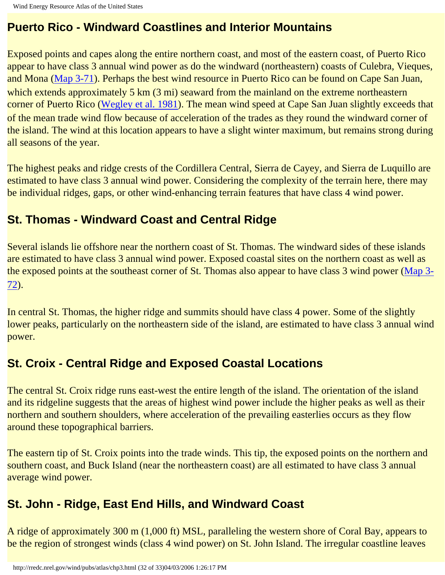#### **Puerto Rico - Windward Coastlines and Interior Mountains**

Exposed points and capes along the entire northern coast, and most of the eastern coast, of Puerto Rico appear to have class 3 annual wind power as do the windward (northeastern) coasts of Culebra, Vieques, and Mona ([Map 3-71](http://rredc.nrel.gov/wind/pubs/atlas/maps/chap3/3-71m.html)). Perhaps the best wind resource in Puerto Rico can be found on Cape San Juan, which extends approximately 5 km (3 mi) seaward from the mainland on the extreme northeastern corner of Puerto Rico (Wegley et al. 1981). The mean wind speed at Cape San Juan slightly exceeds that of the mean trade wind flow because of acceleration of the trades as they round the windward corner of the island. The wind at this location appears to have a slight winter maximum, but remains strong during all seasons of the year.

The highest peaks and ridge crests of the Cordillera Central, Sierra de Cayey, and Sierra de Luquillo are estimated to have class 3 annual wind power. Considering the complexity of the terrain here, there may be individual ridges, gaps, or other wind-enhancing terrain features that have class 4 wind power.

### **St. Thomas - Windward Coast and Central Ridge**

Several islands lie offshore near the northern coast of St. Thomas. The windward sides of these islands are estimated to have class 3 annual wind power. Exposed coastal sites on the northern coast as well as the exposed points at the southeast corner of St. Thomas also appear to have class 3 wind power [\(Map 3-](http://rredc.nrel.gov/wind/pubs/atlas/maps/chap3/3-72m.html) [72](http://rredc.nrel.gov/wind/pubs/atlas/maps/chap3/3-72m.html)).

In central St. Thomas, the higher ridge and summits should have class 4 power. Some of the slightly lower peaks, particularly on the northeastern side of the island, are estimated to have class 3 annual wind power.

### **St. Croix - Central Ridge and Exposed Coastal Locations**

The central St. Croix ridge runs east-west the entire length of the island. The orientation of the island and its ridgeline suggests that the areas of highest wind power include the higher peaks as well as their northern and southern shoulders, where acceleration of the prevailing easterlies occurs as they flow around these topographical barriers.

The eastern tip of St. Croix points into the trade winds. This tip, the exposed points on the northern and southern coast, and Buck Island (near the northeastern coast) are all estimated to have class 3 annual average wind power.

### **St. John - Ridge, East End Hills, and Windward Coast**

A ridge of approximately 300 m (1,000 ft) MSL, paralleling the western shore of Coral Bay, appears to be the region of strongest winds (class 4 wind power) on St. John Island. The irregular coastline leaves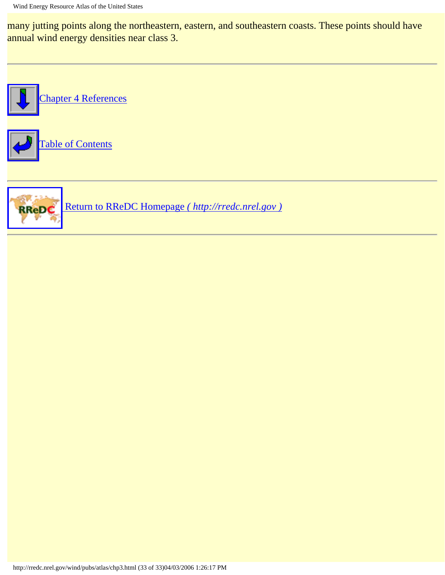many jutting points along the northeastern, eastern, and southeastern coasts. These points should have annual wind energy densities near class 3.



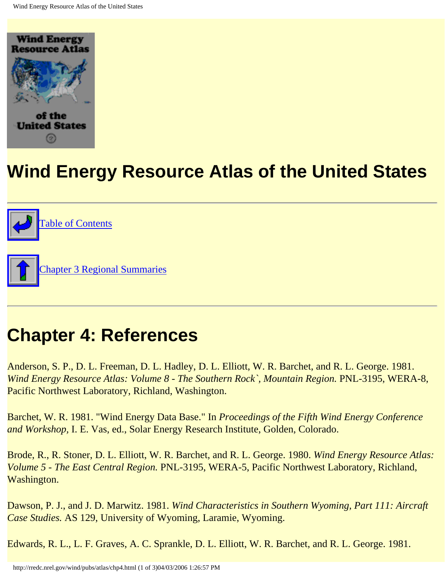<span id="page-69-0"></span>

# **Wind Energy Resource Atlas of the United States**



# **Chapter 4: References**

Anderson, S. P., D. L. Freeman, D. L. Hadley, D. L. Elliott, W. R. Barchet, and R. L. George. 1981. *Wind Energy Resource Atlas: Volume 8 - The Southern Rock`, Mountain Region. PNL-3195, WERA-8,* Pacific Northwest Laboratory, Richland, Washington.

Barchet, W. R. 1981. "Wind Energy Data Base." In *Proceedings of the Fifth Wind Energy Conference and Workshop,* I. E. Vas, ed., Solar Energy Research Institute, Golden, Colorado.

Brode, R., R. Stoner, D. L. Elliott, W. R. Barchet, and R. L. George. 1980. *Wind Energy Resource Atlas: Volume 5 - The East Central Region.* PNL-3195, WERA-5, Pacific Northwest Laboratory, Richland, Washington.

Dawson, P. J., and J. D. Marwitz. 1981. *Wind Characteristics in Southern Wyoming, Part 111: Aircraft Case Studies.* AS 129, University of Wyoming, Laramie, Wyoming.

Edwards, R. L., L. F. Graves, A. C. Sprankle, D. L. Elliott, W. R. Barchet, and R. L. George. 1981.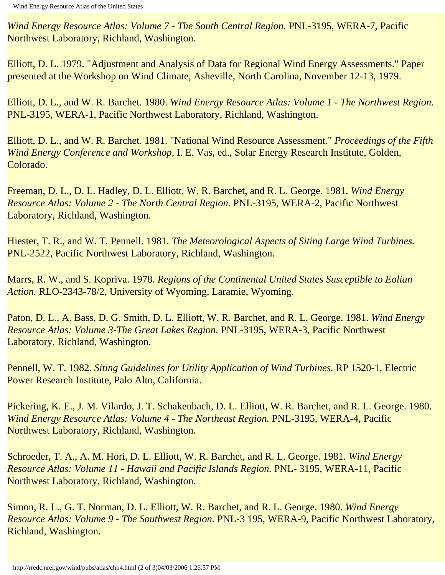*Wind Energy Resource Atlas: Volume 7 - The South Central Region.* PNL-3195, WERA-7, Pacific Northwest Laboratory, Richland, Washington.

Elliott, D. L. 1979. "Adjustment and Analysis of Data for Regional Wind Energy Assessments." Paper presented at the Workshop on Wind Climate, Asheville, North Carolina, November 12-13, 1979.

Elliott, D. L., and W. R. Barchet. 1980. *Wind Energy Resource Atlas: Volume 1 - The Northwest Region.* PNL-3195, WERA-1, Pacific Northwest Laboratory, Richland, Washington.

Elliott, D. L., and W. R. Barchet. 1981. "National Wind Resource Assessment." *Proceedings of the Fifth Wind Energy Conference and Workshop*, I. E. Vas, ed., Solar Energy Research Institute, Golden, Colorado.

Freeman, D. L., D. L. Hadley, D. L. Elliott, W. R. Barchet, and R. L. George. 1981. *Wind Energy Resource Atlas: Volume 2 - The North Central Region.* PNL-3195, WERA-2, Pacific Northwest Laboratory, Richland, Washington.

Hiester, T. R., and W. T. Pennell. 1981. *The Meteorological Aspects of Siting Large Wind Turbines.* PNL-2522, Pacific Northwest Laboratory, Richland, Washington.

Marrs, R. W., and S. Kopriva. 1978. *Regions of the Continental United States Susceptible to Eolian Action.* RLO-2343-78/2, University of Wyoming, Laramie, Wyoming.

Paton, D. L., A. Bass, D. G. Smith, D. L. Elliott, W. R. Barchet, and R. L. George. 1981. *Wind Energy Resource Atlas: Volume 3-The Great Lakes Region.* PNL-3195, WERA-3, Pacific Northwest Laboratory, Richland, Washington.

Pennell, W. T. 1982. *Siting Guidelines for Utility Application of Wind Turbines.* RP 1520-1, Electric Power Research Institute, Palo Alto, California.

Pickering, K. E., J. M. Vilardo, J. T. Schakenbach, D. L. Elliott, W. R. Barchet, and R. L. George. 1980. *Wind Energy Resource Atlas: Volume 4 - The Northeast Region.* PNL-3195, WERA-4, Pacific Northwest Laboratory, Richland, Washington.

Schroeder, T. A., A. M. Hori, D. L. Elliott, W. R. Barchet, and R. L. George. 1981. *Wind Energy Resource Atlas: Volume 11 - Hawaii and Pacific Islands Region.* PNL- 3195, WERA-11, Pacific Northwest Laboratory, Richland, Washington.

Simon, R. L., G. T. Norman, D. L. Elliott, W. R. Barchet, and R. L. George. 1980. *Wind Energy Resource Atlas: Volume 9 - The Southwest Region.* PNL-3 195, WERA-9, Pacific Northwest Laboratory, Richland, Washington.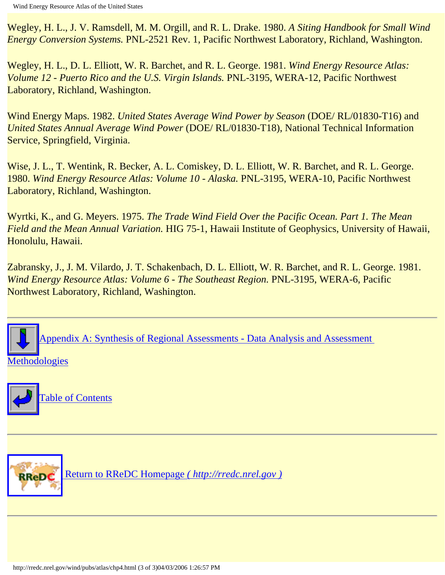Wegley, H. L., J. V. Ramsdell, M. M. Orgill, and R. L. Drake. 1980. *A Siting Handbook for Small Wind Energy Conversion Systems.* PNL-2521 Rev. 1, Pacific Northwest Laboratory, Richland, Washington.

Wegley, H. L., D. L. Elliott, W. R. Barchet, and R. L. George. 1981. *Wind Energy Resource Atlas: Volume 12 - Puerto Rico and the U.S. Virgin Islands.* PNL-3195, WERA-12, Pacific Northwest Laboratory, Richland, Washington.

Wind Energy Maps. 1982. *United States Average Wind Power by Season* (DOE/ RL/01830-T16) and *United States Annual Average Wind Power* (DOE/ RL/01830-T18), National Technical Information Service, Springfield, Virginia.

Wise, J. L., T. Wentink, R. Becker, A. L. Comiskey, D. L. Elliott, W. R. Barchet, and R. L. George. 1980. *Wind Energy Resource Atlas: Volume 10 - Alaska.* PNL-3195, WERA-10, Pacific Northwest Laboratory, Richland, Washington.

Wyrtki, K., and G. Meyers. 1975. *The Trade Wind Field Over the Pacific Ocean. Part 1. The Mean Field and the Mean Annual Variation.* HIG 75-1, Hawaii Institute of Geophysics, University of Hawaii, Honolulu, Hawaii.

Zabransky, J., J. M. Vilardo, J. T. Schakenbach, D. L. Elliott, W. R. Barchet, and R. L. George. 1981. *Wind Energy Resource Atlas: Volume 6 - The Southeast Region.* PNL-3195, WERA-6, Pacific Northwest Laboratory, Richland, Washington.



#### hodologies



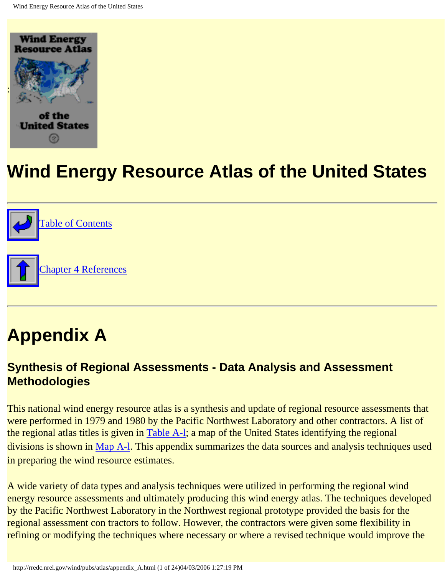<span id="page-72-0"></span>



# **Appendix A**

#### **Synthesis of Regional Assessments - Data Analysis and Assessment Methodologies**

This national wind energy resource atlas is a synthesis and update of regional resource assessments that were performed in 1979 and 1980 by the Pacific Northwest Laboratory and other contractors. A list of the regional atlas titles is given in [Table A-l;](http://rredc.nrel.gov/wind/pubs/atlas/tables/A-1T.html) a map of the United States identifying the regional divisions is shown in [Map A-l](http://rredc.nrel.gov/wind/pubs/atlas/maps/A-1M.html). This appendix summarizes the data sources and analysis techniques used in preparing the wind resource estimates.

A wide variety of data types and analysis techniques were utilized in performing the regional wind energy resource assessments and ultimately producing this wind energy atlas. The techniques developed by the Pacific Northwest Laboratory in the Northwest regional prototype provided the basis for the regional assessment con tractors to follow. However, the contractors were given some flexibility in refining or modifying the techniques where necessary or where a revised technique would improve the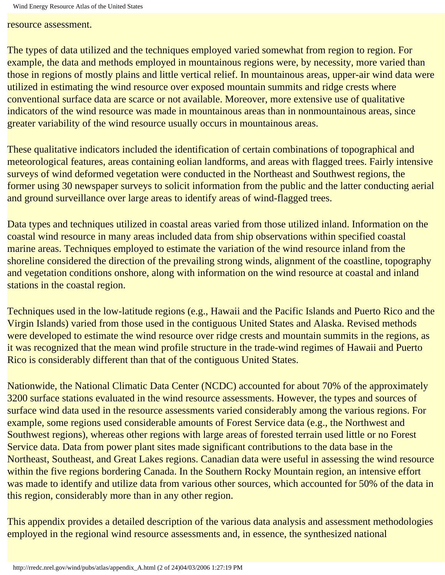resource assessment.

The types of data utilized and the techniques employed varied somewhat from region to region. For example, the data and methods employed in mountainous regions were, by necessity, more varied than those in regions of mostly plains and little vertical relief. In mountainous areas, upper-air wind data were utilized in estimating the wind resource over exposed mountain summits and ridge crests where conventional surface data are scarce or not available. Moreover, more extensive use of qualitative indicators of the wind resource was made in mountainous areas than in nonmountainous areas, since greater variability of the wind resource usually occurs in mountainous areas.

These qualitative indicators included the identification of certain combinations of topographical and meteorological features, areas containing eolian landforms, and areas with flagged trees. Fairly intensive surveys of wind deformed vegetation were conducted in the Northeast and Southwest regions, the former using 30 newspaper surveys to solicit information from the public and the latter conducting aerial and ground surveillance over large areas to identify areas of wind-flagged trees.

Data types and techniques utilized in coastal areas varied from those utilized inland. Information on the coastal wind resource in many areas included data from ship observations within specified coastal marine areas. Techniques employed to estimate the variation of the wind resource inland from the shoreline considered the direction of the prevailing strong winds, alignment of the coastline, topography and vegetation conditions onshore, along with information on the wind resource at coastal and inland stations in the coastal region.

Techniques used in the low-latitude regions (e.g., Hawaii and the Pacific Islands and Puerto Rico and the Virgin Islands) varied from those used in the contiguous United States and Alaska. Revised methods were developed to estimate the wind resource over ridge crests and mountain summits in the regions, as it was recognized that the mean wind profile structure in the trade-wind regimes of Hawaii and Puerto Rico is considerably different than that of the contiguous United States.

Nationwide, the National Climatic Data Center (NCDC) accounted for about 70% of the approximately 3200 surface stations evaluated in the wind resource assessments. However, the types and sources of surface wind data used in the resource assessments varied considerably among the various regions. For example, some regions used considerable amounts of Forest Service data (e.g., the Northwest and Southwest regions), whereas other regions with large areas of forested terrain used little or no Forest Service data. Data from power plant sites made significant contributions to the data base in the Northeast, Southeast, and Great Lakes regions. Canadian data were useful in assessing the wind resource within the five regions bordering Canada. In the Southern Rocky Mountain region, an intensive effort was made to identify and utilize data from various other sources, which accounted for 50% of the data in this region, considerably more than in any other region.

This appendix provides a detailed description of the various data analysis and assessment methodologies employed in the regional wind resource assessments and, in essence, the synthesized national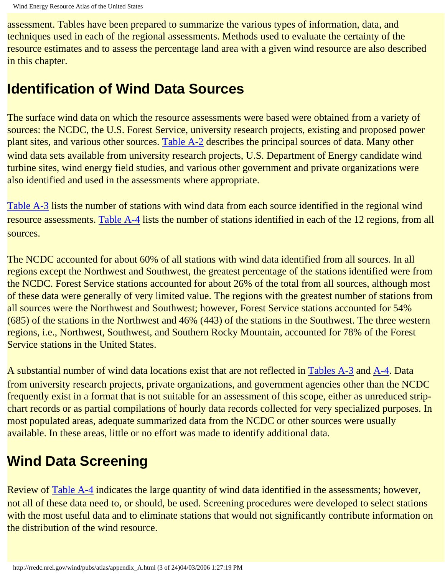assessment. Tables have been prepared to summarize the various types of information, data, and techniques used in each of the regional assessments. Methods used to evaluate the certainty of the resource estimates and to assess the percentage land area with a given wind resource are also described in this chapter.

## **Identification of Wind Data Sources**

The surface wind data on which the resource assessments were based were obtained from a variety of sources: the NCDC, the U.S. Forest Service, university research projects, existing and proposed power plant sites, and various other sources. [Table A-2](http://rredc.nrel.gov/wind/pubs/atlas/tables/A-2T.html) describes the principal sources of data. Many other wind data sets available from university research projects, U.S. Department of Energy candidate wind turbine sites, wind energy field studies, and various other government and private organizations were also identified and used in the assessments where appropriate.

[Table A-3](http://rredc.nrel.gov/wind/pubs/atlas/tables/A-3T.html) lists the number of stations with wind data from each source identified in the regional wind resource assessments. [Table A-4](http://rredc.nrel.gov/wind/pubs/atlas/tables/A-4T.html) lists the number of stations identified in each of the 12 regions, from all sources.

The NCDC accounted for about 60% of all stations with wind data identified from all sources. In all regions except the Northwest and Southwest, the greatest percentage of the stations identified were from the NCDC. Forest Service stations accounted for about 26% of the total from all sources, although most of these data were generally of very limited value. The regions with the greatest number of stations from all sources were the Northwest and Southwest; however, Forest Service stations accounted for 54% (685) of the stations in the Northwest and 46% (443) of the stations in the Southwest. The three western regions, i.e., Northwest, Southwest, and Southern Rocky Mountain, accounted for 78% of the Forest Service stations in the United States.

A substantial number of wind data locations exist that are not reflected in [Tables A-3](http://rredc.nrel.gov/wind/pubs/atlas/tables/A-3T.html) and [A-4.](http://rredc.nrel.gov/wind/pubs/atlas/tables/A-4T.html) Data from university research projects, private organizations, and government agencies other than the NCDC frequently exist in a format that is not suitable for an assessment of this scope, either as unreduced stripchart records or as partial compilations of hourly data records collected for very specialized purposes. In most populated areas, adequate summarized data from the NCDC or other sources were usually available. In these areas, little or no effort was made to identify additional data.

## **Wind Data Screening**

Review of [Table A-4](http://rredc.nrel.gov/wind/pubs/atlas/tables/A-4T.html) indicates the large quantity of wind data identified in the assessments; however, not all of these data need to, or should, be used. Screening procedures were developed to select stations with the most useful data and to eliminate stations that would not significantly contribute information on the distribution of the wind resource.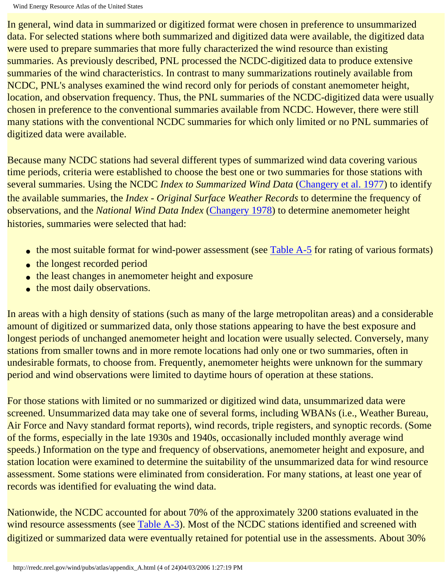In general, wind data in summarized or digitized format were chosen in preference to unsummarized data. For selected stations where both summarized and digitized data were available, the digitized data were used to prepare summaries that more fully characterized the wind resource than existing summaries. As previously described, PNL processed the NCDC-digitized data to produce extensive summaries of the wind characteristics. In contrast to many summarizations routinely available from NCDC, PNL's analyses examined the wind record only for periods of constant anemometer height, location, and observation frequency. Thus, the PNL summaries of the NCDC-digitized data were usually chosen in preference to the conventional summaries available from NCDC. However, there were still many stations with the conventional NCDC summaries for which only limited or no PNL summaries of digitized data were available.

Because many NCDC stations had several different types of summarized wind data covering various time periods, criteria were established to choose the best one or two summaries for those stations with several summaries. Using the NCDC *Index to Summarized Wind Data* ([Changery et al. 1977](#page-92-0)) to identify the available summaries, the *Index - Original Surface Weather Records* to determine the frequency of observations, and the *National Wind Data Index* [\(Changery 1978](#page-92-1)) to determine anemometer height histories, summaries were selected that had:

- the most suitable format for wind-power assessment (see [Table A-5](http://rredc.nrel.gov/wind/pubs/atlas/tables/A-5T.html) for rating of various formats)
- the longest recorded period
- the least changes in anemometer height and exposure
- the most daily observations.

In areas with a high density of stations (such as many of the large metropolitan areas) and a considerable amount of digitized or summarized data, only those stations appearing to have the best exposure and longest periods of unchanged anemometer height and location were usually selected. Conversely, many stations from smaller towns and in more remote locations had only one or two summaries, often in undesirable formats, to choose from. Frequently, anemometer heights were unknown for the summary period and wind observations were limited to daytime hours of operation at these stations.

For those stations with limited or no summarized or digitized wind data, unsummarized data were screened. Unsummarized data may take one of several forms, including WBANs (i.e., Weather Bureau, Air Force and Navy standard format reports), wind records, triple registers, and synoptic records. (Some of the forms, especially in the late 1930s and 1940s, occasionally included monthly average wind speeds.) Information on the type and frequency of observations, anemometer height and exposure, and station location were examined to determine the suitability of the unsummarized data for wind resource assessment. Some stations were eliminated from consideration. For many stations, at least one year of records was identified for evaluating the wind data.

Nationwide, the NCDC accounted for about 70% of the approximately 3200 stations evaluated in the wind resource assessments (see [Table A-3\)](http://rredc.nrel.gov/wind/pubs/atlas/tables/A-3T.html). Most of the NCDC stations identified and screened with digitized or summarized data were eventually retained for potential use in the assessments. About 30%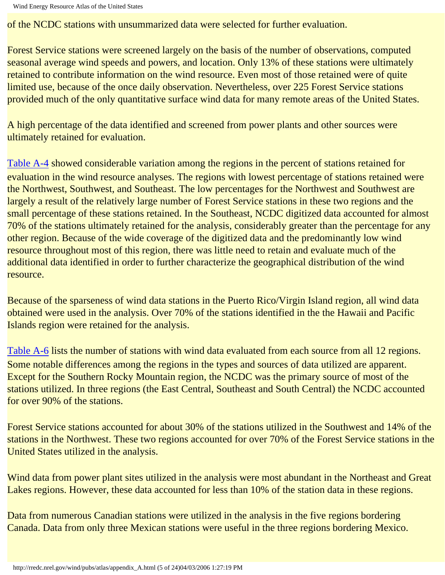of the NCDC stations with unsummarized data were selected for further evaluation.

Forest Service stations were screened largely on the basis of the number of observations, computed seasonal average wind speeds and powers, and location. Only 13% of these stations were ultimately retained to contribute information on the wind resource. Even most of those retained were of quite limited use, because of the once daily observation. Nevertheless, over 225 Forest Service stations provided much of the only quantitative surface wind data for many remote areas of the United States.

A high percentage of the data identified and screened from power plants and other sources were ultimately retained for evaluation.

[Table A-4](http://rredc.nrel.gov/wind/pubs/atlas/tables/A-4T.html) showed considerable variation among the regions in the percent of stations retained for evaluation in the wind resource analyses. The regions with lowest percentage of stations retained were the Northwest, Southwest, and Southeast. The low percentages for the Northwest and Southwest are largely a result of the relatively large number of Forest Service stations in these two regions and the small percentage of these stations retained. In the Southeast, NCDC digitized data accounted for almost 70% of the stations ultimately retained for the analysis, considerably greater than the percentage for any other region. Because of the wide coverage of the digitized data and the predominantly low wind resource throughout most of this region, there was little need to retain and evaluate much of the additional data identified in order to further characterize the geographical distribution of the wind resource.

Because of the sparseness of wind data stations in the Puerto Rico/Virgin Island region, all wind data obtained were used in the analysis. Over 70% of the stations identified in the the Hawaii and Pacific Islands region were retained for the analysis.

[Table A-6](http://rredc.nrel.gov/wind/pubs/atlas/tables/A-6T.html) lists the number of stations with wind data evaluated from each source from all 12 regions. Some notable differences among the regions in the types and sources of data utilized are apparent. Except for the Southern Rocky Mountain region, the NCDC was the primary source of most of the stations utilized. In three regions (the East Central, Southeast and South Central) the NCDC accounted for over 90% of the stations.

Forest Service stations accounted for about 30% of the stations utilized in the Southwest and 14% of the stations in the Northwest. These two regions accounted for over 70% of the Forest Service stations in the United States utilized in the analysis.

Wind data from power plant sites utilized in the analysis were most abundant in the Northeast and Great Lakes regions. However, these data accounted for less than 10% of the station data in these regions.

Data from numerous Canadian stations were utilized in the analysis in the five regions bordering Canada. Data from only three Mexican stations were useful in the three regions bordering Mexico.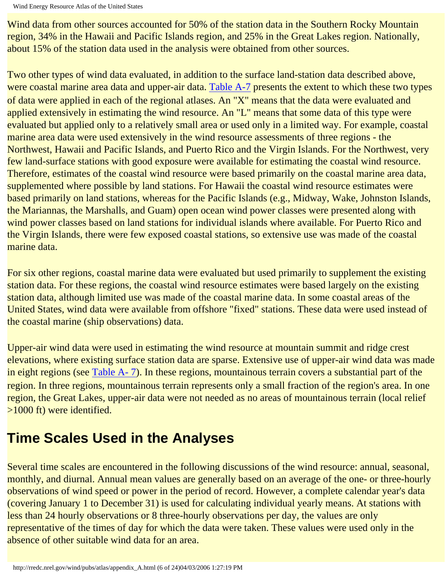```
Wind Energy Resource Atlas of the United States
```
Wind data from other sources accounted for 50% of the station data in the Southern Rocky Mountain region, 34% in the Hawaii and Pacific Islands region, and 25% in the Great Lakes region. Nationally, about 15% of the station data used in the analysis were obtained from other sources.

Two other types of wind data evaluated, in addition to the surface land-station data described above, were coastal marine area data and upper-air data. [Table A-7](http://rredc.nrel.gov/wind/pubs/atlas/tables/A-7T.html) presents the extent to which these two types of data were applied in each of the regional atlases. An "X" means that the data were evaluated and applied extensively in estimating the wind resource. An "L" means that some data of this type were evaluated but applied only to a relatively small area or used only in a limited way. For example, coastal marine area data were used extensively in the wind resource assessments of three regions - the Northwest, Hawaii and Pacific Islands, and Puerto Rico and the Virgin Islands. For the Northwest, very few land-surface stations with good exposure were available for estimating the coastal wind resource. Therefore, estimates of the coastal wind resource were based primarily on the coastal marine area data, supplemented where possible by land stations. For Hawaii the coastal wind resource estimates were based primarily on land stations, whereas for the Pacific Islands (e.g., Midway, Wake, Johnston Islands, the Mariannas, the Marshalls, and Guam) open ocean wind power classes were presented along with wind power classes based on land stations for individual islands where available. For Puerto Rico and the Virgin Islands, there were few exposed coastal stations, so extensive use was made of the coastal marine data.

For six other regions, coastal marine data were evaluated but used primarily to supplement the existing station data. For these regions, the coastal wind resource estimates were based largely on the existing station data, although limited use was made of the coastal marine data. In some coastal areas of the United States, wind data were available from offshore "fixed" stations. These data were used instead of the coastal marine (ship observations) data.

Upper-air wind data were used in estimating the wind resource at mountain summit and ridge crest elevations, where existing surface station data are sparse. Extensive use of upper-air wind data was made in eight regions (see [Table A- 7](http://rredc.nrel.gov/wind/pubs/atlas/tables/A-7T.html)). In these regions, mountainous terrain covers a substantial part of the region. In three regions, mountainous terrain represents only a small fraction of the region's area. In one region, the Great Lakes, upper-air data were not needed as no areas of mountainous terrain (local relief >1000 ft) were identified.

## **Time Scales Used in the Analyses**

Several time scales are encountered in the following discussions of the wind resource: annual, seasonal, monthly, and diurnal. Annual mean values are generally based on an average of the one- or three-hourly observations of wind speed or power in the period of record. However, a complete calendar year's data (covering January 1 to December 31) is used for calculating individual yearly means. At stations with less than 24 hourly observations or 8 three-hourly observations per day, the values are only representative of the times of day for which the data were taken. These values were used only in the absence of other suitable wind data for an area.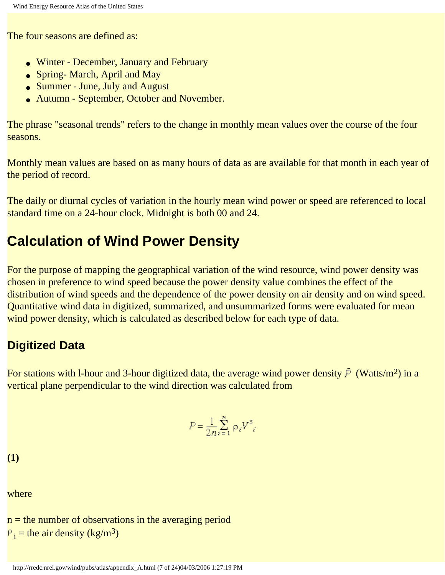The four seasons are defined as:

- Winter December, January and February
- Spring- March, April and May
- Summer June, July and August
- Autumn September, October and November.

The phrase "seasonal trends" refers to the change in monthly mean values over the course of the four seasons.

Monthly mean values are based on as many hours of data as are available for that month in each year of the period of record.

The daily or diurnal cycles of variation in the hourly mean wind power or speed are referenced to local standard time on a 24-hour clock. Midnight is both 00 and 24.

### **Calculation of Wind Power Density**

For the purpose of mapping the geographical variation of the wind resource, wind power density was chosen in preference to wind speed because the power density value combines the effect of the distribution of wind speeds and the dependence of the power density on air density and on wind speed. Quantitative wind data in digitized, summarized, and unsummarized forms were evaluated for mean wind power density, which is calculated as described below for each type of data.

#### **Digitized Data**

For stations with 1-hour and 3-hour digitized data, the average wind power density  $\bar{P}$  (Watts/m<sup>2</sup>) in a vertical plane perpendicular to the wind direction was calculated from

$$
P = \frac{1}{2n} \sum_{i=1}^{n} \rho_i V^3
$$

**(1)**

where

 $n =$  the number of observations in the averaging period  $i =$  the air density (kg/m<sup>3</sup>)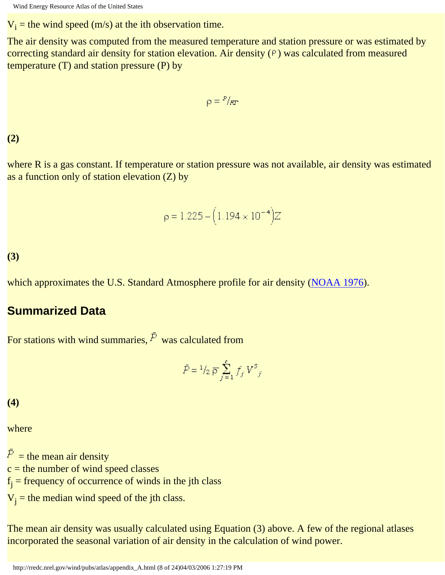$V_i$  = the wind speed (m/s) at the ith observation time.

The air density was computed from the measured temperature and station pressure or was estimated by correcting standard air density for station elevation. Air density  $(P)$  was calculated from measured temperature (T) and station pressure (P) by

$$
\rho = \frac{P}{RT}
$$

**(2)**

where R is a gas constant. If temperature or station pressure was not available, air density was estimated as a function only of station elevation (Z) by

$$
\rho = 1.225 - (1.194 \times 10^{-4})Z
$$

**(3)**

which approximates the U.S. Standard Atmosphere profile for air density [\(NOAA 1976](#page-94-0)).

#### **Summarized Data**

For stations with wind summaries,  $\bar{F}$  was calculated from

$$
\bar{P} = \frac{1}{2} \bar{P} \sum_{j=1}^{c} f_j V^3
$$

**(4)**

where

 $\overline{P}$  = the mean air density  $c$  = the number of wind speed classes  $f_j$  = frequency of occurrence of winds in the jth class  $V_j$  = the median wind speed of the jth class.

The mean air density was usually calculated using Equation (3) above. A few of the regional atlases incorporated the seasonal variation of air density in the calculation of wind power.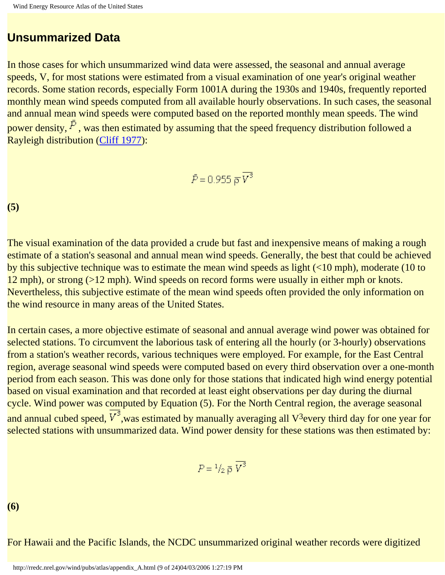#### **Unsummarized Data**

In those cases for which unsummarized wind data were assessed, the seasonal and annual average speeds, V, for most stations were estimated from a visual examination of one year's original weather records. Some station records, especially Form 1001A during the 1930s and 1940s, frequently reported monthly mean wind speeds computed from all available hourly observations. In such cases, the seasonal and annual mean wind speeds were computed based on the reported monthly mean speeds. The wind power density,  $\bar{P}$ , was then estimated by assuming that the speed frequency distribution followed a Rayleigh distribution ([Cliff 1977\)](#page-93-0):

$$
\bar{P}\!=\!0.955~\overline{\rho}\,V^2
$$

**(5)**

The visual examination of the data provided a crude but fast and inexpensive means of making a rough estimate of a station's seasonal and annual mean wind speeds. Generally, the best that could be achieved by this subjective technique was to estimate the mean wind speeds as light (<10 mph), moderate (10 to 12 mph), or strong (>12 mph). Wind speeds on record forms were usually in either mph or knots. Nevertheless, this subjective estimate of the mean wind speeds often provided the only information on the wind resource in many areas of the United States.

In certain cases, a more objective estimate of seasonal and annual average wind power was obtained for selected stations. To circumvent the laborious task of entering all the hourly (or 3-hourly) observations from a station's weather records, various techniques were employed. For example, for the East Central region, average seasonal wind speeds were computed based on every third observation over a one-month period from each season. This was done only for those stations that indicated high wind energy potential based on visual examination and that recorded at least eight observations per day during the diurnal cycle. Wind power was computed by Equation (5). For the North Central region, the average seasonal and annual cubed speed,  $\overline{V^3}$ , was estimated by manually averaging all V<sup>3</sup>every third day for one year for selected stations with unsummarized data. Wind power density for these stations was then estimated by:

$$
P\!=\!{}^1\!/_{\!2}\,\overline{\rho}\;\overline{V}^3
$$

**(6)**

For Hawaii and the Pacific Islands, the NCDC unsummarized original weather records were digitized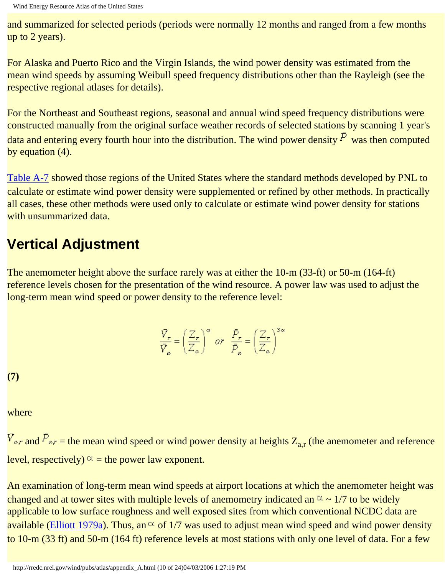and summarized for selected periods (periods were normally 12 months and ranged from a few months up to 2 years).

For Alaska and Puerto Rico and the Virgin Islands, the wind power density was estimated from the mean wind speeds by assuming Weibull speed frequency distributions other than the Rayleigh (see the respective regional atlases for details).

For the Northeast and Southeast regions, seasonal and annual wind speed frequency distributions were constructed manually from the original surface weather records of selected stations by scanning 1 year's data and entering every fourth hour into the distribution. The wind power density  $\bar{P}$  was then computed by equation (4).

[Table A-7](http://rredc.nrel.gov/wind/pubs/atlas/tables/A-7T.html) showed those regions of the United States where the standard methods developed by PNL to calculate or estimate wind power density were supplemented or refined by other methods. In practically all cases, these other methods were used only to calculate or estimate wind power density for stations with unsummarized data.

### **Vertical Adjustment**

The anemometer height above the surface rarely was at either the 10-m (33-ft) or 50-m (164-ft) reference levels chosen for the presentation of the wind resource. A power law was used to adjust the long-term mean wind speed or power density to the reference level:

$$
\frac{\bar{V}_r}{\bar{V}_a} = \left(\frac{Z_r}{Z_a}\right)^\alpha \text{ or } \frac{\bar{P}_r}{\bar{P}_a} = \left(\frac{Z_r}{Z_a}\right)^\infty
$$

**(7)**

where

 $\bar{V}_{\alpha r}$  and  $\bar{P}_{\alpha r}$  = the mean wind speed or wind power density at heights  $Z_{a,r}$  (the anemometer and reference level, respectively)  $\alpha$  = the power law exponent.

An examination of long-term mean wind speeds at airport locations at which the anemometer height was changed and at tower sites with multiple levels of anemometry indicated an  $\alpha \sim 1/7$  to be widely applicable to low surface roughness and well exposed sites from which conventional NCDC data are available ([Elliott 1979a](#page-93-1)). Thus, an  $\alpha$  of 1/7 was used to adjust mean wind speed and wind power density to 10-m (33 ft) and 50-m (164 ft) reference levels at most stations with only one level of data. For a few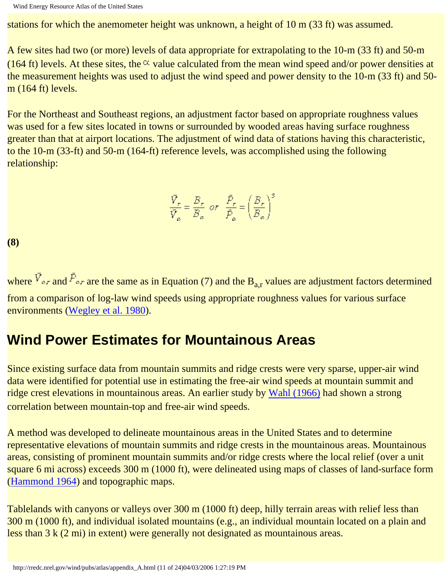stations for which the anemometer height was unknown, a height of 10 m (33 ft) was assumed.

A few sites had two (or more) levels of data appropriate for extrapolating to the 10-m (33 ft) and 50-m (164 ft) levels. At these sites, the  $\alpha$  value calculated from the mean wind speed and/or power densities at the measurement heights was used to adjust the wind speed and power density to the 10-m (33 ft) and 50 m (164 ft) levels.

For the Northeast and Southeast regions, an adjustment factor based on appropriate roughness values was used for a few sites located in towns or surrounded by wooded areas having surface roughness greater than that at airport locations. The adjustment of wind data of stations having this characteristic, to the 10-m (33-ft) and 50-m (164-ft) reference levels, was accomplished using the following relationship:

$$
\frac{\bar{V}_r}{\bar{V}_a} = \frac{B_r}{B_a} \quad \text{or} \quad \frac{\bar{P}_r}{\bar{P}_a} = \left(\frac{B_r}{B_a}\right)^3
$$

**(8)**

where  $\bar{V}_{\alpha r}$  and  $\bar{P}_{\alpha r}$  are the same as in Equation (7) and the B<sub>a,r</sub> values are adjustment factors determined from a comparison of log-law wind speeds using appropriate roughness values for various surface environments [\(Wegley et al. 1980](#page-95-0)).

### **Wind Power Estimates for Mountainous Areas**

Since existing surface data from mountain summits and ridge crests were very sparse, upper-air wind data were identified for potential use in estimating the free-air wind speeds at mountain summit and ridge crest elevations in mountainous areas. An earlier study by [Wahl \(1966\)](#page-95-1) had shown a strong correlation between mountain-top and free-air wind speeds.

A method was developed to delineate mountainous areas in the United States and to determine representative elevations of mountain summits and ridge crests in the mountainous areas. Mountainous areas, consisting of prominent mountain summits and/or ridge crests where the local relief (over a unit square 6 mi across) exceeds 300 m (1000 ft), were delineated using maps of classes of land-surface form ([Hammond 1964](#page-93-2)) and topographic maps.

Tablelands with canyons or valleys over 300 m (1000 ft) deep, hilly terrain areas with relief less than 300 m (1000 ft), and individual isolated mountains (e.g., an individual mountain located on a plain and less than 3 k (2 mi) in extent) were generally not designated as mountainous areas.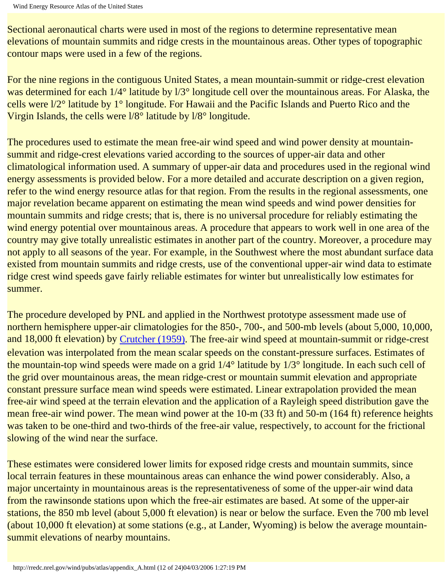Sectional aeronautical charts were used in most of the regions to determine representative mean elevations of mountain summits and ridge crests in the mountainous areas. Other types of topographic contour maps were used in a few of the regions.

For the nine regions in the contiguous United States, a mean mountain-summit or ridge-crest elevation was determined for each  $1/4^{\circ}$  latitude by  $1/3^{\circ}$  longitude cell over the mountainous areas. For Alaska, the cells were l/2° latitude by 1° longitude. For Hawaii and the Pacific Islands and Puerto Rico and the Virgin Islands, the cells were l/8° latitude by l/8° longitude.

The procedures used to estimate the mean free-air wind speed and wind power density at mountainsummit and ridge-crest elevations varied according to the sources of upper-air data and other climatological information used. A summary of upper-air data and procedures used in the regional wind energy assessments is provided below. For a more detailed and accurate description on a given region, refer to the wind energy resource atlas for that region. From the results in the regional assessments, one major revelation became apparent on estimating the mean wind speeds and wind power densities for mountain summits and ridge crests; that is, there is no universal procedure for reliably estimating the wind energy potential over mountainous areas. A procedure that appears to work well in one area of the country may give totally unrealistic estimates in another part of the country. Moreover, a procedure may not apply to all seasons of the year. For example, in the Southwest where the most abundant surface data existed from mountain summits and ridge crests, use of the conventional upper-air wind data to estimate ridge crest wind speeds gave fairly reliable estimates for winter but unrealistically low estimates for summer.

The procedure developed by PNL and applied in the Northwest prototype assessment made use of northern hemisphere upper-air climatologies for the 850-, 700-, and 500-mb levels (about 5,000, 10,000, and 18,000 ft elevation) by [Crutcher \(1959\).](#page-93-3) The free-air wind speed at mountain-summit or ridge-crest elevation was interpolated from the mean scalar speeds on the constant-pressure surfaces. Estimates of the mountain-top wind speeds were made on a grid 1/4° latitude by 1/3° longitude. In each such cell of the grid over mountainous areas, the mean ridge-crest or mountain summit elevation and appropriate constant pressure surface mean wind speeds were estimated. Linear extrapolation provided the mean free-air wind speed at the terrain elevation and the application of a Rayleigh speed distribution gave the mean free-air wind power. The mean wind power at the 10-m (33 ft) and 50-m (164 ft) reference heights was taken to be one-third and two-thirds of the free-air value, respectively, to account for the frictional slowing of the wind near the surface.

These estimates were considered lower limits for exposed ridge crests and mountain summits, since local terrain features in these mountainous areas can enhance the wind power considerably. Also, a major uncertainty in mountainous areas is the representativeness of some of the upper-air wind data from the rawinsonde stations upon which the free-air estimates are based. At some of the upper-air stations, the 850 mb level (about 5,000 ft elevation) is near or below the surface. Even the 700 mb level (about 10,000 ft elevation) at some stations (e.g., at Lander, Wyoming) is below the average mountainsummit elevations of nearby mountains.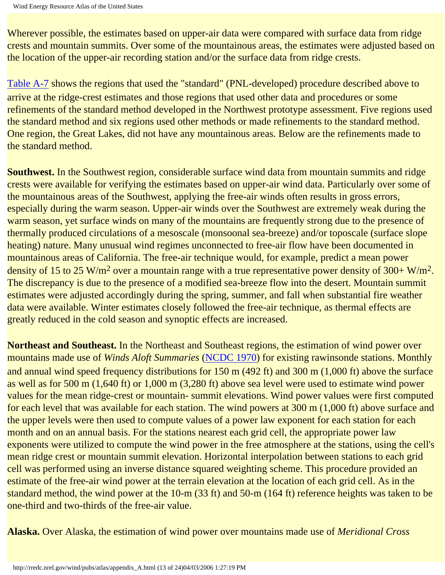Wherever possible, the estimates based on upper-air data were compared with surface data from ridge crests and mountain summits. Over some of the mountainous areas, the estimates were adjusted based on the location of the upper-air recording station and/or the surface data from ridge crests.

[Table A-7](http://rredc.nrel.gov/wind/pubs/atlas/tables/A-7T.html) shows the regions that used the "standard" (PNL-developed) procedure described above to arrive at the ridge-crest estimates and those regions that used other data and procedures or some refinements of the standard method developed in the Northwest prototype assessment. Five regions used the standard method and six regions used other methods or made refinements to the standard method. One region, the Great Lakes, did not have any mountainous areas. Below are the refinements made to the standard method.

**Southwest.** In the Southwest region, considerable surface wind data from mountain summits and ridge crests were available for verifying the estimates based on upper-air wind data. Particularly over some of the mountainous areas of the Southwest, applying the free-air winds often results in gross errors, especially during the warm season. Upper-air winds over the Southwest are extremely weak during the warm season, yet surface winds on many of the mountains are frequently strong due to the presence of thermally produced circulations of a mesoscale (monsoonal sea-breeze) and/or toposcale (surface slope heating) nature. Many unusual wind regimes unconnected to free-air flow have been documented in mountainous areas of California. The free-air technique would, for example, predict a mean power density of 15 to 25 W/m<sup>2</sup> over a mountain range with a true representative power density of 300+ W/m<sup>2</sup>. The discrepancy is due to the presence of a modified sea-breeze flow into the desert. Mountain summit estimates were adjusted accordingly during the spring, summer, and fall when substantial fire weather data were available. Winter estimates closely followed the free-air technique, as thermal effects are greatly reduced in the cold season and synoptic effects are increased.

**Northeast and Southeast.** In the Northeast and Southeast regions, the estimation of wind power over mountains made use of *Winds Aloft Summaries* ([NCDC 1970\)](http://rredc.nrel.gov/wind/pubs/atlas/appendix_html#16) for existing rawinsonde stations. Monthly and annual wind speed frequency distributions for 150 m (492 ft) and 300 m (1,000 ft) above the surface as well as for 500 m (1,640 ft) or 1,000 m (3,280 ft) above sea level were used to estimate wind power values for the mean ridge-crest or mountain- summit elevations. Wind power values were first computed for each level that was available for each station. The wind powers at 300 m (1,000 ft) above surface and the upper levels were then used to compute values of a power law exponent for each station for each month and on an annual basis. For the stations nearest each grid cell, the appropriate power law exponents were utilized to compute the wind power in the free atmosphere at the stations, using the cell's mean ridge crest or mountain summit elevation. Horizontal interpolation between stations to each grid cell was performed using an inverse distance squared weighting scheme. This procedure provided an estimate of the free-air wind power at the terrain elevation at the location of each grid cell. As in the standard method, the wind power at the 10-m (33 ft) and 50-m (164 ft) reference heights was taken to be one-third and two-thirds of the free-air value.

**Alaska.** Over Alaska, the estimation of wind power over mountains made use of *Meridional Cross*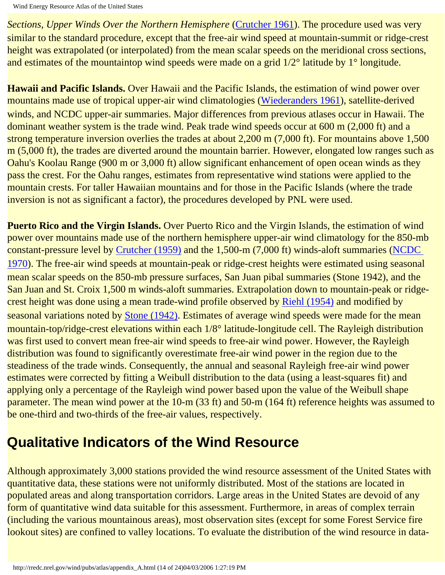*Sections, Upper Winds Over the Northern Hemisphere* [\(Crutcher 1961\)](#page-93-4). The procedure used was very similar to the standard procedure, except that the free-air wind speed at mountain-summit or ridge-crest height was extrapolated (or interpolated) from the mean scalar speeds on the meridional cross sections, and estimates of the mountaintop wind speeds were made on a grid  $1/2^{\circ}$  latitude by 1° longitude.

**Hawaii and Pacific Islands.** Over Hawaii and the Pacific Islands, the estimation of wind power over mountains made use of tropical upper-air wind climatologies [\(Wiederanders 1961](#page-95-2)), satellite-derived winds, and NCDC upper-air summaries. Major differences from previous atlases occur in Hawaii. The dominant weather system is the trade wind. Peak trade wind speeds occur at 600 m (2,000 ft) and a strong temperature inversion overlies the trades at about 2,200 m (7,000 ft). For mountains above 1,500 m (5,000 ft), the trades are diverted around the mountain barrier. However, elongated low ranges such as Oahu's Koolau Range (900 m or 3,000 ft) allow significant enhancement of open ocean winds as they pass the crest. For the Oahu ranges, estimates from representative wind stations were applied to the mountain crests. For taller Hawaiian mountains and for those in the Pacific Islands (where the trade inversion is not as significant a factor), the procedures developed by PNL were used.

**Puerto Rico and the Virgin Islands.** Over Puerto Rico and the Virgin Islands, the estimation of wind power over mountains made use of the northern hemisphere upper-air wind climatology for the 850-mb constant-pressure level by [Crutcher \(1959\)](#page-93-3) and the 1,500-m (7,000 ft) winds-aloft summaries [\(NCDC](#page-94-1) [1970](#page-94-1)). The free-air wind speeds at mountain-peak or ridge-crest heights were estimated using seasonal mean scalar speeds on the 850-mb pressure surfaces, San Juan pibal summaries (Stone 1942), and the San Juan and St. Croix 1,500 m winds-aloft summaries. Extrapolation down to mountain-peak or ridgecrest height was done using a mean trade-wind profile observed by [Riehl \(1954\)](#page-94-2) and modified by seasonal variations noted by [Stone \(1942\)](#page-94-3). Estimates of average wind speeds were made for the mean mountain-top/ridge-crest elevations within each 1/8° latitude-longitude cell. The Rayleigh distribution was first used to convert mean free-air wind speeds to free-air wind power. However, the Rayleigh distribution was found to significantly overestimate free-air wind power in the region due to the steadiness of the trade winds. Consequently, the annual and seasonal Rayleigh free-air wind power estimates were corrected by fitting a Weibull distribution to the data (using a least-squares fit) and applying only a percentage of the Rayleigh wind power based upon the value of the Weibull shape parameter. The mean wind power at the 10-m (33 ft) and 50-m (164 ft) reference heights was assumed to be one-third and two-thirds of the free-air values, respectively.

## **Qualitative Indicators of the Wind Resource**

Although approximately 3,000 stations provided the wind resource assessment of the United States with quantitative data, these stations were not uniformly distributed. Most of the stations are located in populated areas and along transportation corridors. Large areas in the United States are devoid of any form of quantitative wind data suitable for this assessment. Furthermore, in areas of complex terrain (including the various mountainous areas), most observation sites (except for some Forest Service fire lookout sites) are confined to valley locations. To evaluate the distribution of the wind resource in data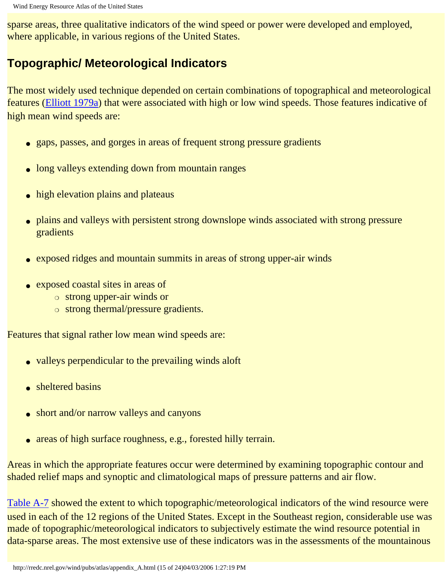sparse areas, three qualitative indicators of the wind speed or power were developed and employed, where applicable, in various regions of the United States.

#### **Topographic/ Meteorological Indicators**

The most widely used technique depended on certain combinations of topographical and meteorological features [\(Elliott 1979a](#page-93-1)) that were associated with high or low wind speeds. Those features indicative of high mean wind speeds are:

- gaps, passes, and gorges in areas of frequent strong pressure gradients
- long valleys extending down from mountain ranges
- high elevation plains and plateaus
- plains and valleys with persistent strong downslope winds associated with strong pressure gradients
- exposed ridges and mountain summits in areas of strong upper-air winds
- exposed coastal sites in areas of
	- ❍ strong upper-air winds or
	- ❍ strong thermal/pressure gradients.

Features that signal rather low mean wind speeds are:

- valleys perpendicular to the prevailing winds aloft
- sheltered basins
- short and/or narrow valleys and canyons
- areas of high surface roughness, e.g., forested hilly terrain.

Areas in which the appropriate features occur were determined by examining topographic contour and shaded relief maps and synoptic and climatological maps of pressure patterns and air flow.

[Table A-7](http://rredc.nrel.gov/wind/pubs/atlas/tables/A-7T.html) showed the extent to which topographic/meteorological indicators of the wind resource were used in each of the 12 regions of the United States. Except in the Southeast region, considerable use was made of topographic/meteorological indicators to subjectively estimate the wind resource potential in data-sparse areas. The most extensive use of these indicators was in the assessments of the mountainous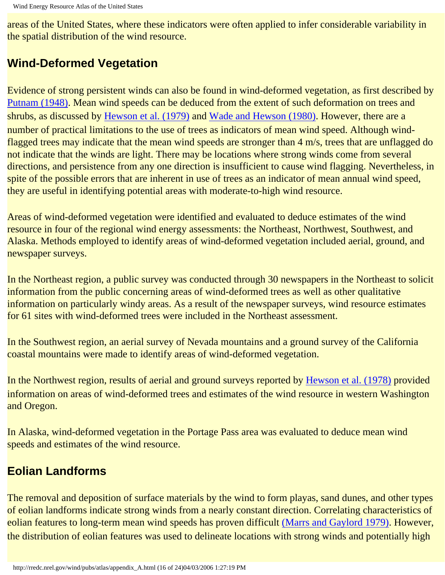areas of the United States, where these indicators were often applied to infer considerable variability in the spatial distribution of the wind resource.

#### **Wind-Deformed Vegetation**

Evidence of strong persistent winds can also be found in wind-deformed vegetation, as first described by [Putnam \(1948\).](#page-94-4) Mean wind speeds can be deduced from the extent of such deformation on trees and shrubs, as discussed by [Hewson et al. \(1979\)](#page-93-5) and [Wade and Hewson \(1980\).](#page-94-5) However, there are a number of practical limitations to the use of trees as indicators of mean wind speed. Although windflagged trees may indicate that the mean wind speeds are stronger than 4 m/s, trees that are unflagged do not indicate that the winds are light. There may be locations where strong winds come from several directions, and persistence from any one direction is insufficient to cause wind flagging. Nevertheless, in spite of the possible errors that are inherent in use of trees as an indicator of mean annual wind speed, they are useful in identifying potential areas with moderate-to-high wind resource.

Areas of wind-deformed vegetation were identified and evaluated to deduce estimates of the wind resource in four of the regional wind energy assessments: the Northeast, Northwest, Southwest, and Alaska. Methods employed to identify areas of wind-deformed vegetation included aerial, ground, and newspaper surveys.

In the Northeast region, a public survey was conducted through 30 newspapers in the Northeast to solicit information from the public concerning areas of wind-deformed trees as well as other qualitative information on particularly windy areas. As a result of the newspaper surveys, wind resource estimates for 61 sites with wind-deformed trees were included in the Northeast assessment.

In the Southwest region, an aerial survey of Nevada mountains and a ground survey of the California coastal mountains were made to identify areas of wind-deformed vegetation.

In the Northwest region, results of aerial and ground surveys reported by [Hewson et al. \(1978\)](#page-93-6) provided information on areas of wind-deformed trees and estimates of the wind resource in western Washington and Oregon.

In Alaska, wind-deformed vegetation in the Portage Pass area was evaluated to deduce mean wind speeds and estimates of the wind resource.

#### **Eolian Landforms**

The removal and deposition of surface materials by the wind to form playas, sand dunes, and other types of eolian landforms indicate strong winds from a nearly constant direction. Correlating characteristics of eolian features to long-term mean wind speeds has proven difficult [\(Marrs and Gaylord 1979\)](#page-93-7). However, the distribution of eolian features was used to delineate locations with strong winds and potentially high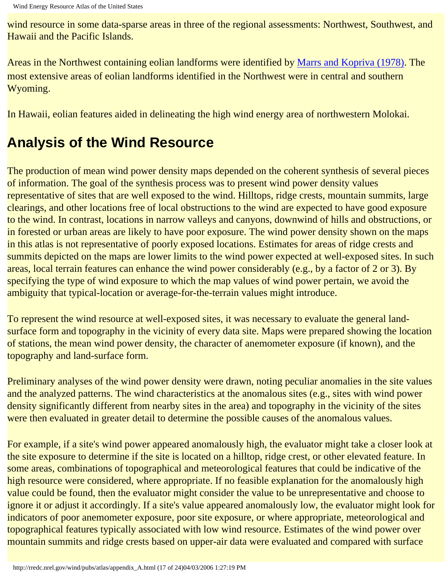wind resource in some data-sparse areas in three of the regional assessments: Northwest, Southwest, and Hawaii and the Pacific Islands.

Areas in the Northwest containing eolian landforms were identified by [Marrs and Kopriva \(1978\)](#page-94-6). The most extensive areas of eolian landforms identified in the Northwest were in central and southern Wyoming.

In Hawaii, eolian features aided in delineating the high wind energy area of northwestern Molokai.

## **Analysis of the Wind Resource**

The production of mean wind power density maps depended on the coherent synthesis of several pieces of information. The goal of the synthesis process was to present wind power density values representative of sites that are well exposed to the wind. Hilltops, ridge crests, mountain summits, large clearings, and other locations free of local obstructions to the wind are expected to have good exposure to the wind. In contrast, locations in narrow valleys and canyons, downwind of hills and obstructions, or in forested or urban areas are likely to have poor exposure. The wind power density shown on the maps in this atlas is not representative of poorly exposed locations. Estimates for areas of ridge crests and summits depicted on the maps are lower limits to the wind power expected at well-exposed sites. In such areas, local terrain features can enhance the wind power considerably (e.g., by a factor of 2 or 3). By specifying the type of wind exposure to which the map values of wind power pertain, we avoid the ambiguity that typical-location or average-for-the-terrain values might introduce.

To represent the wind resource at well-exposed sites, it was necessary to evaluate the general landsurface form and topography in the vicinity of every data site. Maps were prepared showing the location of stations, the mean wind power density, the character of anemometer exposure (if known), and the topography and land-surface form.

Preliminary analyses of the wind power density were drawn, noting peculiar anomalies in the site values and the analyzed patterns. The wind characteristics at the anomalous sites (e.g., sites with wind power density significantly different from nearby sites in the area) and topography in the vicinity of the sites were then evaluated in greater detail to determine the possible causes of the anomalous values.

For example, if a site's wind power appeared anomalously high, the evaluator might take a closer look at the site exposure to determine if the site is located on a hilltop, ridge crest, or other elevated feature. In some areas, combinations of topographical and meteorological features that could be indicative of the high resource were considered, where appropriate. If no feasible explanation for the anomalously high value could be found, then the evaluator might consider the value to be unrepresentative and choose to ignore it or adjust it accordingly. If a site's value appeared anomalously low, the evaluator might look for indicators of poor anemometer exposure, poor site exposure, or where appropriate, meteorological and topographical features typically associated with low wind resource. Estimates of the wind power over mountain summits and ridge crests based on upper-air data were evaluated and compared with surface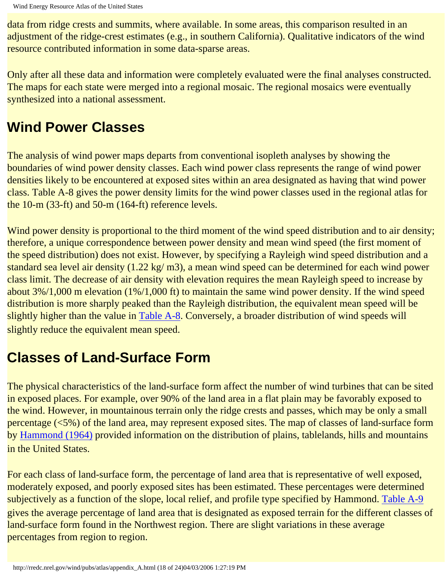data from ridge crests and summits, where available. In some areas, this comparison resulted in an adjustment of the ridge-crest estimates (e.g., in southern California). Qualitative indicators of the wind resource contributed information in some data-sparse areas.

Only after all these data and information were completely evaluated were the final analyses constructed. The maps for each state were merged into a regional mosaic. The regional mosaics were eventually synthesized into a national assessment.

### **Wind Power Classes**

The analysis of wind power maps departs from conventional isopleth analyses by showing the boundaries of wind power density classes. Each wind power class represents the range of wind power densities likely to be encountered at exposed sites within an area designated as having that wind power class. Table A-8 gives the power density limits for the wind power classes used in the regional atlas for the 10-m (33-ft) and 50-m (164-ft) reference levels.

Wind power density is proportional to the third moment of the wind speed distribution and to air density; therefore, a unique correspondence between power density and mean wind speed (the first moment of the speed distribution) does not exist. However, by specifying a Rayleigh wind speed distribution and a standard sea level air density (1.22 kg/ m3), a mean wind speed can be determined for each wind power class limit. The decrease of air density with elevation requires the mean Rayleigh speed to increase by about 3%/1,000 m elevation (1%/1,000 ft) to maintain the same wind power density. If the wind speed distribution is more sharply peaked than the Rayleigh distribution, the equivalent mean speed will be slightly higher than the value in [Table A-8](http://rredc.nrel.gov/wind/pubs/atlas/tables/A-8T.html). Conversely, a broader distribution of wind speeds will slightly reduce the equivalent mean speed.

## **Classes of Land-Surface Form**

The physical characteristics of the land-surface form affect the number of wind turbines that can be sited in exposed places. For example, over 90% of the land area in a flat plain may be favorably exposed to the wind. However, in mountainous terrain only the ridge crests and passes, which may be only a small percentage (<5%) of the land area, may represent exposed sites. The map of classes of land-surface form by [Hammond \(1964\)](#page-93-2) provided information on the distribution of plains, tablelands, hills and mountains in the United States.

For each class of land-surface form, the percentage of land area that is representative of well exposed, moderately exposed, and poorly exposed sites has been estimated. These percentages were determined subjectively as a function of the slope, local relief, and profile type specified by Hammond. [Table A-9](http://rredc.nrel.gov/wind/pubs/atlas/tables/A-9T.html) gives the average percentage of land area that is designated as exposed terrain for the different classes of land-surface form found in the Northwest region. There are slight variations in these average percentages from region to region.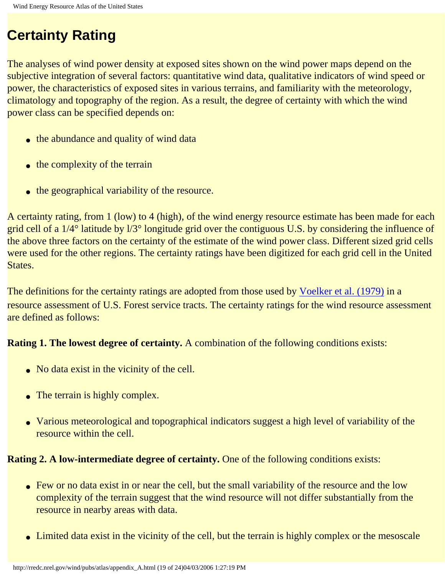## **Certainty Rating**

The analyses of wind power density at exposed sites shown on the wind power maps depend on the subjective integration of several factors: quantitative wind data, qualitative indicators of wind speed or power, the characteristics of exposed sites in various terrains, and familiarity with the meteorology, climatology and topography of the region. As a result, the degree of certainty with which the wind power class can be specified depends on:

- the abundance and quality of wind data
- $\bullet$  the complexity of the terrain
- the geographical variability of the resource.

A certainty rating, from 1 (low) to 4 (high), of the wind energy resource estimate has been made for each grid cell of a 1/4° latitude by l/3° longitude grid over the contiguous U.S. by considering the influence of the above three factors on the certainty of the estimate of the wind power class. Different sized grid cells were used for the other regions. The certainty ratings have been digitized for each grid cell in the United States.

The definitions for the certainty ratings are adopted from those used by [Voelker et al. \(1979\)](#page-94-7) in a resource assessment of U.S. Forest service tracts. The certainty ratings for the wind resource assessment are defined as follows:

#### **Rating 1. The lowest degree of certainty.** A combination of the following conditions exists:

- No data exist in the vicinity of the cell.
- The terrain is highly complex.
- Various meteorological and topographical indicators suggest a high level of variability of the resource within the cell.

#### **Rating 2. A low-intermediate degree of certainty.** One of the following conditions exists:

- Few or no data exist in or near the cell, but the small variability of the resource and the low complexity of the terrain suggest that the wind resource will not differ substantially from the resource in nearby areas with data.
- Limited data exist in the vicinity of the cell, but the terrain is highly complex or the mesoscale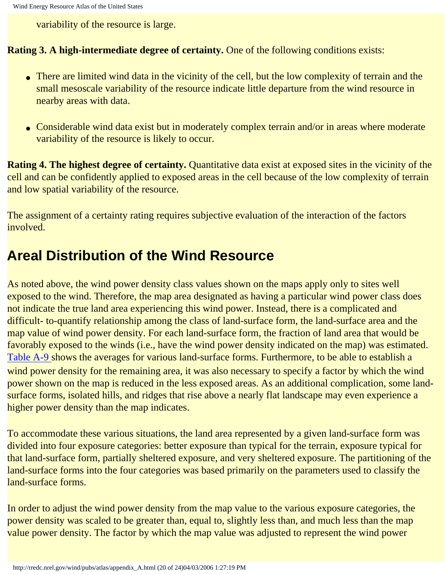variability of the resource is large.

#### **Rating 3. A high-intermediate degree of certainty.** One of the following conditions exists:

- There are limited wind data in the vicinity of the cell, but the low complexity of terrain and the small mesoscale variability of the resource indicate little departure from the wind resource in nearby areas with data.
- Considerable wind data exist but in moderately complex terrain and/or in areas where moderate variability of the resource is likely to occur.

**Rating 4. The highest degree of certainty.** Quantitative data exist at exposed sites in the vicinity of the cell and can be confidently applied to exposed areas in the cell because of the low complexity of terrain and low spatial variability of the resource.

The assignment of a certainty rating requires subjective evaluation of the interaction of the factors involved.

### **Areal Distribution of the Wind Resource**

As noted above, the wind power density class values shown on the maps apply only to sites well exposed to the wind. Therefore, the map area designated as having a particular wind power class does not indicate the true land area experiencing this wind power. Instead, there is a complicated and difficult- to-quantify relationship among the class of land-surface form, the land-surface area and the map value of wind power density. For each land-surface form, the fraction of land area that would be favorably exposed to the winds (i.e., have the wind power density indicated on the map) was estimated. [Table A-9](http://rredc.nrel.gov/wind/pubs/atlas/tables/A-9T.html) shows the averages for various land-surface forms. Furthermore, to be able to establish a wind power density for the remaining area, it was also necessary to specify a factor by which the wind power shown on the map is reduced in the less exposed areas. As an additional complication, some landsurface forms, isolated hills, and ridges that rise above a nearly flat landscape may even experience a higher power density than the map indicates.

To accommodate these various situations, the land area represented by a given land-surface form was divided into four exposure categories: better exposure than typical for the terrain, exposure typical for that land-surface form, partially sheltered exposure, and very sheltered exposure. The partitioning of the land-surface forms into the four categories was based primarily on the parameters used to classify the land-surface forms.

In order to adjust the wind power density from the map value to the various exposure categories, the power density was scaled to be greater than, equal to, slightly less than, and much less than the map value power density. The factor by which the map value was adjusted to represent the wind power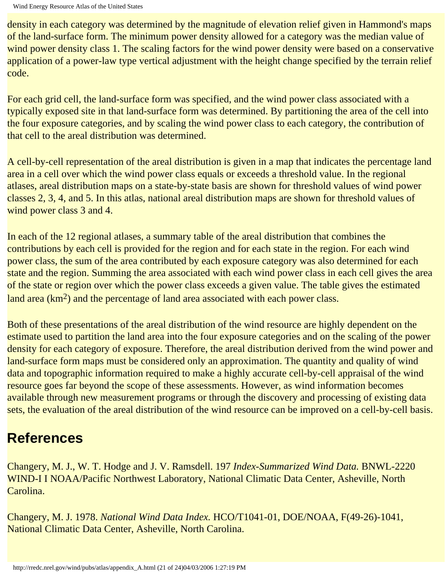density in each category was determined by the magnitude of elevation relief given in Hammond's maps of the land-surface form. The minimum power density allowed for a category was the median value of wind power density class 1. The scaling factors for the wind power density were based on a conservative application of a power-law type vertical adjustment with the height change specified by the terrain relief code.

For each grid cell, the land-surface form was specified, and the wind power class associated with a typically exposed site in that land-surface form was determined. By partitioning the area of the cell into the four exposure categories, and by scaling the wind power class to each category, the contribution of that cell to the areal distribution was determined.

A cell-by-cell representation of the areal distribution is given in a map that indicates the percentage land area in a cell over which the wind power class equals or exceeds a threshold value. In the regional atlases, areal distribution maps on a state-by-state basis are shown for threshold values of wind power classes 2, 3, 4, and 5. In this atlas, national areal distribution maps are shown for threshold values of wind power class 3 and 4.

In each of the 12 regional atlases, a summary table of the areal distribution that combines the contributions by each cell is provided for the region and for each state in the region. For each wind power class, the sum of the area contributed by each exposure category was also determined for each state and the region. Summing the area associated with each wind power class in each cell gives the area of the state or region over which the power class exceeds a given value. The table gives the estimated land area (km<sup>2</sup>) and the percentage of land area associated with each power class.

Both of these presentations of the areal distribution of the wind resource are highly dependent on the estimate used to partition the land area into the four exposure categories and on the scaling of the power density for each category of exposure. Therefore, the areal distribution derived from the wind power and land-surface form maps must be considered only an approximation. The quantity and quality of wind data and topographic information required to make a highly accurate cell-by-cell appraisal of the wind resource goes far beyond the scope of these assessments. However, as wind information becomes available through new measurement programs or through the discovery and processing of existing data sets, the evaluation of the areal distribution of the wind resource can be improved on a cell-by-cell basis.

## **References**

<span id="page-92-0"></span>Changery, M. J., W. T. Hodge and J. V. Ramsdell. 197 *Index-Summarized Wind Data.* BNWL-2220 WIND-I I NOAA/Pacific Northwest Laboratory, National Climatic Data Center, Asheville, North Carolina.

<span id="page-92-1"></span>Changery, M. J. 1978. *National Wind Data Index.* HCO/T1041-01, DOE/NOAA, F(49-26)-1041, National Climatic Data Center, Asheville, North Carolina.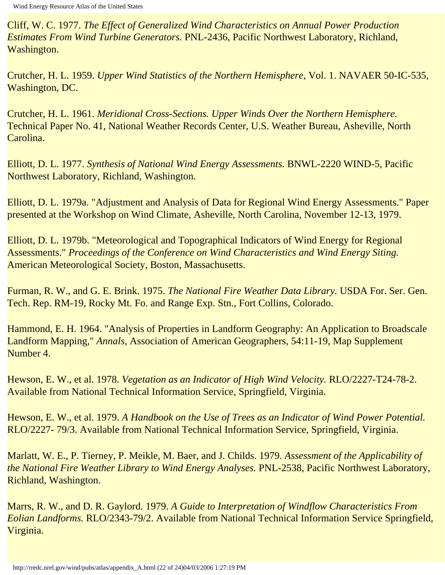<span id="page-93-0"></span>Cliff, W. C. 1977. *The Effect of Generalized Wind Characteristics on Annual Power Production Estimates From Wind Turbine Generators.* PNL-2436, Pacific Northwest Laboratory, Richland, Washington.

<span id="page-93-3"></span>Crutcher, H. L. 1959. *Upper Wind Statistics of the Northern Hemisphere,* Vol. 1. NAVAER 50-IC-535, Washington, DC.

<span id="page-93-4"></span>Crutcher, H. L. 1961. *Meridional Cross-Sections. Upper Winds Over the Northern Hemisphere.*  Technical Paper No. 41, National Weather Records Center, U.S. Weather Bureau, Asheville, North Carolina.

Elliott, D. L. 1977. *Synthesis of National Wind Energy Assessments.* BNWL-2220 WIND-5, Pacific Northwest Laboratory, Richland, Washington.

<span id="page-93-1"></span>Elliott, D. L. 1979a. "Adjustment and Analysis of Data for Regional Wind Energy Assessments." Paper presented at the Workshop on Wind Climate, Asheville, North Carolina, November 12-13, 1979.

Elliott, D. L. 1979b. "Meteorological and Topographical Indicators of Wind Energy for Regional Assessments." *Proceedings of the Conference on Wind Characteristics and Wind Energy Siting.*  American Meteorological Society, Boston, Massachusetts.

Furman, R. W., and G. E. Brink. 1975. *The National Fire Weather Data Library.* USDA For. Ser. Gen. Tech. Rep. RM-19, Rocky Mt. Fo. and Range Exp. Stn., Fort Collins, Colorado.

<span id="page-93-2"></span>Hammond, E. H. 1964. "Analysis of Properties in Landform Geography: An Application to Broadscale Landform Mapping," *Annals,* Association of American Geographers, 54:11-19, Map Supplement Number 4.

<span id="page-93-6"></span>Hewson, E. W., et al. 1978. *Vegetation as an Indicator of High Wind Velocity.* RLO/2227-T24-78-2. Available from National Technical Information Service, Springfield, Virginia.

<span id="page-93-5"></span>Hewson, E. W., et al. 1979. *A Handbook on the Use of Trees as an Indicator of Wind Power Potential.*  RLO/2227- 79/3. Available from National Technical Information Service, Springfield, Virginia.

Marlatt, W. E., P. Tierney, P. Meikle, M. Baer, and J. Childs. 1979. *Assessment of the Applicability of the National Fire Weather Library to Wind Energy Analyses. PNL-2538, Pacific Northwest Laboratory,* Richland, Washington.

<span id="page-93-7"></span>Marrs, R. W., and D. R. Gaylord. 1979. *A Guide to Interpretation of Windflow Characteristics From Eolian Landforms.* RLO/2343-79/2. Available from National Technical Information Service Springfield, Virginia.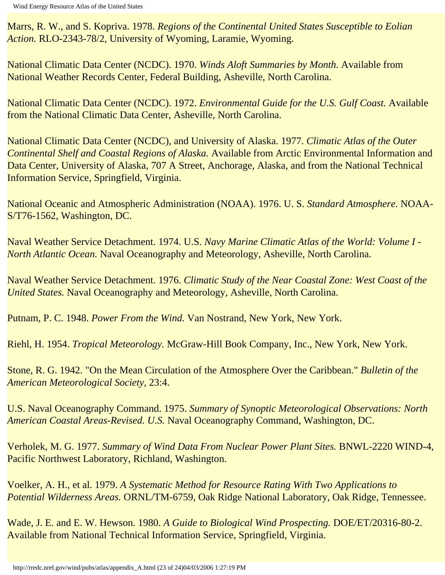<span id="page-94-6"></span>Marrs, R. W., and S. Kopriva. 1978. *Regions of the Continental United States Susceptible to Eolian Action.* RLO-2343-78/2, University of Wyoming, Laramie, Wyoming.

<span id="page-94-1"></span>National Climatic Data Center (NCDC). 1970. *Winds Aloft Summaries by Month.* Available from National Weather Records Center, Federal Building, Asheville, North Carolina.

National Climatic Data Center (NCDC). 1972. *Environmental Guide for the U.S. Gulf Coast.* Available from the National Climatic Data Center, Asheville, North Carolina.

National Climatic Data Center (NCDC), and University of Alaska. 1977. *Climatic Atlas of the Outer Continental Shelf and Coastal Regions of Alaska.* Available from Arctic Environmental Information and Data Center, University of Alaska, 707 A Street, Anchorage, Alaska, and from the National Technical Information Service, Springfield, Virginia.

<span id="page-94-0"></span>National Oceanic and Atmospheric Administration (NOAA). 1976. U. S. *Standard Atmosphere.* NOAA-S/T76-1562, Washington, DC.

Naval Weather Service Detachment. 1974. U.S. *Navy Marine Climatic Atlas of the World: Volume I - North Atlantic Ocean.* Naval Oceanography and Meteorology, Asheville, North Carolina.

Naval Weather Service Detachment. 1976. *Climatic Study of the Near Coastal Zone: West Coast of the United States.* Naval Oceanography and Meteorology, Asheville, North Carolina.

<span id="page-94-4"></span>Putnam, P. C. 1948. *Power From the Wind.* Van Nostrand, New York, New York.

<span id="page-94-2"></span>Riehl, H. 1954. *Tropical Meteorology.* McGraw-Hill Book Company, Inc., New York, New York.

<span id="page-94-3"></span>Stone, R. G. 1942. "On the Mean Circulation of the Atmosphere Over the Caribbean." *Bulletin of the American Meteorological Society,* 23:4.

U.S. Naval Oceanography Command. 1975. *Summary of Synoptic Meteorological Observations: North American Coastal Areas-Revised. U.S.* Naval Oceanography Command, Washington, DC.

<span id="page-94-7"></span>Verholek, M. G. 1977. *Summary of Wind Data From Nuclear Power Plant Sites.* BNWL-2220 WIND-4, Pacific Northwest Laboratory, Richland, Washington.

Voelker, A. H., et al. 1979. *A Systematic Method for Resource Rating With Two Applications to Potential Wilderness Areas.* ORNL/TM-6759, Oak Ridge National Laboratory, Oak Ridge, Tennessee.

<span id="page-94-5"></span>Wade, J. E. and E. W. Hewson. 1980. *A Guide to Biological Wind Prospecting.* DOE/ET/20316-80-2. Available from National Technical Information Service, Springfield, Virginia.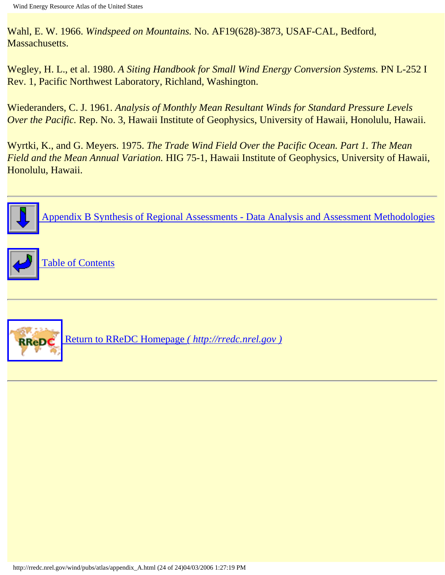<span id="page-95-1"></span>Wahl, E. W. 1966. *Windspeed on Mountains.* No. AF19(628)-3873, USAF-CAL, Bedford, Massachusetts.

<span id="page-95-0"></span>Wegley, H. L., et al. 1980. *A Siting Handbook for Small Wind Energy Conversion Systems.* PN L-252 I Rev. 1, Pacific Northwest Laboratory, Richland, Washington.

<span id="page-95-2"></span>Wiederanders, C. J. 1961. *Analysis of Monthly Mean Resultant Winds for Standard Pressure Levels Over the Pacific.* Rep. No. 3, Hawaii Institute of Geophysics, University of Hawaii, Honolulu, Hawaii.

Wyrtki, K., and G. Meyers. 1975. *The Trade Wind Field Over the Pacific Ocean. Part 1. The Mean Field and the Mean Annual Variation.* HIG 75-1, Hawaii Institute of Geophysics, University of Hawaii, Honolulu, Hawaii.

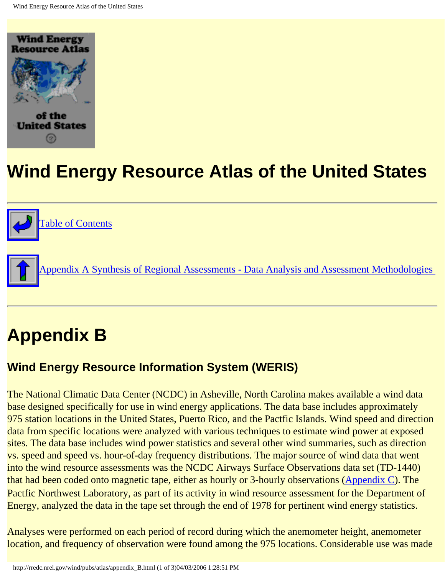<span id="page-96-0"></span>



[Appendix A Synthesis of Regional Assessments - Data Analysis and Assessment Methodologies](#page-72-0) 

# **Appendix B**

#### **Wind Energy Resource Information System (WERIS)**

The National Climatic Data Center (NCDC) in Asheville, North Carolina makes available a wind data base designed specifically for use in wind energy applications. The data base includes approximately 975 station locations in the United States, Puerto Rico, and the Pactfic Islands. Wind speed and direction data from specific locations were analyzed with various techniques to estimate wind power at exposed sites. The data base includes wind power statistics and several other wind summaries, such as direction vs. speed and speed vs. hour-of-day frequency distributions. The major source of wind data that went into the wind resource assessments was the NCDC Airways Surface Observations data set (TD-1440) that had been coded onto magnetic tape, either as hourly or 3-hourly observations [\(Appendix C](#page-99-0)). The Pactfic Northwest Laboratory, as part of its activity in wind resource assessment for the Department of Energy, analyzed the data in the tape set through the end of 1978 for pertinent wind energy statistics.

Analyses were performed on each period of record during which the anemometer height, anemometer location, and frequency of observation were found among the 975 locations. Considerable use was made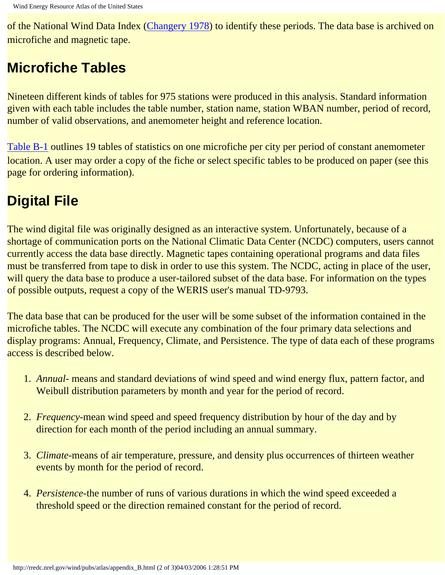of the National Wind Data Index [\(Changery 1978\)](#page-98-0) to identify these periods. The data base is archived on microfiche and magnetic tape.

## **Microfiche Tables**

Nineteen different kinds of tables for 975 stations were produced in this analysis. Standard information given with each table includes the table number, station name, station WBAN number, period of record, number of valid observations, and anemometer height and reference location.

[Table B-1](http://rredc.nrel.gov/wind/pubs/atlas/tables/B-1T.html) outlines 19 tables of statistics on one microfiche per city per period of constant anemometer location. A user may order a copy of the fiche or select specific tables to be produced on paper (see this page for ordering information).

## **Digital File**

The wind digital file was originally designed as an interactive system. Unfortunately, because of a shortage of communication ports on the National Climatic Data Center (NCDC) computers, users cannot currently access the data base directly. Magnetic tapes containing operational programs and data files must be transferred from tape to disk in order to use this system. The NCDC, acting in place of the user, will query the data base to produce a user-tailored subset of the data base. For information on the types of possible outputs, request a copy of the WERIS user's manual TD-9793.

The data base that can be produced for the user will be some subset of the information contained in the microfiche tables. The NCDC will execute any combination of the four primary data selections and display programs: Annual, Frequency, Climate, and Persistence. The type of data each of these programs access is described below.

- 1. *Annual* means and standard deviations of wind speed and wind energy flux, pattern factor, and Weibull distribution parameters by month and year for the period of record.
- 2. *Frequency*-mean wind speed and speed frequency distribution by hour of the day and by direction for each month of the period including an annual summary.
- 3. *Climate*-means of air temperature, pressure, and density plus occurrences of thirteen weather events by month for the period of record.
- 4. *Persistence*-the number of runs of various durations in which the wind speed exceeded a threshold speed or the direction remained constant for the period of record.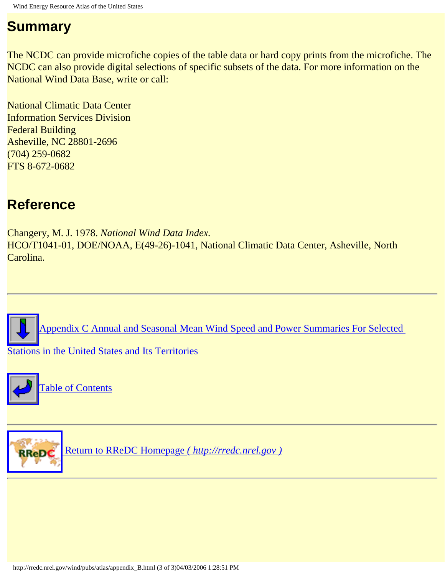### **Summary**

The NCDC can provide microfiche copies of the table data or hard copy prints from the microfiche. The NCDC can also provide digital selections of specific subsets of the data. For more information on the National Wind Data Base, write or call:

National Climatic Data Center Information Services Division Federal Building Asheville, NC 28801-2696 (704) 259-0682 FTS 8-672-0682

### **Reference**

<span id="page-98-0"></span>Changery, M. J. 1978. *National Wind Data Index.* HCO/T1041-01, DOE/NOAA, E(49-26)-1041, National Climatic Data Center, Asheville, North Carolina.

[Appendix C Annual and Seasonal Mean Wind Speed and Power Summaries For Selected](#page-99-0) 

[Stations in the United States and Its Territories](#page-99-0)





 [Return to RReDC Homepage](http://rredc.nrel.gov/) *( http://rredc.nrel.gov )*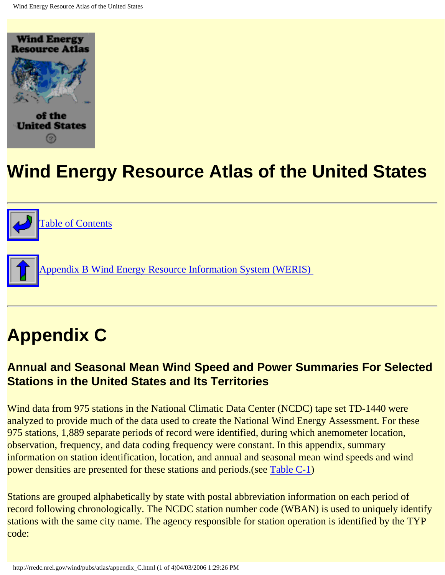<span id="page-99-0"></span>





ppendix B Wind Energy Resource Information System (WERIS)

# **Appendix C**

#### **Annual and Seasonal Mean Wind Speed and Power Summaries For Selected Stations in the United States and Its Territories**

Wind data from 975 stations in the National Climatic Data Center (NCDC) tape set TD-1440 were analyzed to provide much of the data used to create the National Wind Energy Assessment. For these 975 stations, 1,889 separate periods of record were identified, during which anemometer location, observation, frequency, and data coding frequency were constant. In this appendix, summary information on station identification, location, and annual and seasonal mean wind speeds and wind power densities are presented for these stations and periods.(see [Table C-1\)](http://rredc.nrel.gov/wind/pubs/atlas/tables/C-1T.html)

Stations are grouped alphabetically by state with postal abbreviation information on each period of record following chronologically. The NCDC station number code (WBAN) is used to uniquely identify stations with the same city name. The agency responsible for station operation is identified by the TYP code: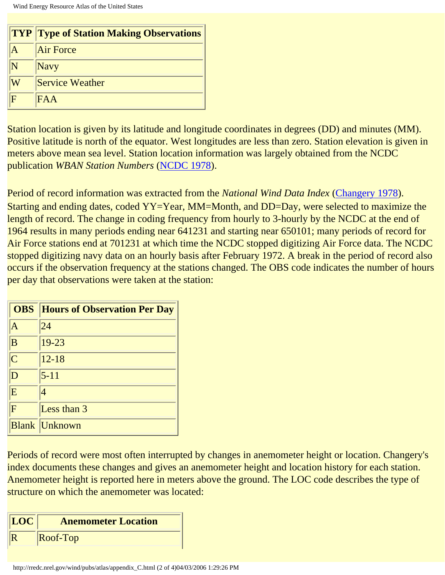|   | <b>TYP Type of Station Making Observations</b> |  |
|---|------------------------------------------------|--|
|   | <b>Air Force</b>                               |  |
|   | <b>Navy</b>                                    |  |
|   | <b>Service Weather</b>                         |  |
| F | FAA                                            |  |

Station location is given by its latitude and longitude coordinates in degrees (DD) and minutes (MM). Positive latitude is north of the equator. West longitudes are less than zero. Station elevation is given in meters above mean sea level. Station location information was largely obtained from the NCDC publication *WBAN Station Numbers* ([NCDC 1978](#page-102-0)).

Period of record information was extracted from the *National Wind Data Index* ([Changery 1978\)](#page-102-1). Starting and ending dates, coded YY=Year, MM=Month, and DD=Day, were selected to maximize the length of record. The change in coding frequency from hourly to 3-hourly by the NCDC at the end of 1964 results in many periods ending near 641231 and starting near 650101; many periods of record for Air Force stations end at 701231 at which time the NCDC stopped digitizing Air Force data. The NCDC stopped digitizing navy data on an hourly basis after February 1972. A break in the period of record also occurs if the observation frequency at the stations changed. The OBS code indicates the number of hours per day that observations were taken at the station:

| <b>OBS</b>              | <b>Hours of Observation Per Day</b> |
|-------------------------|-------------------------------------|
| A                       | 24                                  |
| B                       | $19 - 23$                           |
| $\overline{C}$          | $12 - 18$                           |
| D                       | $5 - 11$                            |
| E                       |                                     |
| $\overline{\mathbf{F}}$ | Less than 3                         |
|                         | <b>Blank Unknown</b>                |

Periods of record were most often interrupted by changes in anemometer height or location. Changery's index documents these changes and gives an anemometer height and location history for each station. Anemometer height is reported here in meters above the ground. The LOC code describes the type of structure on which the anemometer was located:

| LOC | <b>Anemometer Location</b> |
|-----|----------------------------|
|     | $\sqrt{\text{Roof-Top}}$   |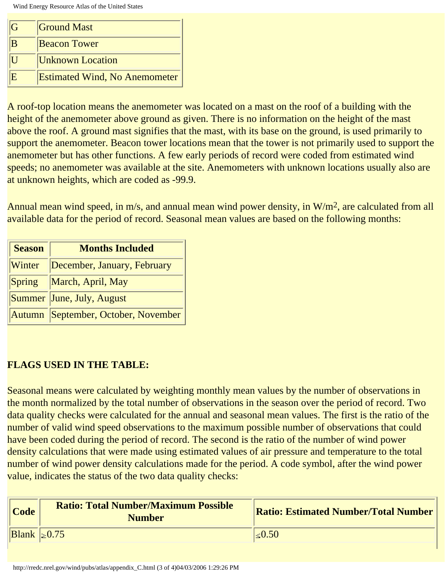| G  | <b>Ground Mast</b>                   |
|----|--------------------------------------|
| B  | <b>Beacon Tower</b>                  |
|    | <b>Unknown Location</b>              |
| IE | <b>Estimated Wind, No Anemometer</b> |

A roof-top location means the anemometer was located on a mast on the roof of a building with the height of the anemometer above ground as given. There is no information on the height of the mast above the roof. A ground mast signifies that the mast, with its base on the ground, is used primarily to support the anemometer. Beacon tower locations mean that the tower is not primarily used to support the anemometer but has other functions. A few early periods of record were coded from estimated wind speeds; no anemometer was available at the site. Anemometers with unknown locations usually also are at unknown heights, which are coded as -99.9.

Annual mean wind speed, in m/s, and annual mean wind power density, in W/m<sup>2</sup>, are calculated from all available data for the period of record. Seasonal mean values are based on the following months:

| <b>Season</b> | <b>Months Included</b>                |  |
|---------------|---------------------------------------|--|
| Winter        | December, January, February           |  |
|               | Spring   March, April, May            |  |
|               | Summer June, July, August             |  |
|               | Autumn   September, October, November |  |

#### **FLAGS USED IN THE TABLE:**

Seasonal means were calculated by weighting monthly mean values by the number of observations in the month normalized by the total number of observations in the season over the period of record. Two data quality checks were calculated for the annual and seasonal mean values. The first is the ratio of the number of valid wind speed observations to the maximum possible number of observations that could have been coded during the period of record. The second is the ratio of the number of wind power density calculations that were made using estimated values of air pressure and temperature to the total number of wind power density calculations made for the period. A code symbol, after the wind power value, indicates the status of the two data quality checks:

| <b>Code</b>           | <b>Ratio: Total Number/Maximum Possible</b><br><b>Number</b> | <b>Ratio: Estimated Number/Total Number</b> |
|-----------------------|--------------------------------------------------------------|---------------------------------------------|
| $\text{Blank}$ - 0.75 |                                                              | $\leq 0.50$                                 |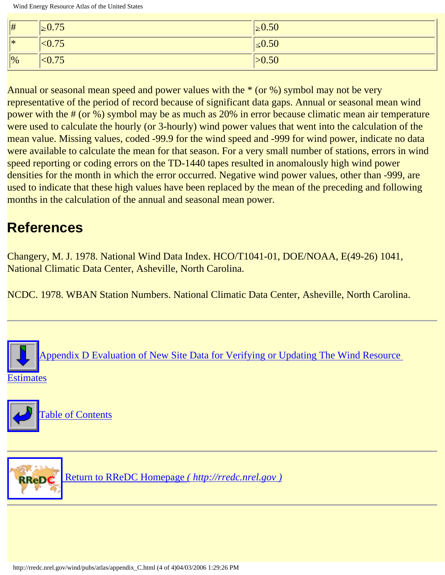| $\parallel$ #  | $\geq 0.75$ | $\geq 0.50$ |
|----------------|-------------|-------------|
| $\vert *$      | < 0.75      | $\leq 0.50$ |
| $\vert\vert\%$ | < 0.75      | >0.50       |

Annual or seasonal mean speed and power values with the \* (or %) symbol may not be very representative of the period of record because of significant data gaps. Annual or seasonal mean wind power with the # (or %) symbol may be as much as 20% in error because climatic mean air temperature were used to calculate the hourly (or 3-hourly) wind power values that went into the calculation of the mean value. Missing values, coded -99.9 for the wind speed and -999 for wind power, indicate no data were available to calculate the mean for that season. For a very small number of stations, errors in wind speed reporting or coding errors on the TD-1440 tapes resulted in anomalously high wind power densities for the month in which the error occurred. Negative wind power values, other than -999, are used to indicate that these high values have been replaced by the mean of the preceding and following months in the calculation of the annual and seasonal mean power.

## **References**

<span id="page-102-1"></span>Changery, M. J. 1978. National Wind Data Index. HCO/T1041-01, DOE/NOAA, E(49-26) 1041, National Climatic Data Center, Asheville, North Carolina.

<span id="page-102-0"></span>NCDC. 1978. WBAN Station Numbers. National Climatic Data Center, Asheville, North Carolina.







 [Return to RReDC Homepage](http://rredc.nrel.gov/) *( http://rredc.nrel.gov )*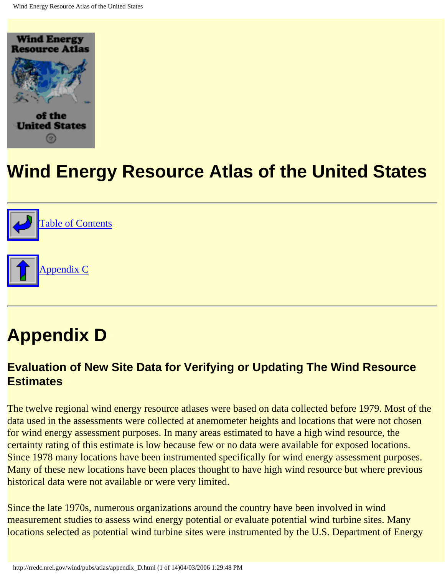<span id="page-103-0"></span>



# **Appendix D**

#### **Evaluation of New Site Data for Verifying or Updating The Wind Resource Estimates**

The twelve regional wind energy resource atlases were based on data collected before 1979. Most of the data used in the assessments were collected at anemometer heights and locations that were not chosen for wind energy assessment purposes. In many areas estimated to have a high wind resource, the certainty rating of this estimate is low because few or no data were available for exposed locations. Since 1978 many locations have been instrumented specifically for wind energy assessment purposes. Many of these new locations have been places thought to have high wind resource but where previous historical data were not available or were very limited.

Since the late 1970s, numerous organizations around the country have been involved in wind measurement studies to assess wind energy potential or evaluate potential wind turbine sites. Many locations selected as potential wind turbine sites were instrumented by the U.S. Department of Energy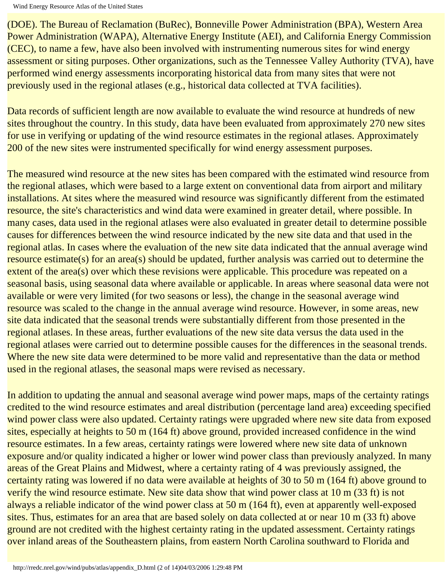(DOE). The Bureau of Reclamation (BuRec), Bonneville Power Administration (BPA), Western Area Power Administration (WAPA), Alternative Energy Institute (AEI), and California Energy Commission (CEC), to name a few, have also been involved with instrumenting numerous sites for wind energy assessment or siting purposes. Other organizations, such as the Tennessee Valley Authority (TVA), have performed wind energy assessments incorporating historical data from many sites that were not previously used in the regional atlases (e.g., historical data collected at TVA facilities).

Data records of sufficient length are now available to evaluate the wind resource at hundreds of new sites throughout the country. In this study, data have been evaluated from approximately 270 new sites for use in verifying or updating of the wind resource estimates in the regional atlases. Approximately 200 of the new sites were instrumented specifically for wind energy assessment purposes.

The measured wind resource at the new sites has been compared with the estimated wind resource from the regional atlases, which were based to a large extent on conventional data from airport and military installations. At sites where the measured wind resource was significantly different from the estimated resource, the site's characteristics and wind data were examined in greater detail, where possible. In many cases, data used in the regional atlases were also evaluated in greater detail to determine possible causes for differences between the wind resource indicated by the new site data and that used in the regional atlas. In cases where the evaluation of the new site data indicated that the annual average wind resource estimate(s) for an area(s) should be updated, further analysis was carried out to determine the extent of the area(s) over which these revisions were applicable. This procedure was repeated on a seasonal basis, using seasonal data where available or applicable. In areas where seasonal data were not available or were very limited (for two seasons or less), the change in the seasonal average wind resource was scaled to the change in the annual average wind resource. However, in some areas, new site data indicated that the seasonal trends were substantially different from those presented in the regional atlases. In these areas, further evaluations of the new site data versus the data used in the regional atlases were carried out to determine possible causes for the differences in the seasonal trends. Where the new site data were determined to be more valid and representative than the data or method used in the regional atlases, the seasonal maps were revised as necessary.

In addition to updating the annual and seasonal average wind power maps, maps of the certainty ratings credited to the wind resource estimates and areal distribution (percentage land area) exceeding specified wind power class were also updated. Certainty ratings were upgraded where new site data from exposed sites, especially at heights to 50 m (164 ft) above ground, provided increased confidence in the wind resource estimates. In a few areas, certainty ratings were lowered where new site data of unknown exposure and/or quality indicated a higher or lower wind power class than previously analyzed. In many areas of the Great Plains and Midwest, where a certainty rating of 4 was previously assigned, the certainty rating was lowered if no data were available at heights of 30 to 50 m (164 ft) above ground to verify the wind resource estimate. New site data show that wind power class at 10 m (33 ft) is not always a reliable indicator of the wind power class at 50 m (164 ft), even at apparently well-exposed sites. Thus, estimates for an area that are based solely on data collected at or near 10 m (33 ft) above ground are not credited with the highest certainty rating in the updated assessment. Certainty ratings over inland areas of the Southeastern plains, from eastern North Carolina southward to Florida and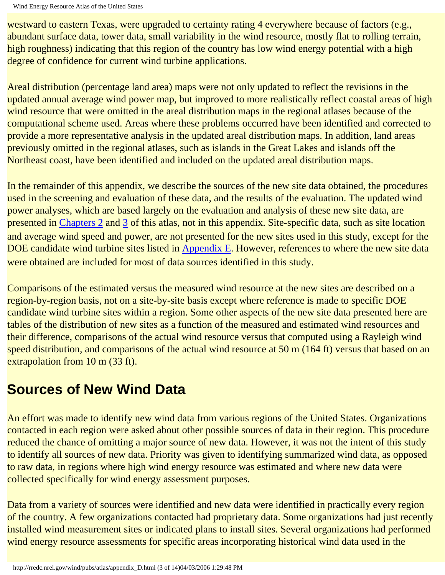```
Wind Energy Resource Atlas of the United States
```
westward to eastern Texas, were upgraded to certainty rating 4 everywhere because of factors (e.g., abundant surface data, tower data, small variability in the wind resource, mostly flat to rolling terrain, high roughness) indicating that this region of the country has low wind energy potential with a high degree of confidence for current wind turbine applications.

Areal distribution (percentage land area) maps were not only updated to reflect the revisions in the updated annual average wind power map, but improved to more realistically reflect coastal areas of high wind resource that were omitted in the areal distribution maps in the regional atlases because of the computational scheme used. Areas where these problems occurred have been identified and corrected to provide a more representative analysis in the updated areal distribution maps. In addition, land areas previously omitted in the regional atlases, such as islands in the Great Lakes and islands off the Northeast coast, have been identified and included on the updated areal distribution maps.

In the remainder of this appendix, we describe the sources of the new site data obtained, the procedures used in the screening and evaluation of these data, and the results of the evaluation. The updated wind power analyses, which are based largely on the evaluation and analysis of these new site data, are presented in [Chapters 2](#page-23-0) and [3](#page-36-0) of this atlas, not in this appendix. Site-specific data, such as site location and average wind speed and power, are not presented for the new sites used in this study, except for the DOE candidate wind turbine sites listed in [Appendix E.](#page-117-0) However, references to where the new site data were obtained are included for most of data sources identified in this study.

Comparisons of the estimated versus the measured wind resource at the new sites are described on a region-by-region basis, not on a site-by-site basis except where reference is made to specific DOE candidate wind turbine sites within a region. Some other aspects of the new site data presented here are tables of the distribution of new sites as a function of the measured and estimated wind resources and their difference, comparisons of the actual wind resource versus that computed using a Rayleigh wind speed distribution, and comparisons of the actual wind resource at 50 m (164 ft) versus that based on an extrapolation from 10 m (33 ft).

## **Sources of New Wind Data**

An effort was made to identify new wind data from various regions of the United States. Organizations contacted in each region were asked about other possible sources of data in their region. This procedure reduced the chance of omitting a major source of new data. However, it was not the intent of this study to identify all sources of new data. Priority was given to identifying summarized wind data, as opposed to raw data, in regions where high wind energy resource was estimated and where new data were collected specifically for wind energy assessment purposes.

Data from a variety of sources were identified and new data were identified in practically every region of the country. A few organizations contacted had proprietary data. Some organizations had just recently installed wind measurement sites or indicated plans to install sites. Several organizations had performed wind energy resource assessments for specific areas incorporating historical wind data used in the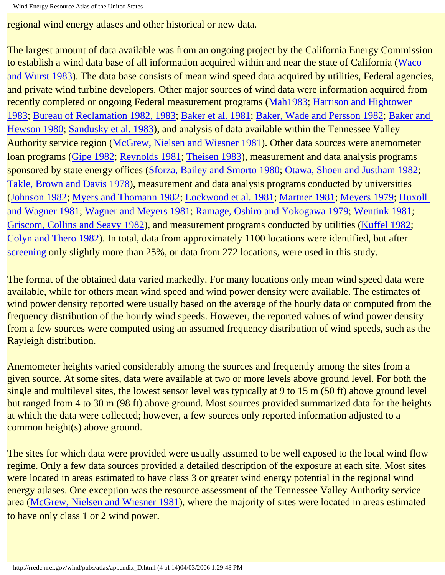```
Wind Energy Resource Atlas of the United States
```
regional wind energy atlases and other historical or new data.

The largest amount of data available was from an ongoing project by the California Energy Commission to establish a wind data base of all information acquired within and near the state of California ([Waco](#page-116-0) [and Wurst 1983](#page-116-0)). The data base consists of mean wind speed data acquired by utilities, Federal agencies, and private wind turbine developers. Other major sources of wind data were information acquired from recently completed or ongoing Federal measurement programs (Mah1983; Harrison and Hightower 1983; [Bureau of Reclamation 1982, 1983;](#page-114-0) [Baker et al. 1981;](#page-114-1) [Baker, Wade and Persson 1982;](#page-114-2) Baker and Hewson 1980; [Sandusky et al. 1983](#page-115-0)), and analysis of data available within the Tennessee Valley Authority service region [\(McGrew, Nielsen and Wiesner 1981\)](#page-115-1). Other data sources were anemometer loan programs ([Gipe 1982](#page-114-3); [Reynolds 1981](#page-115-2); [Theisen 1983](#page-116-1)), measurement and data analysis programs sponsored by state energy offices ([Sforza, Bailey and Smorto 1980;](#page-115-3) [Otawa, Shoen and Justham 1982](#page-115-4); [Takle, Brown and Davis 1978](#page-115-5)), measurement and data analysis programs conducted by universities (Johnson 1982; [Myers and Thomann 1982;](#page-115-6) Lockwood et al. 1981; [Martner 1981](#page-115-7); [Meyers 1979;](#page-115-8) Huxoll and Wagner 1981; [Wagner and Meyers 1981;](#page-116-2) [Ramage, Oshiro and Yokogawa 1979;](#page-115-9) [Wentink 1981;](#page-116-3) [Griscom, Collins and Seavy 1982\)](#page-114-4), and measurement programs conducted by utilities (Kuffel 1982; [Colyn and Thero 1982](#page-114-5)). In total, data from approximately 1100 locations were identified, but after [screening](#page-106-0) only slightly more than 25%, or data from 272 locations, were used in this study.

The format of the obtained data varied markedly. For many locations only mean wind speed data were available, while for others mean wind speed and wind power density were available. The estimates of wind power density reported were usually based on the average of the hourly data or computed from the frequency distribution of the hourly wind speeds. However, the reported values of wind power density from a few sources were computed using an assumed frequency distribution of wind speeds, such as the Rayleigh distribution.

Anemometer heights varied considerably among the sources and frequently among the sites from a given source. At some sites, data were available at two or more levels above ground level. For both the single and multilevel sites, the lowest sensor level was typically at 9 to 15 m (50 ft) above ground level but ranged from 4 to 30 m (98 ft) above ground. Most sources provided summarized data for the heights at which the data were collected; however, a few sources only reported information adjusted to a common height(s) above ground.

<span id="page-106-0"></span>The sites for which data were provided were usually assumed to be well exposed to the local wind flow regime. Only a few data sources provided a detailed description of the exposure at each site. Most sites were located in areas estimated to have class 3 or greater wind energy potential in the regional wind energy atlases. One exception was the resource assessment of the Tennessee Valley Authority service area [\(McGrew, Nielsen and Wiesner 1981](#page-115-1)), where the majority of sites were located in areas estimated to have only class 1 or 2 wind power.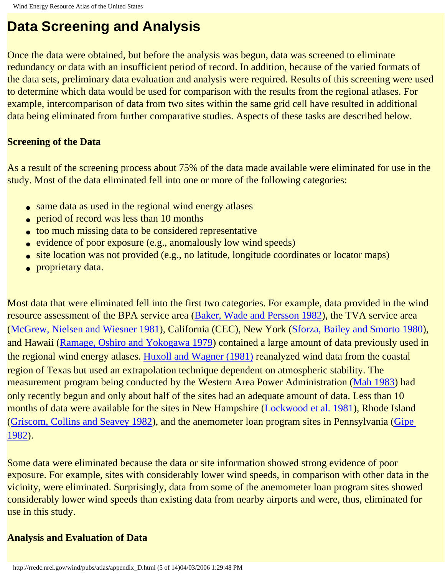### **Data Screening and Analysis**

Once the data were obtained, but before the analysis was begun, data was screened to eliminate redundancy or data with an insufficient period of record. In addition, because of the varied formats of the data sets, preliminary data evaluation and analysis were required. Results of this screening were used to determine which data would be used for comparison with the results from the regional atlases. For example, intercomparison of data from two sites within the same grid cell have resulted in additional data being eliminated from further comparative studies. Aspects of these tasks are described below.

#### **Screening of the Data**

As a result of the screening process about 75% of the data made available were eliminated for use in the study. Most of the data eliminated fell into one or more of the following categories:

- same data as used in the regional wind energy atlases
- period of record was less than 10 months
- too much missing data to be considered representative
- evidence of poor exposure (e.g., anomalously low wind speeds)
- site location was not provided (e.g., no latitude, longitude coordinates or locator maps)
- proprietary data.

Most data that were eliminated fell into the first two categories. For example, data provided in the wind resource assessment of the BPA service area ([Baker, Wade and Persson 1982](#page-114-1)), the TVA service area ([McGrew, Nielsen and Wiesner 1981\)](#page-115-1), California (CEC), New York ([Sforza, Bailey and Smorto 1980\)](#page-115-3), and Hawaii [\(Ramage, Oshiro and Yokogawa 1979\)](#page-115-9) contained a large amount of data previously used in the regional wind energy atlases. Huxoll and Wagner (1981) reanalyzed wind data from the coastal region of Texas but used an extrapolation technique dependent on atmospheric stability. The measurement program being conducted by the Western Area Power Administration (Mah 1983) had only recently begun and only about half of the sites had an adequate amount of data. Less than 10 months of data were available for the sites in New Hampshire (Lockwood et al. 1981), Rhode Island ([Griscom, Collins and Seavey 1982](#page-114-4)), and the anemometer loan program sites in Pennsylvania [\(Gipe](#page-114-3)  [1982](#page-114-3)).

Some data were eliminated because the data or site information showed strong evidence of poor exposure. For example, sites with considerably lower wind speeds, in comparison with other data in the vicinity, were eliminated. Surprisingly, data from some of the anemometer loan program sites showed considerably lower wind speeds than existing data from nearby airports and were, thus, eliminated for use in this study.

#### **Analysis and Evaluation of Data**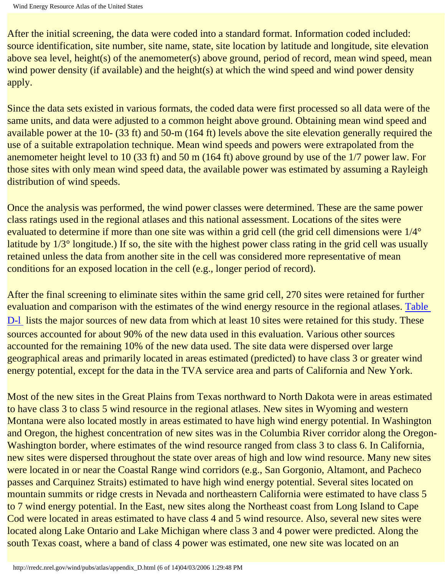After the initial screening, the data were coded into a standard format. Information coded included: source identification, site number, site name, state, site location by latitude and longitude, site elevation above sea level, height(s) of the anemometer(s) above ground, period of record, mean wind speed, mean wind power density (if available) and the height(s) at which the wind speed and wind power density apply.

Since the data sets existed in various formats, the coded data were first processed so all data were of the same units, and data were adjusted to a common height above ground. Obtaining mean wind speed and available power at the 10- (33 ft) and 50-m (164 ft) levels above the site elevation generally required the use of a suitable extrapolation technique. Mean wind speeds and powers were extrapolated from the anemometer height level to 10 (33 ft) and 50 m (164 ft) above ground by use of the 1/7 power law. For those sites with only mean wind speed data, the available power was estimated by assuming a Rayleigh distribution of wind speeds.

Once the analysis was performed, the wind power classes were determined. These are the same power class ratings used in the regional atlases and this national assessment. Locations of the sites were evaluated to determine if more than one site was within a grid cell (the grid cell dimensions were 1/4° latitude by 1/3° longitude.) If so, the site with the highest power class rating in the grid cell was usually retained unless the data from another site in the cell was considered more representative of mean conditions for an exposed location in the cell (e.g., longer period of record).

After the final screening to eliminate sites within the same grid cell, 270 sites were retained for further evaluation and comparison with the estimates of the wind energy resource in the regional atlases. [Table](http://rredc.nrel.gov/wind/pubs/atlas/tables/D-1T.html) D-1 lists the major sources of new data from which at least 10 sites were retained for this study. These sources accounted for about 90% of the new data used in this evaluation. Various other sources accounted for the remaining 10% of the new data used. The site data were dispersed over large geographical areas and primarily located in areas estimated (predicted) to have class 3 or greater wind energy potential, except for the data in the TVA service area and parts of California and New York.

Most of the new sites in the Great Plains from Texas northward to North Dakota were in areas estimated to have class 3 to class 5 wind resource in the regional atlases. New sites in Wyoming and western Montana were also located mostly in areas estimated to have high wind energy potential. In Washington and Oregon, the highest concentration of new sites was in the Columbia River corridor along the Oregon-Washington border, where estimates of the wind resource ranged from class 3 to class 6. In California, new sites were dispersed throughout the state over areas of high and low wind resource. Many new sites were located in or near the Coastal Range wind corridors (e.g., San Gorgonio, Altamont, and Pacheco passes and Carquinez Straits) estimated to have high wind energy potential. Several sites located on mountain summits or ridge crests in Nevada and northeastern California were estimated to have class 5 to 7 wind energy potential. In the East, new sites along the Northeast coast from Long Island to Cape Cod were located in areas estimated to have class 4 and 5 wind resource. Also, several new sites were located along Lake Ontario and Lake Michigan where class 3 and 4 power were predicted. Along the south Texas coast, where a band of class 4 power was estimated, one new site was located on an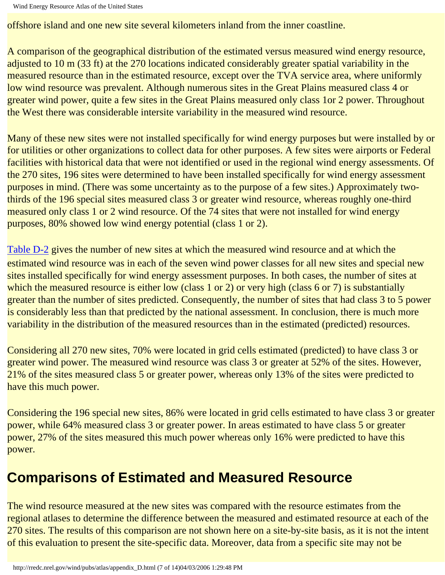offshore island and one new site several kilometers inland from the inner coastline.

A comparison of the geographical distribution of the estimated versus measured wind energy resource, adjusted to 10 m (33 ft) at the 270 locations indicated considerably greater spatial variability in the measured resource than in the estimated resource, except over the TVA service area, where uniformly low wind resource was prevalent. Although numerous sites in the Great Plains measured class 4 or greater wind power, quite a few sites in the Great Plains measured only class 1or 2 power. Throughout the West there was considerable intersite variability in the measured wind resource.

Many of these new sites were not installed specifically for wind energy purposes but were installed by or for utilities or other organizations to collect data for other purposes. A few sites were airports or Federal facilities with historical data that were not identified or used in the regional wind energy assessments. Of the 270 sites, 196 sites were determined to have been installed specifically for wind energy assessment purposes in mind. (There was some uncertainty as to the purpose of a few sites.) Approximately twothirds of the 196 special sites measured class 3 or greater wind resource, whereas roughly one-third measured only class 1 or 2 wind resource. Of the 74 sites that were not installed for wind energy purposes, 80% showed low wind energy potential (class 1 or 2).

[Table D-2](http://rredc.nrel.gov/wind/pubs/atlas/tables/D-2T.html) gives the number of new sites at which the measured wind resource and at which the estimated wind resource was in each of the seven wind power classes for all new sites and special new sites installed specifically for wind energy assessment purposes. In both cases, the number of sites at which the measured resource is either low (class 1 or 2) or very high (class 6 or 7) is substantially greater than the number of sites predicted. Consequently, the number of sites that had class 3 to 5 power is considerably less than that predicted by the national assessment. In conclusion, there is much more variability in the distribution of the measured resources than in the estimated (predicted) resources.

Considering all 270 new sites, 70% were located in grid cells estimated (predicted) to have class 3 or greater wind power. The measured wind resource was class 3 or greater at 52% of the sites. However, 21% of the sites measured class 5 or greater power, whereas only 13% of the sites were predicted to have this much power.

Considering the 196 special new sites, 86% were located in grid cells estimated to have class 3 or greater power, while 64% measured class 3 or greater power. In areas estimated to have class 5 or greater power, 27% of the sites measured this much power whereas only 16% were predicted to have this power.

## **Comparisons of Estimated and Measured Resource**

The wind resource measured at the new sites was compared with the resource estimates from the regional atlases to determine the difference between the measured and estimated resource at each of the 270 sites. The results of this comparison are not shown here on a site-by-site basis, as it is not the intent of this evaluation to present the site-specific data. Moreover, data from a specific site may not be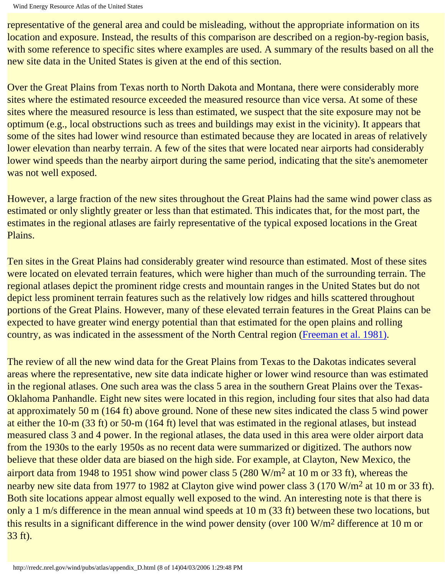representative of the general area and could be misleading, without the appropriate information on its location and exposure. Instead, the results of this comparison are described on a region-by-region basis, with some reference to specific sites where examples are used. A summary of the results based on all the new site data in the United States is given at the end of this section.

Over the Great Plains from Texas north to North Dakota and Montana, there were considerably more sites where the estimated resource exceeded the measured resource than vice versa. At some of these sites where the measured resource is less than estimated, we suspect that the site exposure may not be optimum (e.g., local obstructions such as trees and buildings may exist in the vicinity). It appears that some of the sites had lower wind resource than estimated because they are located in areas of relatively lower elevation than nearby terrain. A few of the sites that were located near airports had considerably lower wind speeds than the nearby airport during the same period, indicating that the site's anemometer was not well exposed.

However, a large fraction of the new sites throughout the Great Plains had the same wind power class as estimated or only slightly greater or less than that estimated. This indicates that, for the most part, the estimates in the regional atlases are fairly representative of the typical exposed locations in the Great Plains.

Ten sites in the Great Plains had considerably greater wind resource than estimated. Most of these sites were located on elevated terrain features, which were higher than much of the surrounding terrain. The regional atlases depict the prominent ridge crests and mountain ranges in the United States but do not depict less prominent terrain features such as the relatively low ridges and hills scattered throughout portions of the Great Plains. However, many of these elevated terrain features in the Great Plains can be expected to have greater wind energy potential than that estimated for the open plains and rolling country, as was indicated in the assessment of the North Central region [\(Freeman et al. 1981\)](#page-114-0).

The review of all the new wind data for the Great Plains from Texas to the Dakotas indicates several areas where the representative, new site data indicate higher or lower wind resource than was estimated in the regional atlases. One such area was the class 5 area in the southern Great Plains over the Texas-Oklahoma Panhandle. Eight new sites were located in this region, including four sites that also had data at approximately 50 m (164 ft) above ground. None of these new sites indicated the class 5 wind power at either the 10-m (33 ft) or 50-m (164 ft) level that was estimated in the regional atlases, but instead measured class 3 and 4 power. In the regional atlases, the data used in this area were older airport data from the 1930s to the early 1950s as no recent data were summarized or digitized. The authors now believe that these older data are biased on the high side. For example, at Clayton, New Mexico, the airport data from 1948 to 1951 show wind power class  $5 (280 W/m<sup>2</sup> at 10 m or 33 ft)$ , whereas the nearby new site data from 1977 to 1982 at Clayton give wind power class 3 (170 W/m<sup>2</sup> at 10 m or 33 ft). Both site locations appear almost equally well exposed to the wind. An interesting note is that there is only a 1 m/s difference in the mean annual wind speeds at 10 m (33 ft) between these two locations, but this results in a significant difference in the wind power density (over  $100 \text{ W/m}^2$  difference at  $10 \text{ m}$  or 33 ft).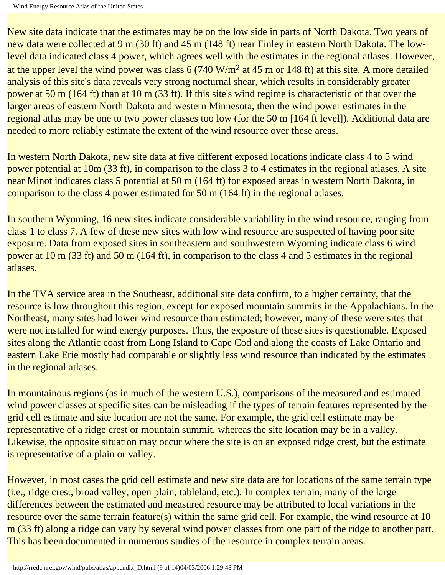New site data indicate that the estimates may be on the low side in parts of North Dakota. Two years of new data were collected at 9 m (30 ft) and 45 m (148 ft) near Finley in eastern North Dakota. The lowlevel data indicated class 4 power, which agrees well with the estimates in the regional atlases. However, at the upper level the wind power was class  $6(740 \text{ W/m}^2 \text{ at } 45 \text{ m or } 148 \text{ ft})$  at this site. A more detailed analysis of this site's data reveals very strong nocturnal shear, which results in considerably greater power at 50 m (164 ft) than at 10 m (33 ft). If this site's wind regime is characteristic of that over the larger areas of eastern North Dakota and western Minnesota, then the wind power estimates in the regional atlas may be one to two power classes too low (for the 50 m [164 ft level]). Additional data are needed to more reliably estimate the extent of the wind resource over these areas.

In western North Dakota, new site data at five different exposed locations indicate class 4 to 5 wind power potential at 10m (33 ft), in comparison to the class 3 to 4 estimates in the regional atlases. A site near Minot indicates class 5 potential at 50 m (164 ft) for exposed areas in western North Dakota, in comparison to the class 4 power estimated for 50 m (164 ft) in the regional atlases.

In southern Wyoming, 16 new sites indicate considerable variability in the wind resource, ranging from class 1 to class 7. A few of these new sites with low wind resource are suspected of having poor site exposure. Data from exposed sites in southeastern and southwestern Wyoming indicate class 6 wind power at 10 m (33 ft) and 50 m (164 ft), in comparison to the class 4 and 5 estimates in the regional atlases.

In the TVA service area in the Southeast, additional site data confirm, to a higher certainty, that the resource is low throughout this region, except for exposed mountain summits in the Appalachians. In the Northeast, many sites had lower wind resource than estimated; however, many of these were sites that were not installed for wind energy purposes. Thus, the exposure of these sites is questionable. Exposed sites along the Atlantic coast from Long Island to Cape Cod and along the coasts of Lake Ontario and eastern Lake Erie mostly had comparable or slightly less wind resource than indicated by the estimates in the regional atlases.

In mountainous regions (as in much of the western U.S.), comparisons of the measured and estimated wind power classes at specific sites can be misleading if the types of terrain features represented by the grid cell estimate and site location are not the same. For example, the grid cell estimate may be representative of a ridge crest or mountain summit, whereas the site location may be in a valley. Likewise, the opposite situation may occur where the site is on an exposed ridge crest, but the estimate is representative of a plain or valley.

However, in most cases the grid cell estimate and new site data are for locations of the same terrain type (i.e., ridge crest, broad valley, open plain, tableland, etc.). In complex terrain, many of the large differences between the estimated and measured resource may be attributed to local variations in the resource over the same terrain feature(s) within the same grid cell. For example, the wind resource at 10 m (33 ft) along a ridge can vary by several wind power classes from one part of the ridge to another part. This has been documented in numerous studies of the resource in complex terrain areas.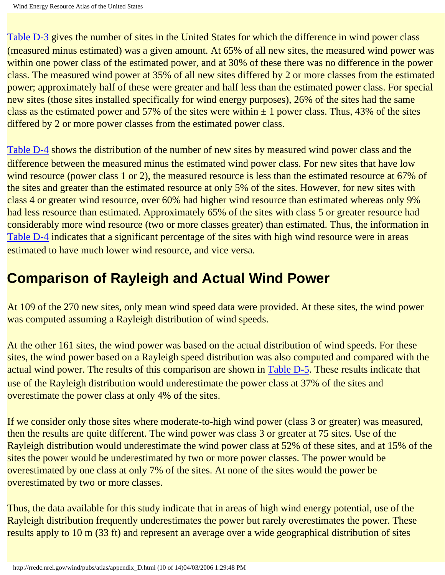[Table D-3](http://rredc.nrel.gov/wind/pubs/atlas/tables/D-3T.html) gives the number of sites in the United States for which the difference in wind power class (measured minus estimated) was a given amount. At 65% of all new sites, the measured wind power was within one power class of the estimated power, and at 30% of these there was no difference in the power class. The measured wind power at 35% of all new sites differed by 2 or more classes from the estimated power; approximately half of these were greater and half less than the estimated power class. For special new sites (those sites installed specifically for wind energy purposes), 26% of the sites had the same class as the estimated power and 57% of the sites were within  $\pm$  1 power class. Thus, 43% of the sites differed by 2 or more power classes from the estimated power class.

[Table D-4](http://rredc.nrel.gov/wind/pubs/atlas/tables/D-4T.html) shows the distribution of the number of new sites by measured wind power class and the difference between the measured minus the estimated wind power class. For new sites that have low wind resource (power class 1 or 2), the measured resource is less than the estimated resource at 67% of the sites and greater than the estimated resource at only 5% of the sites. However, for new sites with class 4 or greater wind resource, over 60% had higher wind resource than estimated whereas only 9% had less resource than estimated. Approximately 65% of the sites with class 5 or greater resource had considerably more wind resource (two or more classes greater) than estimated. Thus, the information in [Table D-4](http://rredc.nrel.gov/wind/pubs/atlas/tables/D-4T.html) indicates that a significant percentage of the sites with high wind resource were in areas estimated to have much lower wind resource, and vice versa.

## **Comparison of Rayleigh and Actual Wind Power**

At 109 of the 270 new sites, only mean wind speed data were provided. At these sites, the wind power was computed assuming a Rayleigh distribution of wind speeds.

At the other 161 sites, the wind power was based on the actual distribution of wind speeds. For these sites, the wind power based on a Rayleigh speed distribution was also computed and compared with the actual wind power. The results of this comparison are shown in [Table D-5.](http://rredc.nrel.gov/wind/pubs/atlas/tables/D-5T.html) These results indicate that use of the Rayleigh distribution would underestimate the power class at 37% of the sites and overestimate the power class at only 4% of the sites.

If we consider only those sites where moderate-to-high wind power (class 3 or greater) was measured, then the results are quite different. The wind power was class 3 or greater at 75 sites. Use of the Rayleigh distribution would underestimate the wind power class at 52% of these sites, and at 15% of the sites the power would be underestimated by two or more power classes. The power would be overestimated by one class at only 7% of the sites. At none of the sites would the power be overestimated by two or more classes.

Thus, the data available for this study indicate that in areas of high wind energy potential, use of the Rayleigh distribution frequently underestimates the power but rarely overestimates the power. These results apply to 10 m (33 ft) and represent an average over a wide geographical distribution of sites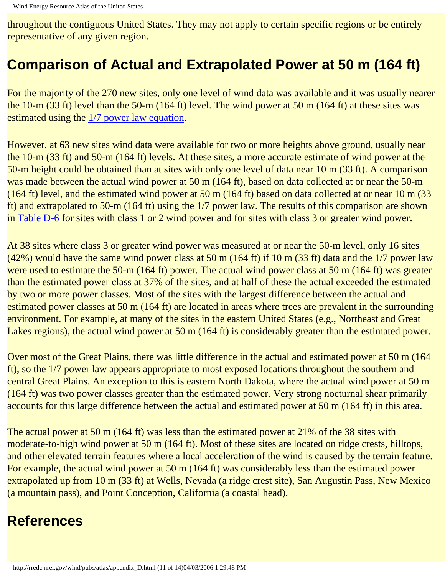throughout the contiguous United States. They may not apply to certain specific regions or be entirely representative of any given region.

## **Comparison of Actual and Extrapolated Power at 50 m (164 ft)**

For the majority of the 270 new sites, only one level of wind data was available and it was usually nearer the 10-m (33 ft) level than the 50-m (164 ft) level. The wind power at 50 m (164 ft) at these sites was estimated using the [1/7 power law equation](#page-81-0).

However, at 63 new sites wind data were available for two or more heights above ground, usually near the 10-m (33 ft) and 50-m (164 ft) levels. At these sites, a more accurate estimate of wind power at the 50-m height could be obtained than at sites with only one level of data near 10 m (33 ft). A comparison was made between the actual wind power at 50 m (164 ft), based on data collected at or near the 50-m (164 ft) level, and the estimated wind power at 50 m (164 ft) based on data collected at or near 10 m (33) ft) and extrapolated to 50-m (164 ft) using the 1/7 power law. The results of this comparison are shown in [Table D-6](http://rredc.nrel.gov/wind/pubs/atlas/tables/D-6T.html) for sites with class 1 or 2 wind power and for sites with class 3 or greater wind power.

At 38 sites where class 3 or greater wind power was measured at or near the 50-m level, only 16 sites  $(42%)$  would have the same wind power class at 50 m (164 ft) if 10 m (33 ft) data and the 1/7 power law were used to estimate the 50-m (164 ft) power. The actual wind power class at 50 m (164 ft) was greater than the estimated power class at 37% of the sites, and at half of these the actual exceeded the estimated by two or more power classes. Most of the sites with the largest difference between the actual and estimated power classes at 50 m (164 ft) are located in areas where trees are prevalent in the surrounding environment. For example, at many of the sites in the eastern United States (e.g., Northeast and Great Lakes regions), the actual wind power at 50 m (164 ft) is considerably greater than the estimated power.

Over most of the Great Plains, there was little difference in the actual and estimated power at 50 m (164 ft), so the 1/7 power law appears appropriate to most exposed locations throughout the southern and central Great Plains. An exception to this is eastern North Dakota, where the actual wind power at 50 m (164 ft) was two power classes greater than the estimated power. Very strong nocturnal shear primarily accounts for this large difference between the actual and estimated power at 50 m (164 ft) in this area.

The actual power at 50 m (164 ft) was less than the estimated power at 21% of the 38 sites with moderate-to-high wind power at 50 m (164 ft). Most of these sites are located on ridge crests, hilltops, and other elevated terrain features where a local acceleration of the wind is caused by the terrain feature. For example, the actual wind power at 50 m (164 ft) was considerably less than the estimated power extrapolated up from 10 m (33 ft) at Wells, Nevada (a ridge crest site), San Augustin Pass, New Mexico (a mountain pass), and Point Conception, California (a coastal head).

## **References**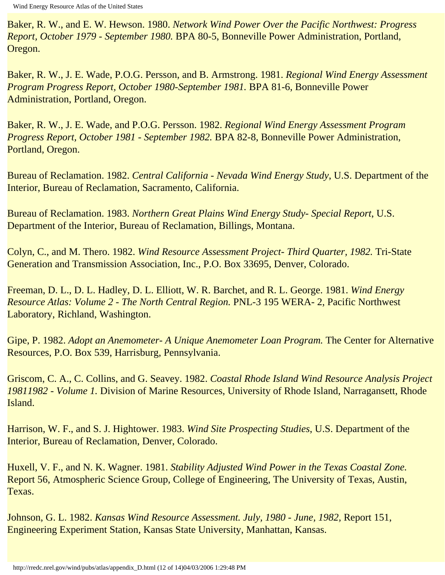Baker, R. W., and E. W. Hewson. 1980. *Network Wind Power Over the Pacific Northwest: Progress Report, October 1979 - September 1980.* BPA 80-5, Bonneville Power Administration, Portland, Oregon.

Baker, R. W., J. E. Wade, P.O.G. Persson, and B. Armstrong. 1981. *Regional Wind Energy Assessment Program Progress Report, October 1980-September 1981.* BPA 81-6, Bonneville Power Administration, Portland, Oregon.

Baker, R. W., J. E. Wade, and P.O.G. Persson. 1982. *Regional Wind Energy Assessment Program Progress Report, October 1981 - September 1982.* BPA 82-8, Bonneville Power Administration, Portland, Oregon.

Bureau of Reclamation. 1982. *Central California - Nevada Wind Energy Study*, U.S. Department of the Interior, Bureau of Reclamation, Sacramento, California.

Bureau of Reclamation. 1983. *Northern Great Plains Wind Energy Study- Special Report*, U.S. Department of the Interior, Bureau of Reclamation, Billings, Montana.

Colyn, C., and M. Thero. 1982. *Wind Resource Assessment Project- Third Quarter, 1982.* Tri-State Generation and Transmission Association, Inc., P.O. Box 33695, Denver, Colorado.

<span id="page-114-0"></span>Freeman, D. L., D. L. Hadley, D. L. Elliott, W. R. Barchet, and R. L. George. 1981. *Wind Energy Resource Atlas: Volume 2 - The North Central Region.* PNL-3 195 WERA- 2, Pacific Northwest Laboratory, Richland, Washington.

Gipe, P. 1982. *Adopt an Anemometer- A Unique Anemometer Loan Program.* The Center for Alternative Resources, P.O. Box 539, Harrisburg, Pennsylvania.

Griscom, C. A., C. Collins, and G. Seavey. 1982. *Coastal Rhode Island Wind Resource Analysis Project 19811982 - Volume 1.* Division of Marine Resources, University of Rhode Island, Narragansett, Rhode Island.

Harrison, W. F., and S. J. Hightower. 1983. *Wind Site Prospecting Studies*, U.S. Department of the Interior, Bureau of Reclamation, Denver, Colorado.

Huxell, V. F., and N. K. Wagner. 1981. *Stability Adjusted Wind Power in the Texas Coastal Zone.*  Report 56, Atmospheric Science Group, College of Engineering, The University of Texas, Austin, Texas.

Johnson, G. L. 1982. *Kansas Wind Resource Assessment. July, 1980 - June, 1982,* Report 151, Engineering Experiment Station, Kansas State University, Manhattan, Kansas.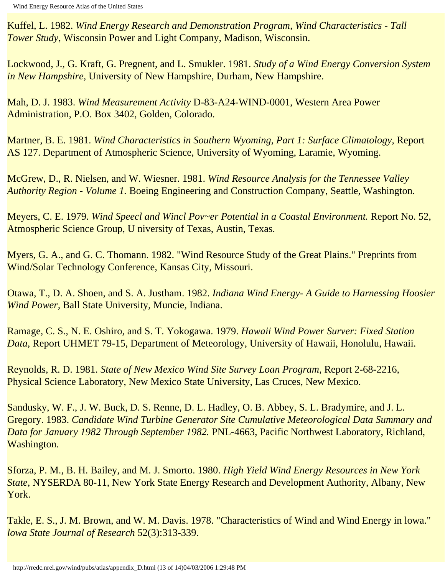Kuffel, L. 1982. *Wind Energy Research and Demonstration Program, Wind Characteristics - Tall Tower Study,* Wisconsin Power and Light Company, Madison, Wisconsin.

Lockwood, J., G. Kraft, G. Pregnent, and L. Smukler. 1981. *Study of a Wind Energy Conversion System in New Hampshire,* University of New Hampshire, Durham, New Hampshire.

Mah, D. J. 1983. *Wind Measurement Activity* D-83-A24-WIND-0001, Western Area Power Administration, P.O. Box 3402, Golden, Colorado.

Martner, B. E. 1981. *Wind Characteristics in Southern Wyoming, Part 1: Surface Climatology,* Report AS 127. Department of Atmospheric Science, University of Wyoming, Laramie, Wyoming.

McGrew, D., R. Nielsen, and W. Wiesner. 1981. *Wind Resource Analysis for the Tennessee Valley Authority Region - Volume 1.* Boeing Engineering and Construction Company, Seattle, Washington.

Meyers, C. E. 1979. *Wind Speecl and Wincl Pov~er Potential in a Coastal Environment.* Report No. 52, Atmospheric Science Group, U niversity of Texas, Austin, Texas.

Myers, G. A., and G. C. Thomann. 1982. "Wind Resource Study of the Great Plains." Preprints from Wind/Solar Technology Conference, Kansas City, Missouri.

Otawa, T., D. A. Shoen, and S. A. Justham. 1982. *Indiana Wind Energy- A Guide to Harnessing Hoosier Wind Power,* Ball State University, Muncie, Indiana.

Ramage, C. S., N. E. Oshiro, and S. T. Yokogawa. 1979. *Hawaii Wind Power Surver: Fixed Station Data,* Report UHMET 79-15, Department of Meteorology, University of Hawaii, Honolulu, Hawaii.

Reynolds, R. D. 1981. *State of New Mexico Wind Site Survey Loan Program,* Report 2-68-2216, Physical Science Laboratory, New Mexico State University, Las Cruces, New Mexico.

Sandusky, W. F., J. W. Buck, D. S. Renne, D. L. Hadley, O. B. Abbey, S. L. Bradymire, and J. L. Gregory. 1983. *Candidate Wind Turbine Generator Site Cumulative Meteorological Data Summary and Data for January 1982 Through September 1982.* PNL-4663, Pacific Northwest Laboratory, Richland, Washington.

Sforza, P. M., B. H. Bailey, and M. J. Smorto. 1980. *High Yield Wind Energy Resources in New York State,* NYSERDA 80-11, New York State Energy Research and Development Authority, Albany, New York.

Takle, E. S., J. M. Brown, and W. M. Davis. 1978. "Characteristics of Wind and Wind Energy in lowa." *lowa State Journal of Research* 52(3):313-339.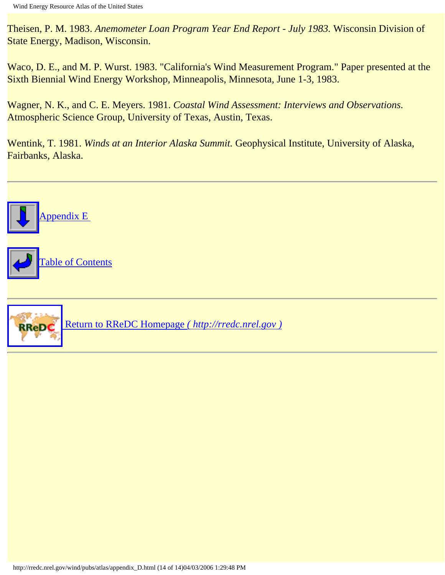Theisen, P. M. 1983. *Anemometer Loan Program Year End Report - July 1983.* Wisconsin Division of State Energy, Madison, Wisconsin.

Waco, D. E., and M. P. Wurst. 1983. "California's Wind Measurement Program." Paper presented at the Sixth Biennial Wind Energy Workshop, Minneapolis, Minnesota, June 1-3, 1983.

Wagner, N. K., and C. E. Meyers. 1981. *Coastal Wind Assessment: Interviews and Observations.*  Atmospheric Science Group, University of Texas, Austin, Texas.

Wentink, T. 1981. *Winds at an Interior Alaska Summit.* Geophysical Institute, University of Alaska, Fairbanks, Alaska.

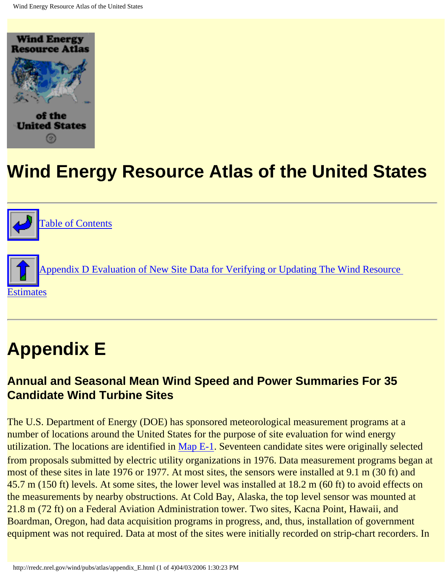<span id="page-117-0"></span>



## **Appendix E**

#### **Annual and Seasonal Mean Wind Speed and Power Summaries For 35 Candidate Wind Turbine Sites**

The U.S. Department of Energy (DOE) has sponsored meteorological measurement programs at a number of locations around the United States for the purpose of site evaluation for wind energy utilization. The locations are identified in [Map E-1.](http://rredc.nrel.gov/wind/pubs/atlas/maps/E-1M.html) Seventeen candidate sites were originally selected from proposals submitted by electric utility organizations in 1976. Data measurement programs began at most of these sites in late 1976 or 1977. At most sites, the sensors were installed at 9.1 m (30 ft) and 45.7 m (150 ft) levels. At some sites, the lower level was installed at 18.2 m (60 ft) to avoid effects on the measurements by nearby obstructions. At Cold Bay, Alaska, the top level sensor was mounted at 21.8 m (72 ft) on a Federal Aviation Administration tower. Two sites, Kacna Point, Hawaii, and Boardman, Oregon, had data acquisition programs in progress, and, thus, installation of government equipment was not required. Data at most of the sites were initially recorded on strip-chart recorders. In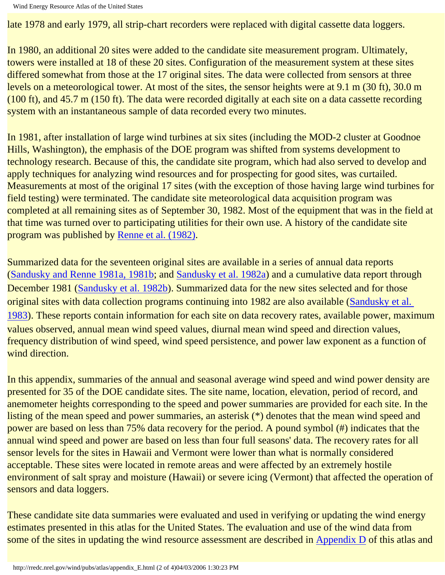late 1978 and early 1979, all strip-chart recorders were replaced with digital cassette data loggers.

In 1980, an additional 20 sites were added to the candidate site measurement program. Ultimately, towers were installed at 18 of these 20 sites. Configuration of the measurement system at these sites differed somewhat from those at the 17 original sites. The data were collected from sensors at three levels on a meteorological tower. At most of the sites, the sensor heights were at 9.1 m (30 ft), 30.0 m (100 ft), and 45.7 m (150 ft). The data were recorded digitally at each site on a data cassette recording system with an instantaneous sample of data recorded every two minutes.

In 1981, after installation of large wind turbines at six sites (including the MOD-2 cluster at Goodnoe Hills, Washington), the emphasis of the DOE program was shifted from systems development to technology research. Because of this, the candidate site program, which had also served to develop and apply techniques for analyzing wind resources and for prospecting for good sites, was curtailed. Measurements at most of the original 17 sites (with the exception of those having large wind turbines for field testing) were terminated. The candidate site meteorological data acquisition program was completed at all remaining sites as of September 30, 1982. Most of the equipment that was in the field at that time was turned over to participating utilities for their own use. A history of the candidate site program was published by [Renne et al. \(1982\).](http://rredc.nrel.gov/wind/pubs/atlas/renne)

Summarized data for the seventeen original sites are available in a series of annual data reports (Sandusky and Renne 1981a, 1981b; and [Sandusky et al. 1982a\)](http://rredc.nrel.gov/wind/pubs/atlas/sandusky82) and a cumulative data report through December 1981 (Sandusky et al. 1982b). Summarized data for the new sites selected and for those original sites with data collection programs continuing into 1982 are also available (Sandusky et al. 1983). These reports contain information for each site on data recovery rates, available power, maximum values observed, annual mean wind speed values, diurnal mean wind speed and direction values, frequency distribution of wind speed, wind speed persistence, and power law exponent as a function of wind direction.

In this appendix, summaries of the annual and seasonal average wind speed and wind power density are presented for 35 of the DOE candidate sites. The site name, location, elevation, period of record, and anemometer heights corresponding to the speed and power summaries are provided for each site. In the listing of the mean speed and power summaries, an asterisk (\*) denotes that the mean wind speed and power are based on less than 75% data recovery for the period. A pound symbol (#) indicates that the annual wind speed and power are based on less than four full seasons' data. The recovery rates for all sensor levels for the sites in Hawaii and Vermont were lower than what is normally considered acceptable. These sites were located in remote areas and were affected by an extremely hostile environment of salt spray and moisture (Hawaii) or severe icing (Vermont) that affected the operation of sensors and data loggers.

These candidate site data summaries were evaluated and used in verifying or updating the wind energy estimates presented in this atlas for the United States. The evaluation and use of the wind data from some of the sites in updating the wind resource assessment are described in [Appendix D](#page-103-0) of this atlas and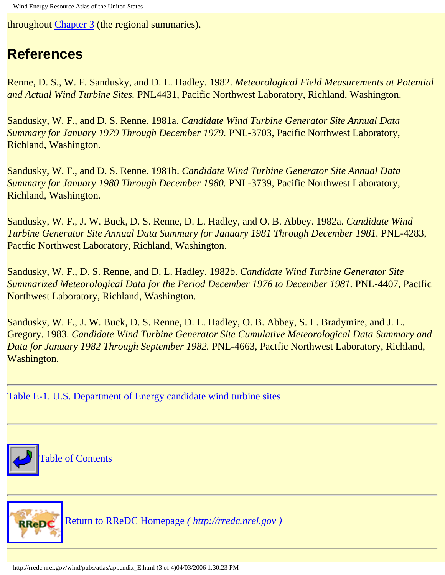throughout [Chapter 3](#page-36-0) (the regional summaries).

## **References**

Renne, D. S., W. F. Sandusky, and D. L. Hadley. 1982. *Meteorological Field Measurements at Potential and Actual Wind Turbine Sites.* PNL4431, Pacific Northwest Laboratory, Richland, Washington.

Sandusky, W. F., and D. S. Renne. 1981a. *Candidate Wind Turbine Generator Site Annual Data Summary for January 1979 Through December 1979. PNL-3703, Pacific Northwest Laboratory,* Richland, Washington.

Sandusky, W. F., and D. S. Renne. 1981b. *Candidate Wind Turbine Generator Site Annual Data Summary for January 1980 Through December 1980.* PNL-3739, Pacific Northwest Laboratory, Richland, Washington.

Sandusky, W. F., J. W. Buck, D. S. Renne, D. L. Hadley, and O. B. Abbey. 1982a. *Candidate Wind Turbine Generator Site Annual Data Summary for January 1981 Through December 1981.* PNL-4283, Pactfic Northwest Laboratory, Richland, Washington.

Sandusky, W. F., D. S. Renne, and D. L. Hadley. 1982b. *Candidate Wind Turbine Generator Site Summarized Meteorological Data for the Period December 1976 to December 1981.* PNL-4407, Pactfic Northwest Laboratory, Richland, Washington.

Sandusky, W. F., J. W. Buck, D. S. Renne, D. L. Hadley, O. B. Abbey, S. L. Bradymire, and J. L. Gregory. 1983. *Candidate Wind Turbine Generator Site Cumulative Meteorological Data Summary and Data for January 1982 Through September 1982.* PNL-4663, Pactfic Northwest Laboratory, Richland, Washington.

[Table E-1. U.S. Department of Energy candidate wind turbine sites](#page-121-0)



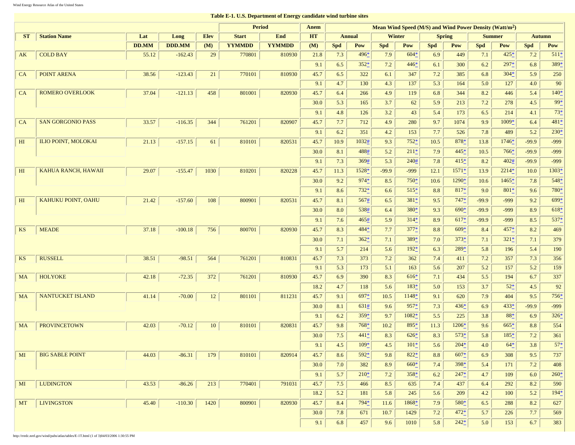#### **Table E-1. U.S. Department of Energy candidate wind turbine sites**

<span id="page-121-0"></span>

|                |                            |              |               |             | <b>Period</b> |               | Anem      | Mean Wind Speed $(M/S)$ and Wind Power Density (Watt/m <sup>2</sup> ) |        |            |         |                                |        |            |         |               |              |
|----------------|----------------------------|--------------|---------------|-------------|---------------|---------------|-----------|-----------------------------------------------------------------------|--------|------------|---------|--------------------------------|--------|------------|---------|---------------|--------------|
| <b>ST</b>      | <b>Station Name</b>        | Lat          | Long          | <b>Elev</b> | <b>Start</b>  | <b>End</b>    | <b>HT</b> | <b>Winter</b><br><b>Annual</b>                                        |        |            |         | <b>Spring</b><br><b>Summer</b> |        |            |         | <b>Autumn</b> |              |
|                |                            | <b>DD.MM</b> | <b>DDD.MM</b> | (M)         | <b>YYMMDD</b> | <b>YYMMDD</b> | (M)       | <b>Spd</b>                                                            | Pow    | <b>Spd</b> | Pow     | <b>Spd</b>                     | Pow    | <b>Spd</b> | Pow     | <b>Spd</b>    | Pow          |
| AK             | <b>COLD BAY</b>            | 55.12        | $-162.43$     | 29          | 770801        | 810930        | 21.8      | 7.3                                                                   | 496*   | 7.9        | $604*$  | 6.9                            | 449    | 7.1        | $425*$  | 7.2           | $511*$       |
|                |                            |              |               |             |               |               | 9.1       | 6.5                                                                   | $352*$ | 7.2        | $446*$  | 6.1                            | 300    | 6.2        | $297*$  | 6.8           | 389*         |
| <b>CA</b>      | <b>POINT ARENA</b>         | 38.56        | $-123.43$     | 21          | 770101        | 810930        | 45.7      | 6.5                                                                   | 322    | 6.1        | 347     | 7.2                            | 385    | 6.8        | $304*$  | 5.9           | 250          |
|                |                            |              |               |             |               |               | 9.1       | 4.7                                                                   | 130    | 4.3        | 137     | 5.3                            | 164    | 5.0        | 127     | 4.0           | 90           |
| CA             | <b>ROMERO OVERLOOK</b>     | 37.04        | $-121.13$     | 458         | 801001        | 820930        | 45.7      | 6.4                                                                   | 266    | 4.9        | 119     | 6.8                            | 344    | 8.2        | 446     | 5.4           | $140*$       |
|                |                            |              |               |             |               |               | 30.0      | 5.3                                                                   | 165    | 3.7        | 62      | 5.9                            | 213    | 7.2        | 278     | 4.5           | $99^{*}_{-}$ |
|                |                            |              |               |             |               |               | 9.1       | 4.8                                                                   | 126    | 3.2        | 43      | 5.4                            | 173    | 6.5        | 214     | 4.1           | $73^{*}_{-}$ |
| CA             | <b>SAN GORGONIO PASS</b>   | 33.57        | $-116.35$     | 344         | 761201        | 820907        | 45.7      | 7.7                                                                   | 712    | 4.9        | 280     | 9.7                            | 1074   | 9.9        | $1009*$ | 6.4           | $481*$       |
|                |                            |              |               |             |               |               | 9.1       | 6.2                                                                   | 351    | 4.2        | 153     | 7.7                            | 526    | 7.8        | 489     | 5.2           | $230*$       |
| H <sub>I</sub> | <b>ILIO POINT, MOLOKAI</b> | 21.13        | $-157.15$     | 61          | 810101        | 820531        | 45.7      | 10.9                                                                  | 1032#  | 9.3        | $752*$  | 10.5                           | 878*   | 13.8       | $1746*$ | $-99.9$       | $-999$       |
|                |                            |              |               |             |               |               | 30.0      | 8.1                                                                   | 488#   | 5.2        | $211*$  | 7.9                            | $445*$ | 10.5       | 766*    | $-99.9$       | $-999$       |
|                |                            |              |               |             |               |               | 9.1       | 7.3                                                                   | 369#   | 5.3        | 240#    | 7.8                            | $415*$ | 8.2        | 402#    | $-99.9$       | $-999$       |
| H <sub>I</sub> | KAHUA RANCH, HAWAII        | 29.07        | $-155.47$     | 1030        | 810201        | 820228        | 45.7      | 11.3                                                                  | 1528*  | $-99.9$    | $-999$  | 12.1                           | 1571*  | 13.9       | $2214*$ | 10.0          | $1303*$      |
|                |                            |              |               |             |               |               | 30.0      | 9.2                                                                   | $974*$ | 8.5        | $750*$  | 10.6                           | 1290*  | 10.6       | $1465*$ | 7.8           | $548*$       |
|                |                            |              |               |             |               |               | 9.1       | 8.6                                                                   | $732*$ | 6.6        | $515*$  | 8.8                            | $817*$ | 9.0        | $801*$  | 9.6           | 780*         |
| H <sub>I</sub> | <b>KAHUKU POINT, OAHU</b>  | 21.42        | $-157.60$     | 108         | 800901        | 820531        | 45.7      | 8.1                                                                   | 567#   | 6.5        | $381*$  | 9.5                            | $747*$ | $-99.9$    | $-999$  | 9.2           | 699*         |
|                |                            |              |               |             |               |               | 30.0      | 8.0                                                                   | 538#   | 6.4        | $380*$  | 9.3                            | $690*$ | $-99.9$    | $-999$  | 8.9           | $618*$       |
|                |                            |              |               |             |               |               | 9.1       | 7.6                                                                   | 465#   | 5.9        | $314*$  | 8.9                            | $617*$ | $-99.9$    | $-999$  | 8.5           | $537*$       |
| <b>KS</b>      | <b>MEADE</b>               | 37.18        | $-100.18$     | 756         | 800701        | 820930        | 45.7      | 8.3                                                                   | 484*   | 7.7        | 377*    | 8.8                            | $609*$ | 8.4        | 457*    | 8.2           | 469          |
|                |                            |              |               |             |               |               | 30.0      | 7.1                                                                   | $362*$ | 7.1        | $389*$  | 7.0                            | $373*$ | 7.1        | $321*$  | $7.1\,$       | 379          |
|                |                            |              |               |             |               |               | 9.1       | 5.7                                                                   | 214    | 5.6        | $192*$  | 6.3                            | 289*   | 5.8        | 196     | 5.4           | 190          |
| <b>KS</b>      | <b>RUSSELL</b>             | 38.51        | $-98.51$      | 564         | 761201        | 810831        | 45.7      | 7.3                                                                   | 373    | 7.2        | 362     | 7.4                            | 411    | 7.2        | 357     | 7.3           | 356          |
|                |                            |              |               |             |               |               | 9.1       | 5.3                                                                   | 173    | 5.1        | 163     | 5.6                            | 207    | 5.2        | 157     | 5.2           | 159          |
| <b>MA</b>      | <b>HOLYOKE</b>             | 42.18        | $-72.35$      | 372         | 761201        | 810930        | 45.7      | 6.9                                                                   | 390    | 8.3        | $616*$  | 7.1                            | 434    | 5.5        | 194     | 6.7           | 337          |
|                |                            |              |               |             |               |               | 18.2      | 4.7                                                                   | 118    | 5.6        | $183*$  | 5.0                            | 153    | 3.7        | $52*$   | 4.5           | 92           |
| <b>MA</b>      | NANTUCKET ISLAND           | 41.14        | $-70.00$      | 12          | 801101        | 811231        | 45.7      | 9.1                                                                   | 697*   | 10.5       | 1148*   | 9.1                            | 620    | 7.9        | 404     | 9.5           | 756*         |
|                |                            |              |               |             |               |               | 30.0      | 8.1                                                                   | 631#   | 9.6        | 957*    | 7.3                            | $436*$ | 6.9        | 433*    | $-99.9$       | $-999$       |
|                |                            |              |               |             |               |               | 9.1       | 6.2                                                                   | 359*   | 9.7        | $1082*$ | 5.5                            | 225    | 3.8        | $88*$   | 6.9           | $326*$       |
| <b>MA</b>      | <b>PROVINCETOWN</b>        | 42.03        | $-70.12$      | 10          | 810101        | 820831        | 45.7      | 9.8                                                                   | $768*$ | 10.2       | $895*$  | 11.3                           | 1206*  | 9.6        | $665*$  | 8.8           | 554          |
|                |                            |              |               |             |               |               | 30.0      | 7.5                                                                   | 441*   | 8.3        | $626*$  | 8.3                            | $573*$ | 5.8        | 185*    | 7.2           | 361          |
|                |                            |              |               |             |               |               | 9.1       | 4.5                                                                   | 109*   | 4.5        | $101*$  | 5.6                            | $204*$ | 4.0        | $64*$   | 3.8           | $57*$        |
| M <sub>I</sub> | <b>BIG SABLE POINT</b>     | 44.03        | $-86.31$      | 179         | 810101        | 820914        | 45.7      | 8.6                                                                   | 592*   | 9.8        | $822*$  | 8.8                            | $607*$ | 6.9        | 308     | 9.5           | 737          |
|                |                            |              |               |             |               |               | 30.0      | 7.0                                                                   | 382    | 8.9        | $660*$  | 7.4                            | $398*$ | 5.4        | 171     | 7.2           | 408          |
|                |                            |              |               |             |               |               | 9.1       | 5.7                                                                   | $210*$ | 7.2        | $358^*$ | 6.2                            | $247*$ | 4.7        | 109     | 6.0           | $260*$       |
| $\mathbf{M}$   | <b>LUDINGTON</b>           | 43.53        | $-86.26$      | 213         | 770401        | 791031        | 45.7      | 7.5                                                                   | 466    | 8.5        | 635     | 7.4                            | 437    | 6.4        | 292     | 8.2           | 590          |
|                |                            |              |               |             |               |               | 18.2      | 5.2                                                                   | 181    | 5.8        | 245     | 5.6                            | 209    | 4.2        | 100     | 5.2           | $194*$       |
| MT             | <b>LIVINGSTON</b>          | 45.40        | $-110.30$     | 1420        | 800901        | 820930        | 45.7      | 8.4                                                                   | 794*   | 11.6       | 1868*   | 7.9                            | $580*$ | 6.5        | 288     | 8.2           | 627          |
|                |                            |              |               |             |               |               | 30.0      | 7.8                                                                   | 671    | 10.7       | 1429    | 7.2                            | $472*$ | 5.7        | 226     | 7.7           | 569          |
|                |                            |              |               |             |               |               | 9.1       | 6.8                                                                   | 457    | 9.6        | 1010    | 5.8                            | $242*$ | 5.0        | 153     | 6.7           | 383          |

http://rredc.nrel.gov/wind/pubs/atlas/tables/E-1T.html (1 of 3)04/03/2006 1:30:55 PM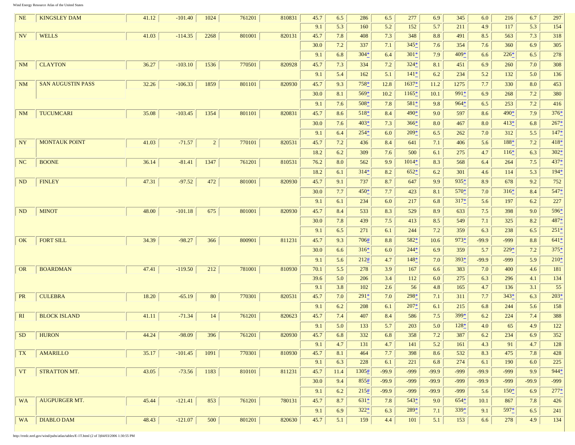http://rredc.nrel.gov/wind/pubs/atlas/tables/E-1T.html (2 of 3)04/03/2006 1:30:55 PM

**Contract** 

| <b>NE</b> | <b>KINGSLEY DAM</b>      | 41.12 | $-101.40$ | 1024           | 761201 | 810831 | 45.7 | 6.5  | 286     | 6.5     | 277     | 6.9     | 345    | 6.0     | 216    | 6.7     | 297    |
|-----------|--------------------------|-------|-----------|----------------|--------|--------|------|------|---------|---------|---------|---------|--------|---------|--------|---------|--------|
|           |                          |       |           |                |        |        | 9.1  | 5.3  | 160     | 5.2     | 152     | 5.7     | 211    | 4.9     | 117    | 5.3     | 154    |
| <b>NV</b> | <b>WELLS</b>             | 41.03 | $-114.35$ | 2268           | 801001 | 820131 | 45.7 | 7.8  | 408     | 7.3     | 348     | 8.8     | 491    | 8.5     | 563    | 7.3     | 318    |
|           |                          |       |           |                |        |        | 30.0 | 7.2  | 337     | 7.1     | $345*$  | 7.6     | 354    | 7.6     | 360    | 6.9     | 305    |
|           |                          |       |           |                |        |        | 9.1  | 6.8  | $304*$  | 6.4     | $301*$  | 7.9     | 409*   | 6.6     | $226*$ | 6.5     | 278    |
| <b>NM</b> | <b>CLAYTON</b>           | 36.27 | $-103.10$ | 1536           | 770501 | 820928 | 45.7 | 7.3  | 334     | 7.2     | $324*$  | 8.1     | 451    | 6.9     | 260    | 7.0     | 308    |
|           |                          |       |           |                |        |        | 9.1  | 5.4  | 162     | 5.1     | $141*$  | 6.2     | 234    | 5.2     | 132    | 5.0     | 136    |
| <b>NM</b> | <b>SAN AUGUSTIN PASS</b> | 32.26 | $-106.33$ | 1859           | 801101 | 820930 | 45.7 | 9.3  | 758*    | 12.8    | 1637*   | 11.2    | 1275   | 7.7     | 330    | 8.0     | 453    |
|           |                          |       |           |                |        |        | 30.0 | 8.1  | $569*$  | 10.2    | $1165*$ | 10.1    | 991*   | 6.9     | 268    | 7.2     | 380    |
|           |                          |       |           |                |        |        | 9.1  | 7.6  | $508*$  | 7.8     | $581*$  | 9.8     | $964*$ | 6.5     | 253    | 7.2     | 416    |
| <b>NM</b> | <b>TUCUMCARI</b>         | 35.08 | $-103.45$ | 1354           | 801101 | 820831 | 45.7 | 8.6  | $518*$  | 8.4     | $490*$  | 9.0     | 597    | 8.6     | 490*   | 7.9     | $376*$ |
|           |                          |       |           |                |        |        | 30.0 | 7.6  | $403*$  | 7.3     | $366*$  | 8.0     | 467    | 8.0     | $413*$ | 6.8     | $267*$ |
|           |                          |       |           |                |        |        | 9.1  | 6.4  | $254*$  | 6.0     | $209*$  | 6.5     | 262    | 7.0     | 312    | 5.5     | $147*$ |
| <b>NY</b> | <b>MONTAUK POINT</b>     | 41.03 | $-71.57$  | $\overline{2}$ | 770101 | 820531 | 45.7 | 7.2  | 436     | 8.4     | 641     | 7.1     | 406    | 5.6     | 188*   | 7.2     | $418*$ |
|           |                          |       |           |                |        |        | 18.2 | 6.2  | 309     | 7.6     | 500     | 6.1     | 275    | 4.7     | $116*$ | 6.3     | $302*$ |
| <b>NC</b> | <b>BOONE</b>             | 36.14 | $-81.41$  | 1347           | 761201 | 810531 | 76.2 | 8.0  | 562     | 9.9     | $1014*$ | 8.3     | 568    | 6.4     | 264    | 7.5     | 437*   |
|           |                          |       |           |                |        |        | 18.2 | 6.1  | $314*$  | 8.2     | $652*$  | 6.2     | 301    | 4.6     | 114    | 5.3     | $194*$ |
| <b>ND</b> | <b>FINLEY</b>            | 47.31 | $-97.52$  | 472            | 801001 | 820930 | 45.7 | 9.1  | 737     | 8.7     | 647     | 9.9     | 935*   | 8.9     | 678    | 9.2     | 752    |
|           |                          |       |           |                |        |        | 30.0 | 7.7  | $450*$  | 7.7     | 423     | 8.1     | 570*   | 7.0     | $316*$ | 8.4     | $547*$ |
|           |                          |       |           |                |        |        | 9.1  | 6.1  | 234     | 6.0     | 217     | 6.8     | $317*$ | 5.6     | 197    | 6.2     | 227    |
| <b>ND</b> | <b>MINOT</b>             | 48.00 | $-101.18$ | 675            | 801001 | 820930 | 45.7 | 8.4  | 533     | 8.3     | 529     | 8.9     | 633    | 7.5     | 398    | 9.0     | 596*   |
|           |                          |       |           |                |        |        | 30.0 | 7.8  | 439     | 7.5     | 413     | 8.5     | 549    | 7.1     | 325    | 8.2     | 487*   |
|           |                          |       |           |                |        |        | 9.1  | 6.5  | 271     | 6.1     | 244     | 7.2     | 359    | 6.3     | 238    | 6.5     | $251*$ |
| <b>OK</b> | <b>FORT SILL</b>         | 34.39 | $-98.27$  | 366            | 800901 | 811231 | 45.7 | 9.3  | 706#    | 8.8     | $582*$  | 10.6    | $973*$ | $-99.9$ | -999   | 8.8     | $641*$ |
|           |                          |       |           |                |        |        | 30.0 | 6.6  | $316*$  | 6.0     | $244*$  | 6.9     | 359    | 5.7     | $229*$ | 7.2     | $375*$ |
|           |                          |       |           |                |        |        | 9.1  | 5.6  | 212#    | 4.7     | $148*$  | 7.0     | 393*   | $-99.9$ | -999   | 5.9     | $210*$ |
| <b>OR</b> | <b>BOARDMAN</b>          | 47.41 | $-119.50$ | 212            | 781001 | 810930 | 70.1 | 5.5  | 278     | 3.9     | 167     | 6.6     | 383    | 7.0     | 400    | 4.6     | 181    |
|           |                          |       |           |                |        |        | 39.6 | 5.0  | 206     | 3.4     | 112     | 6.0     | 275    | 6.3     | 296    | 4.1     | 134    |
|           |                          |       |           |                |        |        | 9.1  | 3.8  | 102     | 2.6     | 56      | 4.8     | 165    | 4.7     | 136    | 3.1     | 55     |
| <b>PR</b> | <b>CULEBRA</b>           | 18.20 | $-65.19$  | 80             | 770301 | 820531 | 45.7 | 7.0  | $291*$  | 7.0     | $298*$  | 7.1     | 311    | 7.7     | $343*$ | 6.3     | $203*$ |
|           |                          |       |           |                |        |        | 9.1  | 6.2  | 208     | 6.1     | $207*$  | 6.1     | 215    | 6.8     | 244    | 5.6     | 158    |
| RI        | <b>BLOCK ISLAND</b>      | 41.11 | $-71.34$  | 14             | 761201 | 820623 | 45.7 | 7.4  | 407     | 8.4     | 586     | 7.5     | 399*   | 6.2     | 224    | 7.4     | 388    |
|           |                          |       |           |                |        |        | 9.1  | 5.0  | 133     | 5.7     | 203     | 5.0     | $128*$ | 4.0     | 65     | 4.9     | 122    |
|           | SD HURON                 | 44.24 | $-98.09$  | 396            | 761201 | 820930 | 45.7 | 6.8  | 332     | 6.8     | 358     | 7.2     | 387    | 6.2     | 234    | 6.9     | 352    |
|           |                          |       |           |                |        |        | 9.1  | 4.7  | 131     | 4.7     | 141     | 5.2     | 161    | 4.3     | 91     | 4.7     | 128    |
| TX        | <b>AMARILLO</b>          | 35.17 | $-101.45$ | 1091           | 770301 | 810930 | 45.7 | 8.1  | 464     | 7.7     | 398     | 8.6     | 532    | 8.3     | 475    | 7.8     | 428    |
|           |                          |       |           |                |        |        | 9.1  | 6.3  | 228     | 6.1     | 221     | 6.8     | 274    | 6.1     | 190    | 6.0     | 225    |
| <b>VT</b> | STRATTON MT.             | 43.05 | $-73.56$  | 1183           | 810101 | 811231 | 45.7 | 11.4 | 1305#   | $-99.9$ | $-999$  | $-99.9$ | $-999$ | $-99.9$ | $-999$ | 9.9     | $944*$ |
|           |                          |       |           |                |        |        | 30.0 | 9.4  | 855#    | $-99.9$ | $-999$  | $-99.9$ | $-999$ | $-99.9$ | $-999$ | $-99.9$ | $-999$ |
|           |                          |       |           |                |        |        | 9.1  | 6.2  | 215#    | $-99.9$ | $-999$  | $-99.9$ | $-999$ | 5.6     | $150*$ | 6.9     | $277*$ |
| <b>WA</b> | <b>AUGPURGER MT.</b>     | 45.44 | $-121.41$ | 853            | 761201 | 780131 | 45.7 | 8.7  | $631^*$ | 7.8     | $543*$  | 9.0     | $654*$ | 10.1    | 867    | 7.8     | 426    |
|           |                          |       |           |                |        |        | 9.1  | 6.9  | $322*$  | 6.3     | $289*$  | 7.1     | $339*$ | 9.1     | $597*$ | 6.5     | 241    |
| <b>WA</b> | <b>DIABLO DAM</b>        | 48.43 | $-121.07$ | 500            | 801201 | 820630 | 45.7 | 5.1  | 159     | 4.4     | 101     | 5.1     | 153    | 6.6     | 278    | 4.9     | 134    |
|           |                          |       |           |                |        |        |      |      |         |         |         |         |        |         |        |         |        |